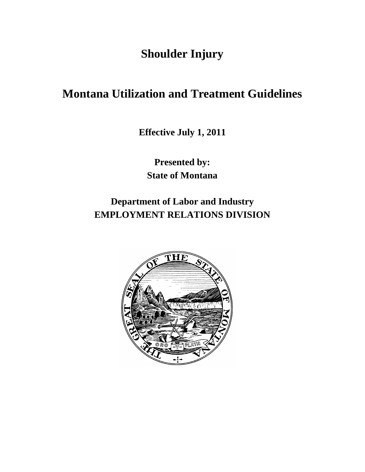**Shoulder Injury**

# **Montana Utilization and Treatment Guidelines**

**Effective July 1, 2011**

**Presented by: State of Montana**

**Department of Labor and Industry EMPLOYMENT RELATIONS DIVISION**

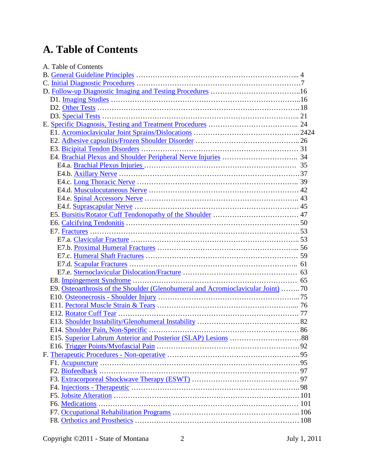# **A. Table of Contents**

| A. Table of Contents             |                                                                                   |  |
|----------------------------------|-----------------------------------------------------------------------------------|--|
|                                  |                                                                                   |  |
|                                  |                                                                                   |  |
|                                  |                                                                                   |  |
|                                  |                                                                                   |  |
|                                  |                                                                                   |  |
|                                  |                                                                                   |  |
|                                  |                                                                                   |  |
|                                  |                                                                                   |  |
|                                  |                                                                                   |  |
|                                  |                                                                                   |  |
|                                  |                                                                                   |  |
|                                  |                                                                                   |  |
|                                  |                                                                                   |  |
|                                  |                                                                                   |  |
|                                  |                                                                                   |  |
|                                  |                                                                                   |  |
|                                  |                                                                                   |  |
|                                  |                                                                                   |  |
|                                  |                                                                                   |  |
|                                  |                                                                                   |  |
|                                  |                                                                                   |  |
|                                  |                                                                                   |  |
|                                  |                                                                                   |  |
|                                  |                                                                                   |  |
|                                  |                                                                                   |  |
|                                  |                                                                                   |  |
|                                  | E9. Osteoarthrosis of the Shoulder (Glenohumeral and Acromioclavicular Joint)  70 |  |
|                                  |                                                                                   |  |
|                                  |                                                                                   |  |
|                                  |                                                                                   |  |
|                                  |                                                                                   |  |
| E14. Shoulder Pain, Non-Specific |                                                                                   |  |
|                                  |                                                                                   |  |
|                                  |                                                                                   |  |
|                                  |                                                                                   |  |
|                                  |                                                                                   |  |
|                                  |                                                                                   |  |
|                                  |                                                                                   |  |
|                                  |                                                                                   |  |
|                                  |                                                                                   |  |
|                                  |                                                                                   |  |
|                                  |                                                                                   |  |
|                                  |                                                                                   |  |
|                                  |                                                                                   |  |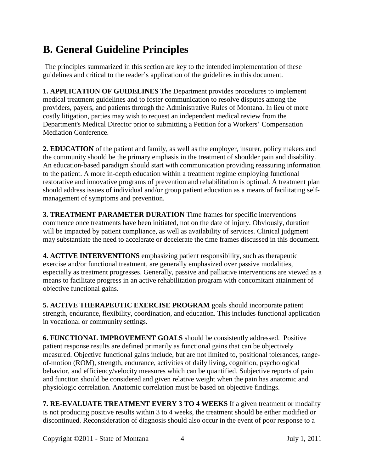# <span id="page-3-0"></span>**B. General Guideline Principles**

The principles summarized in this section are key to the intended implementation of these guidelines and critical to the reader's application of the guidelines in this document.

**1. APPLICATION OF GUIDELINES** The Department provides procedures to implement medical treatment guidelines and to foster communication to resolve disputes among the providers, payers, and patients through the Administrative Rules of Montana. In lieu of more costly litigation, parties may wish to request an independent medical review from the Department's Medical Director prior to submitting a Petition for a Workers' Compensation Mediation Conference.

**2. EDUCATION** of the patient and family, as well as the employer, insurer, policy makers and the community should be the primary emphasis in the treatment of shoulder pain and disability. An education-based paradigm should start with communication providing reassuring information to the patient. A more in-depth education within a treatment regime employing functional restorative and innovative programs of prevention and rehabilitation is optimal. A treatment plan should address issues of individual and/or group patient education as a means of facilitating selfmanagement of symptoms and prevention.

**3. TREATMENT PARAMETER DURATION** Time frames for specific interventions commence once treatments have been initiated, not on the date of injury. Obviously, duration will be impacted by patient compliance, as well as availability of services. Clinical judgment may substantiate the need to accelerate or decelerate the time frames discussed in this document.

**4. ACTIVE INTERVENTIONS** emphasizing patient responsibility, such as therapeutic exercise and/or functional treatment, are generally emphasized over passive modalities, especially as treatment progresses. Generally, passive and palliative interventions are viewed as a means to facilitate progress in an active rehabilitation program with concomitant attainment of objective functional gains.

**5. ACTIVE THERAPEUTIC EXERCISE PROGRAM** goals should incorporate patient strength, endurance, flexibility, coordination, and education. This includes functional application in vocational or community settings.

**6. FUNCTIONAL IMPROVEMENT GOALS** should be consistently addressed. Positive patient response results are defined primarily as functional gains that can be objectively measured. Objective functional gains include, but are not limited to, positional tolerances, rangeof-motion (ROM), strength, endurance, activities of daily living, cognition, psychological behavior, and efficiency/velocity measures which can be quantified. Subjective reports of pain and function should be considered and given relative weight when the pain has anatomic and physiologic correlation. Anatomic correlation must be based on objective findings.

**7. RE-EVALUATE TREATMENT EVERY 3 TO 4 WEEKS** If a given treatment or modality is not producing positive results within 3 to 4 weeks, the treatment should be either modified or discontinued. Reconsideration of diagnosis should also occur in the event of poor response to a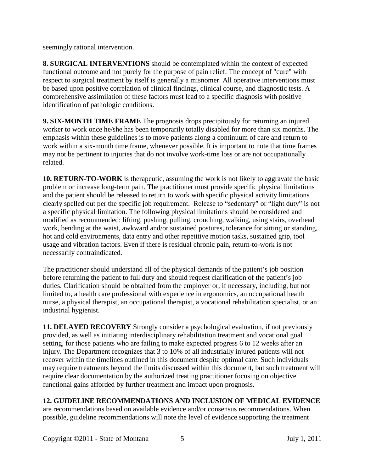seemingly rational intervention.

**8. SURGICAL INTERVENTIONS** should be contemplated within the context of expected functional outcome and not purely for the purpose of pain relief. The concept of "cure" with respect to surgical treatment by itself is generally a misnomer. All operative interventions must be based upon positive correlation of clinical findings, clinical course, and diagnostic tests. A comprehensive assimilation of these factors must lead to a specific diagnosis with positive identification of pathologic conditions.

**9. SIX-MONTH TIME FRAME** The prognosis drops precipitously for returning an injured worker to work once he/she has been temporarily totally disabled for more than six months. The emphasis within these guidelines is to move patients along a continuum of care and return to work within a six-month time frame, whenever possible. It is important to note that time frames may not be pertinent to injuries that do not involve work-time loss or are not occupationally related.

**10. RETURN-TO-WORK** is therapeutic, assuming the work is not likely to aggravate the basic problem or increase long-term pain. The practitioner must provide specific physical limitations and the patient should be released to return to work with specific physical activity limitations clearly spelled out per the specific job requirement. Release to "sedentary" or "light duty" is not a specific physical limitation. The following physical limitations should be considered and modified as recommended: lifting, pushing, pulling, crouching, walking, using stairs, overhead work, bending at the waist, awkward and/or sustained postures, tolerance for sitting or standing, hot and cold environments, data entry and other repetitive motion tasks, sustained grip, tool usage and vibration factors. Even if there is residual chronic pain, return-to-work is not necessarily contraindicated.

The practitioner should understand all of the physical demands of the patient's job position before returning the patient to full duty and should request clarification of the patient's job duties. Clarification should be obtained from the employer or, if necessary, including, but not limited to, a health care professional with experience in ergonomics, an occupational health nurse, a physical therapist, an occupational therapist, a vocational rehabilitation specialist, or an industrial hygienist.

**11. DELAYED RECOVERY** Strongly consider a psychological evaluation, if not previously provided, as well as initiating interdisciplinary rehabilitation treatment and vocational goal setting, for those patients who are failing to make expected progress 6 to 12 weeks after an injury. The Department recognizes that 3 to 10% of all industrially injured patients will not recover within the timelines outlined in this document despite optimal care. Such individuals may require treatments beyond the limits discussed within this document, but such treatment will require clear documentation by the authorized treating practitioner focusing on objective functional gains afforded by further treatment and impact upon prognosis.

## **12. GUIDELINE RECOMMENDATIONS AND INCLUSION OF MEDICAL EVIDENCE**

are recommendations based on available evidence and/or consensus recommendations. When possible, guideline recommendations will note the level of evidence supporting the treatment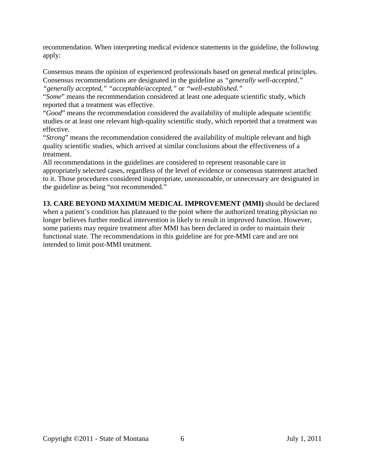recommendation. When interpreting medical evidence statements in the guideline, the following apply:

Consensus means the opinion of experienced professionals based on general medical principles. Consensus recommendations are designated in the guideline as *"generally well-accepted," "generally accepted," "acceptable/accepted,"* or *"well-established."*

"*Some*" means the recommendation considered at least one adequate scientific study, which reported that a treatment was effective.

"*Good*" means the recommendation considered the availability of multiple adequate scientific studies or at least one relevant high-quality scientific study, which reported that a treatment was effective.

"*Strong*" means the recommendation considered the availability of multiple relevant and high quality scientific studies, which arrived at similar conclusions about the effectiveness of a treatment.

All recommendations in the guidelines are considered to represent reasonable care in appropriately selected cases, regardless of the level of evidence or consensus statement attached to it. Those procedures considered inappropriate, unreasonable, or unnecessary are designated in the guideline as being "not recommended."

**13. CARE BEYOND MAXIMUM MEDICAL IMPROVEMENT (MMI)** should be declared when a patient's condition has plateaued to the point where the authorized treating physician no longer believes further medical intervention is likely to result in improved function. However, some patients may require treatment after MMI has been declared in order to maintain their functional state. The recommendations in this guideline are for pre-MMI care and are not intended to limit post-MMI treatment.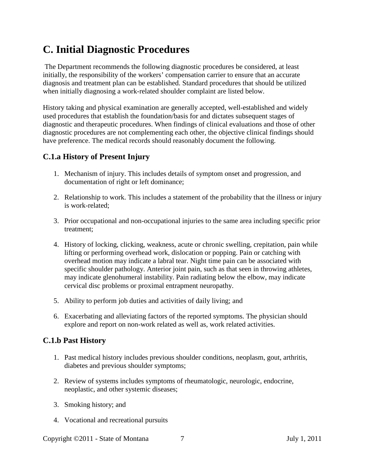# <span id="page-6-0"></span>**C. Initial Diagnostic Procedures**

The Department recommends the following diagnostic procedures be considered, at least initially, the responsibility of the workers' compensation carrier to ensure that an accurate diagnosis and treatment plan can be established. Standard procedures that should be utilized when initially diagnosing a work-related shoulder complaint are listed below.

History taking and physical examination are generally accepted, well-established and widely used procedures that establish the foundation/basis for and dictates subsequent stages of diagnostic and therapeutic procedures. When findings of clinical evaluations and those of other diagnostic procedures are not complementing each other, the objective clinical findings should have preference. The medical records should reasonably document the following.

## **C.1.a History of Present Injury**

- 1. Mechanism of injury. This includes details of symptom onset and progression, and documentation of right or left dominance;
- 2. Relationship to work. This includes a statement of the probability that the illness or injury is work-related;
- 3. Prior occupational and non-occupational injuries to the same area including specific prior treatment;
- 4. History of locking, clicking, weakness, acute or chronic swelling, crepitation, pain while lifting or performing overhead work, dislocation or popping. Pain or catching with overhead motion may indicate a labral tear. Night time pain can be associated with specific shoulder pathology. Anterior joint pain, such as that seen in throwing athletes, may indicate glenohumeral instability. Pain radiating below the elbow, may indicate cervical disc problems or proximal entrapment neuropathy.
- 5. Ability to perform job duties and activities of daily living; and
- 6. Exacerbating and alleviating factors of the reported symptoms. The physician should explore and report on non-work related as well as, work related activities.

#### **C.1.b Past History**

- 1. Past medical history includes previous shoulder conditions, neoplasm, gout, arthritis, diabetes and previous shoulder symptoms;
- 2. Review of systems includes symptoms of rheumatologic, neurologic, endocrine, neoplastic, and other systemic diseases;
- 3. Smoking history; and
- 4. Vocational and recreational pursuits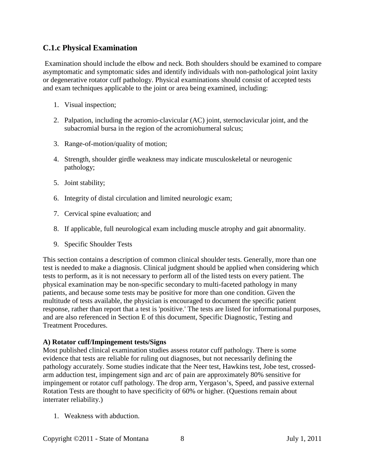#### **C.1.c Physical Examination**

Examination should include the elbow and neck. Both shoulders should be examined to compare asymptomatic and symptomatic sides and identify individuals with non-pathological joint laxity or degenerative rotator cuff pathology. Physical examinations should consist of accepted tests and exam techniques applicable to the joint or area being examined, including:

- 1. Visual inspection;
- 2. Palpation, including the acromio-clavicular (AC) joint, sternoclavicular joint, and the subacromial bursa in the region of the acromiohumeral sulcus;
- 3. Range-of-motion/quality of motion;
- 4. Strength, shoulder girdle weakness may indicate musculoskeletal or neurogenic pathology;
- 5. Joint stability;
- 6. Integrity of distal circulation and limited neurologic exam;
- 7. Cervical spine evaluation; and
- 8. If applicable, full neurological exam including muscle atrophy and gait abnormality.
- 9. Specific Shoulder Tests

This section contains a description of common clinical shoulder tests. Generally, more than one test is needed to make a diagnosis. Clinical judgment should be applied when considering which tests to perform, as it is not necessary to perform all of the listed tests on every patient. The physical examination may be non-specific secondary to multi-faceted pathology in many patients, and because some tests may be positive for more than one condition. Given the multitude of tests available, the physician is encouraged to document the specific patient response, rather than report that a test is 'positive.' The tests are listed for informational purposes, and are also referenced in Section E of this document, Specific Diagnostic, Testing and Treatment Procedures.

#### **A) Rotator cuff/Impingement tests/Signs**

Most published clinical examination studies assess rotator cuff pathology. There is some evidence that tests are reliable for ruling out diagnoses, but not necessarily defining the pathology accurately. Some studies indicate that the Neer test, Hawkins test, Jobe test, crossedarm adduction test, impingement sign and arc of pain are approximately 80% sensitive for impingement or rotator cuff pathology. The drop arm, Yergason's, Speed, and passive external Rotation Tests are thought to have specificity of 60% or higher. (Questions remain about interrater reliability.)

1. Weakness with abduction.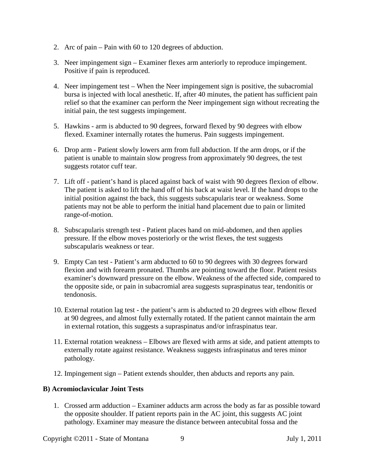- 2. Arc of pain Pain with 60 to 120 degrees of abduction.
- 3. Neer impingement sign Examiner flexes arm anteriorly to reproduce impingement. Positive if pain is reproduced.
- 4. Neer impingement test When the Neer impingement sign is positive, the subacromial bursa is injected with local anesthetic. If, after 40 minutes, the patient has sufficient pain relief so that the examiner can perform the Neer impingement sign without recreating the initial pain, the test suggests impingement.
- 5. Hawkins arm is abducted to 90 degrees, forward flexed by 90 degrees with elbow flexed. Examiner internally rotates the humerus. Pain suggests impingement.
- 6. Drop arm Patient slowly lowers arm from full abduction. If the arm drops, or if the patient is unable to maintain slow progress from approximately 90 degrees, the test suggests rotator cuff tear.
- 7. Lift off patient's hand is placed against back of waist with 90 degrees flexion of elbow. The patient is asked to lift the hand off of his back at waist level. If the hand drops to the initial position against the back, this suggests subscapularis tear or weakness. Some patients may not be able to perform the initial hand placement due to pain or limited range-of-motion.
- 8. Subscapularis strength test Patient places hand on mid-abdomen, and then applies pressure. If the elbow moves posteriorly or the wrist flexes, the test suggests subscapularis weakness or tear.
- 9. Empty Can test Patient's arm abducted to 60 to 90 degrees with 30 degrees forward flexion and with forearm pronated. Thumbs are pointing toward the floor. Patient resists examiner's downward pressure on the elbow. Weakness of the affected side, compared to the opposite side, or pain in subacromial area suggests supraspinatus tear, tendonitis or tendonosis.
- 10. External rotation lag test the patient's arm is abducted to 20 degrees with elbow flexed at 90 degrees, and almost fully externally rotated. If the patient cannot maintain the arm in external rotation, this suggests a supraspinatus and/or infraspinatus tear.
- 11. External rotation weakness Elbows are flexed with arms at side, and patient attempts to externally rotate against resistance. Weakness suggests infraspinatus and teres minor pathology.
- 12. Impingement sign Patient extends shoulder, then abducts and reports any pain.

#### **B) Acromioclavicular Joint Tests**

1. Crossed arm adduction – Examiner adducts arm across the body as far as possible toward the opposite shoulder. If patient reports pain in the AC joint, this suggests AC joint pathology. Examiner may measure the distance between antecubital fossa and the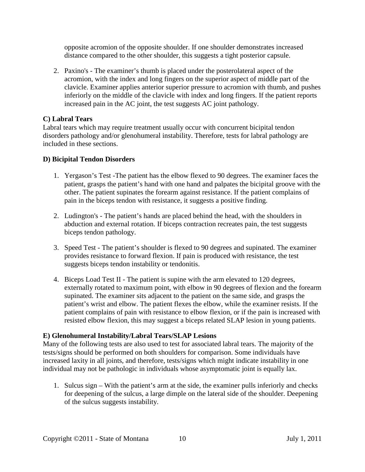opposite acromion of the opposite shoulder. If one shoulder demonstrates increased distance compared to the other shoulder, this suggests a tight posterior capsule.

2. Paxino's - The examiner's thumb is placed under the posterolateral aspect of the acromion, with the index and long fingers on the superior aspect of middle part of the clavicle. Examiner applies anterior superior pressure to acromion with thumb, and pushes inferiorly on the middle of the clavicle with index and long fingers. If the patient reports increased pain in the AC joint, the test suggests AC joint pathology.

#### **C) Labral Tears**

Labral tears which may require treatment usually occur with concurrent bicipital tendon disorders pathology and/or glenohumeral instability. Therefore, tests for labral pathology are included in these sections.

#### **D) Bicipital Tendon Disorders**

- 1. Yergason's Test -The patient has the elbow flexed to 90 degrees. The examiner faces the patient, grasps the patient's hand with one hand and palpates the bicipital groove with the other. The patient supinates the forearm against resistance. If the patient complains of pain in the biceps tendon with resistance, it suggests a positive finding.
- 2. Ludington's The patient's hands are placed behind the head, with the shoulders in abduction and external rotation. If biceps contraction recreates pain, the test suggests biceps tendon pathology.
- 3. Speed Test The patient's shoulder is flexed to 90 degrees and supinated. The examiner provides resistance to forward flexion. If pain is produced with resistance, the test suggests biceps tendon instability or tendonitis.
- 4. Biceps Load Test II The patient is supine with the arm elevated to 120 degrees, externally rotated to maximum point, with elbow in 90 degrees of flexion and the forearm supinated. The examiner sits adjacent to the patient on the same side, and grasps the patient's wrist and elbow. The patient flexes the elbow, while the examiner resists. If the patient complains of pain with resistance to elbow flexion, or if the pain is increased with resisted elbow flexion, this may suggest a biceps related SLAP lesion in young patients.

#### **E) Glenohumeral Instability/Labral Tears/SLAP Lesions**

Many of the following tests are also used to test for associated labral tears. The majority of the tests/signs should be performed on both shoulders for comparison. Some individuals have increased laxity in all joints, and therefore, tests/signs which might indicate instability in one individual may not be pathologic in individuals whose asymptomatic joint is equally lax.

1. Sulcus sign – With the patient's arm at the side, the examiner pulls inferiorly and checks for deepening of the sulcus, a large dimple on the lateral side of the shoulder. Deepening of the sulcus suggests instability.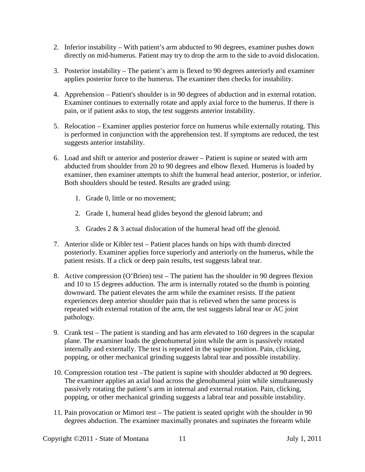- 2. Inferior instability With patient's arm abducted to 90 degrees, examiner pushes down directly on mid-humerus. Patient may try to drop the arm to the side to avoid dislocation.
- 3. Posterior instability The patient's arm is flexed to 90 degrees anteriorly and examiner applies posterior force to the humerus. The examiner then checks for instability.
- 4. Apprehension Patient's shoulder is in 90 degrees of abduction and in external rotation. Examiner continues to externally rotate and apply axial force to the humerus. If there is pain, or if patient asks to stop, the test suggests anterior instability.
- 5. Relocation Examiner applies posterior force on humerus while externally rotating. This is performed in conjunction with the apprehension test. If symptoms are reduced, the test suggests anterior instability.
- 6. Load and shift or anterior and posterior drawer Patient is supine or seated with arm abducted from shoulder from 20 to 90 degrees and elbow flexed. Humerus is loaded by examiner, then examiner attempts to shift the humeral head anterior, posterior, or inferior. Both shoulders should be tested. Results are graded using:
	- 1. Grade 0, little or no movement;
	- 2. Grade 1, humeral head glides beyond the glenoid labrum; and
	- 3. Grades 2 & 3 actual dislocation of the humeral head off the glenoid.
- 7. Anterior slide or Kibler test Patient places hands on hips with thumb directed posteriorly. Examiner applies force superiorly and anteriorly on the humerus, while the patient resists. If a click or deep pain results, test suggests labral tear.
- 8. Active compression (O'Brien) test The patient has the shoulder in 90 degrees flexion and 10 to 15 degrees adduction. The arm is internally rotated so the thumb is pointing downward. The patient elevates the arm while the examiner resists. If the patient experiences deep anterior shoulder pain that is relieved when the same process is repeated with external rotation of the arm, the test suggests labral tear or AC joint pathology.
- 9. Crank test The patient is standing and has arm elevated to 160 degrees in the scapular plane. The examiner loads the glenohumeral joint while the arm is passively rotated internally and externally. The test is repeated in the supine position. Pain, clicking, popping, or other mechanical grinding suggests labral tear and possible instability.
- 10. Compression rotation test –The patient is supine with shoulder abducted at 90 degrees. The examiner applies an axial load across the glenohumeral joint while simultaneously passively rotating the patient's arm in internal and external rotation. Pain, clicking, popping, or other mechanical grinding suggests a labral tear and possible instability.
- 11. Pain provocation or Mimori test The patient is seated upright with the shoulder in 90 degrees abduction. The examiner maximally pronates and supinates the forearm while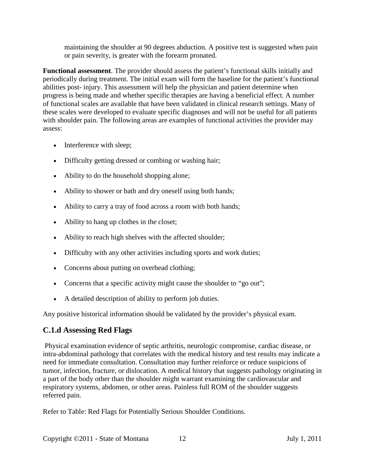maintaining the shoulder at 90 degrees abduction. A positive test is suggested when pain or pain severity, is greater with the forearm pronated.

**Functional assessment**. The provider should assess the patient's functional skills initially and periodically during treatment. The initial exam will form the baseline for the patient's functional abilities post- injury. This assessment will help the physician and patient determine when progress is being made and whether specific therapies are having a beneficial effect. A number of functional scales are available that have been validated in clinical research settings. Many of these scales were developed to evaluate specific diagnoses and will not be useful for all patients with shoulder pain. The following areas are examples of functional activities the provider may assess:

- Interference with sleep;
- Difficulty getting dressed or combing or washing hair;
- Ability to do the household shopping alone;
- Ability to shower or bath and dry oneself using both hands;
- Ability to carry a tray of food across a room with both hands;
- Ability to hang up clothes in the closet;
- Ability to reach high shelves with the affected shoulder;
- Difficulty with any other activities including sports and work duties;
- Concerns about putting on overhead clothing;
- Concerns that a specific activity might cause the shoulder to "go out";
- A detailed description of ability to perform job duties.

Any positive historical information should be validated by the provider's physical exam.

#### **C.1.d Assessing Red Flags**

Physical examination evidence of septic arthritis, neurologic compromise, cardiac disease, or intra-abdominal pathology that correlates with the medical history and test results may indicate a need for immediate consultation. Consultation may further reinforce or reduce suspicions of tumor, infection, fracture, or dislocation. A medical history that suggests pathology originating in a part of the body other than the shoulder might warrant examining the cardiovascular and respiratory systems, abdomen, or other areas. Painless full ROM of the shoulder suggests referred pain.

Refer to Table: Red Flags for Potentially Serious Shoulder Conditions.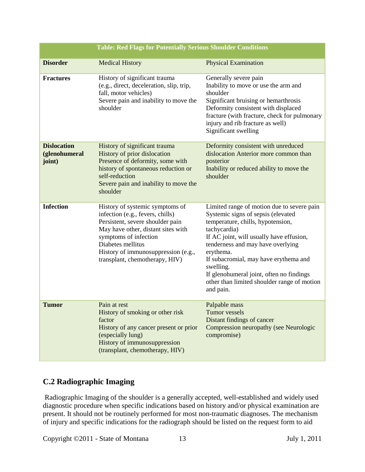| <b>Table: Red Flags for Potentially Serious Shoulder Conditions</b> |                                                                                                                                                                                                                                                                      |                                                                                                                                                                                                                                                                                                                                                                                                   |  |
|---------------------------------------------------------------------|----------------------------------------------------------------------------------------------------------------------------------------------------------------------------------------------------------------------------------------------------------------------|---------------------------------------------------------------------------------------------------------------------------------------------------------------------------------------------------------------------------------------------------------------------------------------------------------------------------------------------------------------------------------------------------|--|
| <b>Disorder</b>                                                     | <b>Medical History</b>                                                                                                                                                                                                                                               | <b>Physical Examination</b>                                                                                                                                                                                                                                                                                                                                                                       |  |
| <b>Fractures</b>                                                    | History of significant trauma<br>(e.g., direct, deceleration, slip, trip,<br>fall, motor vehicles)<br>Severe pain and inability to move the<br>shoulder                                                                                                              | Generally severe pain<br>Inability to move or use the arm and<br>shoulder<br>Significant bruising or hemarthrosis<br>Deformity consistent with displaced<br>fracture (with fracture, check for pulmonary<br>injury and rib fracture as well)<br>Significant swelling                                                                                                                              |  |
| <b>Dislocation</b><br>(glenohumeral<br>joint)                       | History of significant trauma<br>History of prior dislocation<br>Presence of deformity, some with<br>history of spontaneous reduction or<br>self-reduction<br>Severe pain and inability to move the<br>shoulder                                                      | Deformity consistent with unreduced<br>dislocation Anterior more common than<br>posterior<br>Inability or reduced ability to move the<br>shoulder                                                                                                                                                                                                                                                 |  |
| <b>Infection</b>                                                    | History of systemic symptoms of<br>infection (e.g., fevers, chills)<br>Persistent, severe shoulder pain<br>May have other, distant sites with<br>symptoms of infection<br>Diabetes mellitus<br>History of immunosuppression (e.g.,<br>transplant, chemotherapy, HIV) | Limited range of motion due to severe pain<br>Systemic signs of sepsis (elevated<br>temperature, chills, hypotension,<br>tachycardia)<br>If AC joint, will usually have effusion,<br>tenderness and may have overlying<br>erythema.<br>If subacromial, may have erythema and<br>swelling.<br>If glenohumeral joint, often no findings<br>other than limited shoulder range of motion<br>and pain. |  |
| <b>Tumor</b>                                                        | Pain at rest<br>History of smoking or other risk<br>factor<br>History of any cancer present or prior<br>(especially lung)<br>History of immunosuppression<br>(transplant, chemotherapy, HIV)                                                                         | Palpable mass<br><b>Tumor</b> vessels<br>Distant findings of cancer<br>Compression neuropathy (see Neurologic<br>compromise)                                                                                                                                                                                                                                                                      |  |

## **C.2 Radiographic Imaging**

Radiographic Imaging of the shoulder is a generally accepted, well-established and widely used diagnostic procedure when specific indications based on history and/or physical examination are present. It should not be routinely performed for most non-traumatic diagnoses. The mechanism of injury and specific indications for the radiograph should be listed on the request form to aid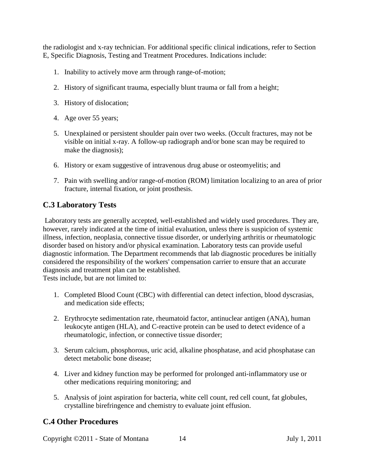the radiologist and x-ray technician. For additional specific clinical indications, refer to Section E, Specific Diagnosis, Testing and Treatment Procedures. Indications include:

- 1. Inability to actively move arm through range-of-motion;
- 2. History of significant trauma, especially blunt trauma or fall from a height;
- 3. History of dislocation;
- 4. Age over 55 years;
- 5. Unexplained or persistent shoulder pain over two weeks. (Occult fractures, may not be visible on initial x-ray. A follow-up radiograph and/or bone scan may be required to make the diagnosis);
- 6. History or exam suggestive of intravenous drug abuse or osteomyelitis; and
- 7. Pain with swelling and/or range-of-motion (ROM) limitation localizing to an area of prior fracture, internal fixation, or joint prosthesis.

#### **C.3 Laboratory Tests**

Laboratory tests are generally accepted, well-established and widely used procedures. They are, however, rarely indicated at the time of initial evaluation, unless there is suspicion of systemic illness, infection, neoplasia, connective tissue disorder, or underlying arthritis or rheumatologic disorder based on history and/or physical examination. Laboratory tests can provide useful diagnostic information. The Department recommends that lab diagnostic procedures be initially considered the responsibility of the workers' compensation carrier to ensure that an accurate diagnosis and treatment plan can be established.

Tests include, but are not limited to:

- 1. Completed Blood Count (CBC) with differential can detect infection, blood dyscrasias, and medication side effects;
- 2. Erythrocyte sedimentation rate, rheumatoid factor, antinuclear antigen (ANA), human leukocyte antigen (HLA), and C-reactive protein can be used to detect evidence of a rheumatologic, infection, or connective tissue disorder;
- 3. Serum calcium, phosphorous, uric acid, alkaline phosphatase, and acid phosphatase can detect metabolic bone disease;
- 4. Liver and kidney function may be performed for prolonged anti-inflammatory use or other medications requiring monitoring; and
- 5. Analysis of joint aspiration for bacteria, white cell count, red cell count, fat globules, crystalline birefringence and chemistry to evaluate joint effusion.

#### **C.4 Other Procedures**

Copyright ©2011 - State of Montana 14 July 1, 2011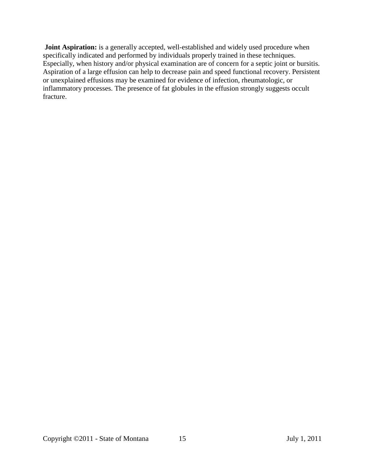**Joint Aspiration:** is a generally accepted, well-established and widely used procedure when specifically indicated and performed by individuals properly trained in these techniques. Especially, when history and/or physical examination are of concern for a septic joint or bursitis. Aspiration of a large effusion can help to decrease pain and speed functional recovery. Persistent or unexplained effusions may be examined for evidence of infection, rheumatologic, or inflammatory processes. The presence of fat globules in the effusion strongly suggests occult fracture.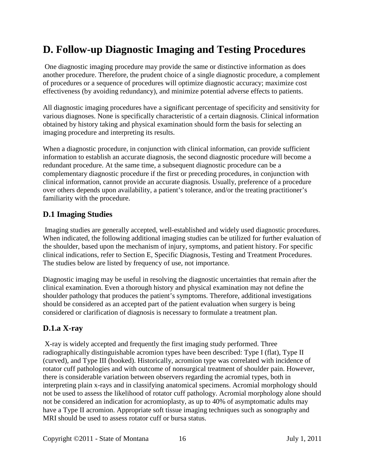# <span id="page-15-0"></span>**D. Follow-up Diagnostic Imaging and Testing Procedures**

One diagnostic imaging procedure may provide the same or distinctive information as does another procedure. Therefore, the prudent choice of a single diagnostic procedure, a complement of procedures or a sequence of procedures will optimize diagnostic accuracy; maximize cost effectiveness (by avoiding redundancy), and minimize potential adverse effects to patients.

All diagnostic imaging procedures have a significant percentage of specificity and sensitivity for various diagnoses. None is specifically characteristic of a certain diagnosis. Clinical information obtained by history taking and physical examination should form the basis for selecting an imaging procedure and interpreting its results.

When a diagnostic procedure, in conjunction with clinical information, can provide sufficient information to establish an accurate diagnosis, the second diagnostic procedure will become a redundant procedure. At the same time, a subsequent diagnostic procedure can be a complementary diagnostic procedure if the first or preceding procedures, in conjunction with clinical information, cannot provide an accurate diagnosis. Usually, preference of a procedure over others depends upon availability, a patient's tolerance, and/or the treating practitioner's familiarity with the procedure.

## <span id="page-15-1"></span>**D.1 Imaging Studies**

Imaging studies are generally accepted, well-established and widely used diagnostic procedures. When indicated, the following additional imaging studies can be utilized for further evaluation of the shoulder, based upon the mechanism of injury, symptoms, and patient history. For specific clinical indications, refer to Section E, Specific Diagnosis, Testing and Treatment Procedures. The studies below are listed by frequency of use, not importance.

Diagnostic imaging may be useful in resolving the diagnostic uncertainties that remain after the clinical examination. Even a thorough history and physical examination may not define the shoulder pathology that produces the patient's symptoms. Therefore, additional investigations should be considered as an accepted part of the patient evaluation when surgery is being considered or clarification of diagnosis is necessary to formulate a treatment plan.

## **D.1.a X-ray**

X-ray is widely accepted and frequently the first imaging study performed. Three radiographically distinguishable acromion types have been described: Type I (flat), Type II (curved), and Type III (hooked). Historically, acromion type was correlated with incidence of rotator cuff pathologies and with outcome of nonsurgical treatment of shoulder pain. However, there is considerable variation between observers regarding the acromial types, both in interpreting plain x-rays and in classifying anatomical specimens. Acromial morphology should not be used to assess the likelihood of rotator cuff pathology. Acromial morphology alone should not be considered an indication for acromioplasty, as up to 40% of asymptomatic adults may have a Type II acromion. Appropriate soft tissue imaging techniques such as sonography and MRI should be used to assess rotator cuff or bursa status.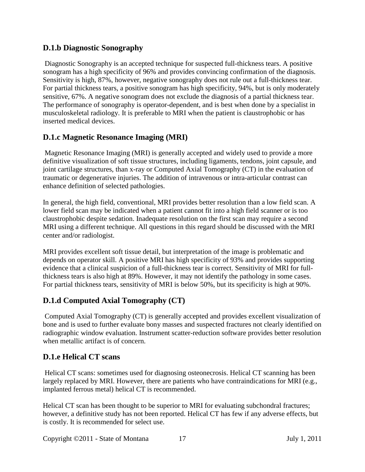### **D.1.b Diagnostic Sonography**

Diagnostic Sonography is an accepted technique for suspected full-thickness tears. A positive sonogram has a high specificity of 96% and provides convincing confirmation of the diagnosis. Sensitivity is high, 87%, however, negative sonography does not rule out a full-thickness tear. For partial thickness tears, a positive sonogram has high specificity, 94%, but is only moderately sensitive, 67%. A negative sonogram does not exclude the diagnosis of a partial thickness tear. The performance of sonography is operator-dependent, and is best when done by a specialist in musculoskeletal radiology. It is preferable to MRI when the patient is claustrophobic or has inserted medical devices.

## **D.1.c Magnetic Resonance Imaging (MRI)**

Magnetic Resonance Imaging (MRI) is generally accepted and widely used to provide a more definitive visualization of soft tissue structures, including ligaments, tendons, joint capsule, and joint cartilage structures, than x-ray or Computed Axial Tomography (CT) in the evaluation of traumatic or degenerative injuries. The addition of intravenous or intra-articular contrast can enhance definition of selected pathologies.

In general, the high field, conventional, MRI provides better resolution than a low field scan. A lower field scan may be indicated when a patient cannot fit into a high field scanner or is too claustrophobic despite sedation. Inadequate resolution on the first scan may require a second MRI using a different technique. All questions in this regard should be discussed with the MRI center and/or radiologist.

MRI provides excellent soft tissue detail, but interpretation of the image is problematic and depends on operator skill. A positive MRI has high specificity of 93% and provides supporting evidence that a clinical suspicion of a full-thickness tear is correct. Sensitivity of MRI for fullthickness tears is also high at 89%. However, it may not identify the pathology in some cases. For partial thickness tears, sensitivity of MRI is below 50%, but its specificity is high at 90%.

## **D.1.d Computed Axial Tomography (CT)**

Computed Axial Tomography (CT) is generally accepted and provides excellent visualization of bone and is used to further evaluate bony masses and suspected fractures not clearly identified on radiographic window evaluation. Instrument scatter-reduction software provides better resolution when metallic artifact is of concern.

## **D.1.e Helical CT scans**

Helical CT scans: sometimes used for diagnosing osteonecrosis. Helical CT scanning has been largely replaced by MRI. However, there are patients who have contraindications for MRI (e.g., implanted ferrous metal) helical CT is recommended.

Helical CT scan has been thought to be superior to MRI for evaluating subchondral fractures; however, a definitive study has not been reported. Helical CT has few if any adverse effects, but is costly. It is recommended for select use.

Copyright ©2011 - State of Montana 17 July 1, 2011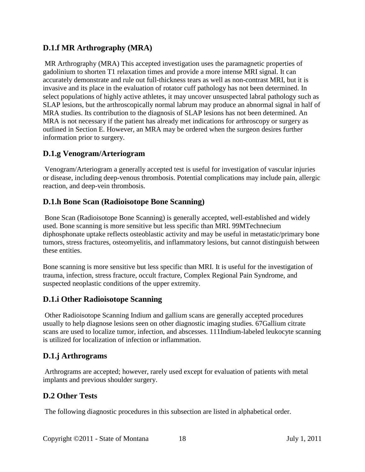## **D.1.f MR Arthrography (MRA)**

MR Arthrography (MRA) This accepted investigation uses the paramagnetic properties of gadolinium to shorten T1 relaxation times and provide a more intense MRI signal. It can accurately demonstrate and rule out full-thickness tears as well as non-contrast MRI, but it is invasive and its place in the evaluation of rotator cuff pathology has not been determined. In select populations of highly active athletes, it may uncover unsuspected labral pathology such as SLAP lesions, but the arthroscopically normal labrum may produce an abnormal signal in half of MRA studies. Its contribution to the diagnosis of SLAP lesions has not been determined. An MRA is not necessary if the patient has already met indications for arthroscopy or surgery as outlined in Section E. However, an MRA may be ordered when the surgeon desires further information prior to surgery.

## **D.1.g Venogram/Arteriogram**

Venogram/Arteriogram a generally accepted test is useful for investigation of vascular injuries or disease, including deep-venous thrombosis. Potential complications may include pain, allergic reaction, and deep-vein thrombosis.

## **D.1.h Bone Scan (Radioisotope Bone Scanning)**

Bone Scan (Radioisotope Bone Scanning) is generally accepted, well-established and widely used. Bone scanning is more sensitive but less specific than MRI. 99MTechnecium diphosphonate uptake reflects osteoblastic activity and may be useful in metastatic/primary bone tumors, stress fractures, osteomyelitis, and inflammatory lesions, but cannot distinguish between these entities.

Bone scanning is more sensitive but less specific than MRI. It is useful for the investigation of trauma, infection, stress fracture, occult fracture, Complex Regional Pain Syndrome, and suspected neoplastic conditions of the upper extremity.

#### **D.1.i Other Radioisotope Scanning**

Other Radioisotope Scanning Indium and gallium scans are generally accepted procedures usually to help diagnose lesions seen on other diagnostic imaging studies. 67Gallium citrate scans are used to localize tumor, infection, and abscesses. 111Indium-labeled leukocyte scanning is utilized for localization of infection or inflammation.

#### **D.1.j Arthrograms**

Arthrograms are accepted; however, rarely used except for evaluation of patients with metal implants and previous shoulder surgery.

## <span id="page-17-0"></span>**D.2 Other Tests**

The following diagnostic procedures in this subsection are listed in alphabetical order.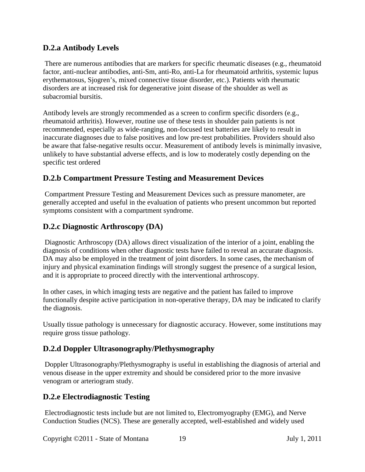## **D.2.a Antibody Levels**

There are numerous antibodies that are markers for specific rheumatic diseases (e.g., rheumatoid factor, anti-nuclear antibodies, anti-Sm, anti-Ro, anti-La for rheumatoid arthritis, systemic lupus erythematosus, Sjogren's, mixed connective tissue disorder, etc.). Patients with rheumatic disorders are at increased risk for degenerative joint disease of the shoulder as well as subacromial bursitis.

Antibody levels are strongly recommended as a screen to confirm specific disorders (e.g., rheumatoid arthritis). However, routine use of these tests in shoulder pain patients is not recommended, especially as wide-ranging, non-focused test batteries are likely to result in inaccurate diagnoses due to false positives and low pre-test probabilities. Providers should also be aware that false-negative results occur. Measurement of antibody levels is minimally invasive, unlikely to have substantial adverse effects, and is low to moderately costly depending on the specific test ordered

## **D.2.b Compartment Pressure Testing and Measurement Devices**

Compartment Pressure Testing and Measurement Devices such as pressure manometer, are generally accepted and useful in the evaluation of patients who present uncommon but reported symptoms consistent with a compartment syndrome.

## **D.2.c Diagnostic Arthroscopy (DA)**

Diagnostic Arthroscopy (DA) allows direct visualization of the interior of a joint, enabling the diagnosis of conditions when other diagnostic tests have failed to reveal an accurate diagnosis. DA may also be employed in the treatment of joint disorders. In some cases, the mechanism of injury and physical examination findings will strongly suggest the presence of a surgical lesion, and it is appropriate to proceed directly with the interventional arthroscopy.

In other cases, in which imaging tests are negative and the patient has failed to improve functionally despite active participation in non-operative therapy, DA may be indicated to clarify the diagnosis.

Usually tissue pathology is unnecessary for diagnostic accuracy. However, some institutions may require gross tissue pathology.

#### **D.2.d Doppler Ultrasonography/Plethysmography**

Doppler Ultrasonography/Plethysmography is useful in establishing the diagnosis of arterial and venous disease in the upper extremity and should be considered prior to the more invasive venogram or arteriogram study.

#### **D.2.e Electrodiagnostic Testing**

Electrodiagnostic tests include but are not limited to, Electromyography (EMG), and Nerve Conduction Studies (NCS). These are generally accepted, well-established and widely used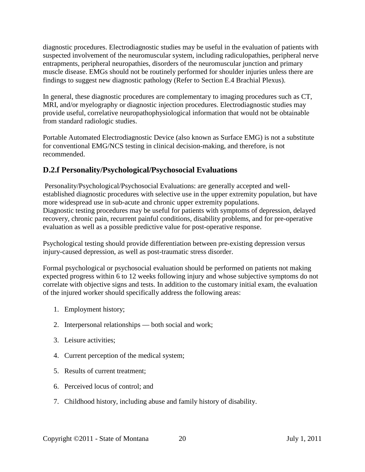diagnostic procedures. Electrodiagnostic studies may be useful in the evaluation of patients with suspected involvement of the neuromuscular system, including radiculopathies, peripheral nerve entrapments, peripheral neuropathies, disorders of the neuromuscular junction and primary muscle disease. EMGs should not be routinely performed for shoulder injuries unless there are findings to suggest new diagnostic pathology (Refer to Section E.4 Brachial Plexus).

In general, these diagnostic procedures are complementary to imaging procedures such as CT, MRI, and/or myelography or diagnostic injection procedures. Electrodiagnostic studies may provide useful, correlative neuropathophysiological information that would not be obtainable from standard radiologic studies.

Portable Automated Electrodiagnostic Device (also known as Surface EMG) is not a substitute for conventional EMG/NCS testing in clinical decision-making, and therefore, is not recommended.

## **D.2.f Personality/Psychological/Psychosocial Evaluations**

Personality/Psychological/Psychosocial Evaluations: are generally accepted and wellestablished diagnostic procedures with selective use in the upper extremity population, but have more widespread use in sub-acute and chronic upper extremity populations. Diagnostic testing procedures may be useful for patients with symptoms of depression, delayed recovery, chronic pain, recurrent painful conditions, disability problems, and for pre-operative evaluation as well as a possible predictive value for post-operative response.

Psychological testing should provide differentiation between pre-existing depression versus injury-caused depression, as well as post-traumatic stress disorder.

Formal psychological or psychosocial evaluation should be performed on patients not making expected progress within 6 to 12 weeks following injury and whose subjective symptoms do not correlate with objective signs and tests. In addition to the customary initial exam, the evaluation of the injured worker should specifically address the following areas:

- 1. Employment history;
- 2. Interpersonal relationships both social and work;
- 3. Leisure activities;
- 4. Current perception of the medical system;
- 5. Results of current treatment;
- 6. Perceived locus of control; and
- 7. Childhood history, including abuse and family history of disability.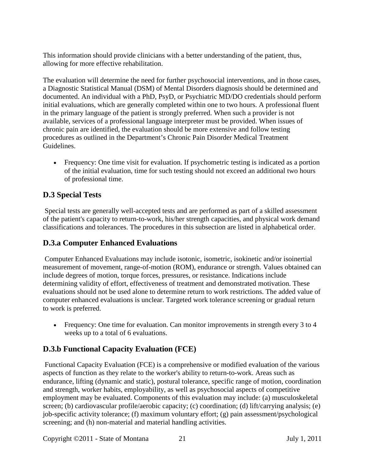This information should provide clinicians with a better understanding of the patient, thus, allowing for more effective rehabilitation.

The evaluation will determine the need for further psychosocial interventions, and in those cases, a Diagnostic Statistical Manual (DSM) of Mental Disorders diagnosis should be determined and documented. An individual with a PhD, PsyD, or Psychiatric MD/DO credentials should perform initial evaluations, which are generally completed within one to two hours. A professional fluent in the primary language of the patient is strongly preferred. When such a provider is not available, services of a professional language interpreter must be provided. When issues of chronic pain are identified, the evaluation should be more extensive and follow testing procedures as outlined in the Department's Chronic Pain Disorder Medical Treatment Guidelines.

• Frequency: One time visit for evaluation. If psychometric testing is indicated as a portion of the initial evaluation, time for such testing should not exceed an additional two hours of professional time.

## <span id="page-20-0"></span>**D.3 Special Tests**

Special tests are generally well-accepted tests and are performed as part of a skilled assessment of the patient's capacity to return-to-work, his/her strength capacities, and physical work demand classifications and tolerances. The procedures in this subsection are listed in alphabetical order.

## **D.3.a Computer Enhanced Evaluations**

Computer Enhanced Evaluations may include isotonic, isometric, isokinetic and/or isoinertial measurement of movement, range-of-motion (ROM), endurance or strength. Values obtained can include degrees of motion, torque forces, pressures, or resistance. Indications include determining validity of effort, effectiveness of treatment and demonstrated motivation. These evaluations should not be used alone to determine return to work restrictions. The added value of computer enhanced evaluations is unclear. Targeted work tolerance screening or gradual return to work is preferred.

• Frequency: One time for evaluation. Can monitor improvements in strength every 3 to 4 weeks up to a total of 6 evaluations.

## **D.3.b Functional Capacity Evaluation (FCE)**

Functional Capacity Evaluation (FCE) is a comprehensive or modified evaluation of the various aspects of function as they relate to the worker's ability to return-to-work. Areas such as endurance, lifting (dynamic and static), postural tolerance, specific range of motion, coordination and strength, worker habits, employability, as well as psychosocial aspects of competitive employment may be evaluated. Components of this evaluation may include: (a) musculoskeletal screen; (b) cardiovascular profile/aerobic capacity; (c) coordination; (d) lift/carrying analysis; (e) job-specific activity tolerance; (f) maximum voluntary effort; (g) pain assessment/psychological screening; and (h) non-material and material handling activities.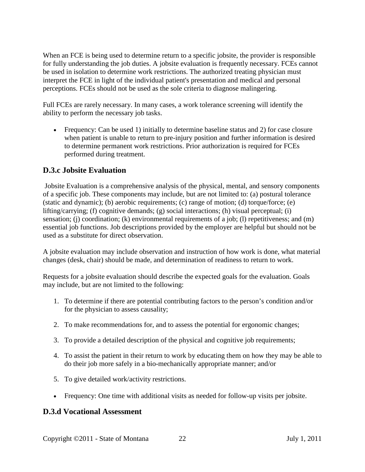When an FCE is being used to determine return to a specific jobsite, the provider is responsible for fully understanding the job duties. A jobsite evaluation is frequently necessary. FCEs cannot be used in isolation to determine work restrictions. The authorized treating physician must interpret the FCE in light of the individual patient's presentation and medical and personal perceptions. FCEs should not be used as the sole criteria to diagnose malingering.

Full FCEs are rarely necessary. In many cases, a work tolerance screening will identify the ability to perform the necessary job tasks.

• Frequency: Can be used 1) initially to determine baseline status and 2) for case closure when patient is unable to return to pre-injury position and further information is desired to determine permanent work restrictions. Prior authorization is required for FCEs performed during treatment.

## **D.3.c Jobsite Evaluation**

Jobsite Evaluation is a comprehensive analysis of the physical, mental, and sensory components of a specific job. These components may include, but are not limited to: (a) postural tolerance (static and dynamic); (b) aerobic requirements; (c) range of motion; (d) torque/force; (e) lifting/carrying; (f) cognitive demands; (g) social interactions; (h) visual perceptual; (i) sensation; (j) coordination; (k) environmental requirements of a job; (l) repetitiveness; and (m) essential job functions. Job descriptions provided by the employer are helpful but should not be used as a substitute for direct observation.

A jobsite evaluation may include observation and instruction of how work is done, what material changes (desk, chair) should be made, and determination of readiness to return to work.

Requests for a jobsite evaluation should describe the expected goals for the evaluation. Goals may include, but are not limited to the following:

- 1. To determine if there are potential contributing factors to the person's condition and/or for the physician to assess causality;
- 2. To make recommendations for, and to assess the potential for ergonomic changes;
- 3. To provide a detailed description of the physical and cognitive job requirements;
- 4. To assist the patient in their return to work by educating them on how they may be able to do their job more safely in a bio-mechanically appropriate manner; and/or
- 5. To give detailed work/activity restrictions.
- Frequency: One time with additional visits as needed for follow-up visits per jobsite.

#### **D.3.d Vocational Assessment**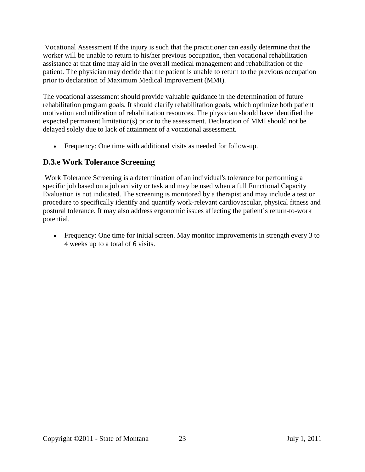Vocational Assessment If the injury is such that the practitioner can easily determine that the worker will be unable to return to his/her previous occupation, then vocational rehabilitation assistance at that time may aid in the overall medical management and rehabilitation of the patient. The physician may decide that the patient is unable to return to the previous occupation prior to declaration of Maximum Medical Improvement (MMI).

The vocational assessment should provide valuable guidance in the determination of future rehabilitation program goals. It should clarify rehabilitation goals, which optimize both patient motivation and utilization of rehabilitation resources. The physician should have identified the expected permanent limitation(s) prior to the assessment. Declaration of MMI should not be delayed solely due to lack of attainment of a vocational assessment.

• Frequency: One time with additional visits as needed for follow-up.

## **D.3.e Work Tolerance Screening**

Work Tolerance Screening is a determination of an individual's tolerance for performing a specific job based on a job activity or task and may be used when a full Functional Capacity Evaluation is not indicated. The screening is monitored by a therapist and may include a test or procedure to specifically identify and quantify work-relevant cardiovascular, physical fitness and postural tolerance. It may also address ergonomic issues affecting the patient's return-to-work potential.

• Frequency: One time for initial screen. May monitor improvements in strength every 3 to 4 weeks up to a total of 6 visits.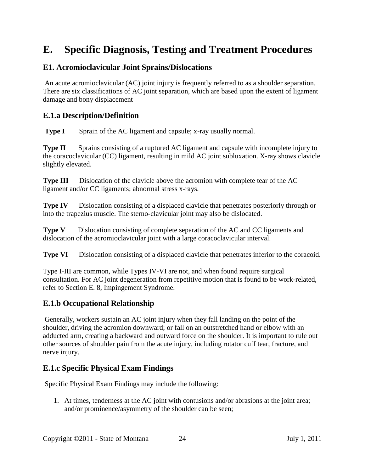# <span id="page-23-0"></span>**E. Specific Diagnosis, Testing and Treatment Procedures**

#### <span id="page-23-1"></span>**E1. Acromioclavicular Joint Sprains/Dislocations**

An acute acromioclavicular (AC) joint injury is frequently referred to as a shoulder separation. There are six classifications of AC joint separation, which are based upon the extent of ligament damage and bony displacement

#### **E.1.a Description/Definition**

**Type I** Sprain of the AC ligament and capsule; x-ray usually normal.

**Type II** Sprains consisting of a ruptured AC ligament and capsule with incomplete injury to the coracoclavicular (CC) ligament, resulting in mild AC joint subluxation. X-ray shows clavicle slightly elevated.

**Type III** Dislocation of the clavicle above the acromion with complete tear of the AC ligament and/or CC ligaments; abnormal stress x-rays.

**Type IV** Dislocation consisting of a displaced clavicle that penetrates posteriorly through or into the trapezius muscle. The sterno-clavicular joint may also be dislocated.

**Type V** Dislocation consisting of complete separation of the AC and CC ligaments and dislocation of the acromioclavicular joint with a large coracoclavicular interval.

**Type VI** Dislocation consisting of a displaced clavicle that penetrates inferior to the coracoid.

Type I-III are common, while Types IV-VI are not, and when found require surgical consultation. For AC joint degeneration from repetitive motion that is found to be work-related, refer to Section E. 8, Impingement Syndrome.

#### **E.1.b Occupational Relationship**

Generally, workers sustain an AC joint injury when they fall landing on the point of the shoulder, driving the acromion downward; or fall on an outstretched hand or elbow with an adducted arm, creating a backward and outward force on the shoulder. It is important to rule out other sources of shoulder pain from the acute injury, including rotator cuff tear, fracture, and nerve injury.

#### **E.1.c Specific Physical Exam Findings**

Specific Physical Exam Findings may include the following:

1. At times, tenderness at the AC joint with contusions and/or abrasions at the joint area; and/or prominence/asymmetry of the shoulder can be seen;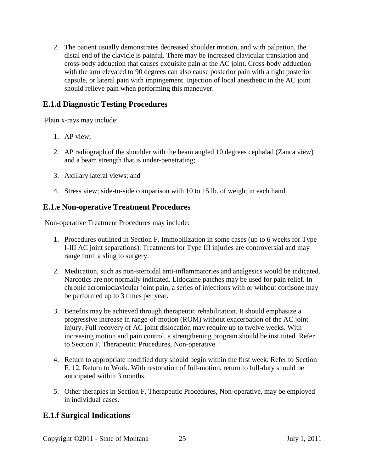2. The patient usually demonstrates decreased shoulder motion, and with palpation, the distal end of the clavicle is painful. There may be increased clavicular translation and cross-body adduction that causes exquisite pain at the AC joint. Cross-body adduction with the arm elevated to 90 degrees can also cause posterior pain with a tight posterior capsule, or lateral pain with impingement. Injection of local anesthetic in the AC joint should relieve pain when performing this maneuver.

## **E.1.d Diagnostic Testing Procedures**

Plain x-rays may include:

- 1. AP view;
- 2. AP radiograph of the shoulder with the beam angled 10 degrees cephalad (Zanca view) and a beam strength that is under-penetrating;
- 3. Axillary lateral views; and
- 4. Stress view; side-to-side comparison with 10 to 15 lb. of weight in each hand.

#### **E.1.e Non-operative Treatment Procedures**

Non-operative Treatment Procedures may include:

- 1. Procedures outlined in Section F. Immobilization in some cases (up to 6 weeks for Type I-III AC joint separations). Treatments for Type III injuries are controversial and may range from a sling to surgery.
- 2. Medication, such as non-steroidal anti-inflammatories and analgesics would be indicated. Narcotics are not normally indicated. Lidocaine patches may be used for pain relief. In chronic acromioclavicular joint pain, a series of injections with or without cortisone may be performed up to 3 times per year.
- 3. Benefits may be achieved through therapeutic rehabilitation. It should emphasize a progressive increase in range-of-motion (ROM) without exacerbation of the AC joint injury. Full recovery of AC joint dislocation may require up to twelve weeks. With increasing motion and pain control, a strengthening program should be instituted. Refer to Section F, Therapeutic Procedures, Non-operative.
- 4. Return to appropriate modified duty should begin within the first week. Refer to Section F. 12, Return to Work. With restoration of full-motion, return to full-duty should be anticipated within 3 months.
- 5. Other therapies in Section F, Therapeutic Procedures, Non-operative, may be employed in individual cases.

## **E.1.f Surgical Indications**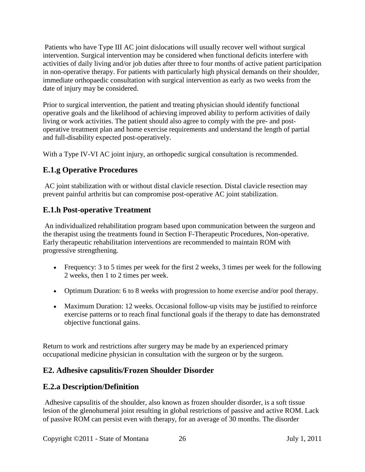Patients who have Type III AC joint dislocations will usually recover well without surgical intervention. Surgical intervention may be considered when functional deficits interfere with activities of daily living and/or job duties after three to four months of active patient participation in non-operative therapy. For patients with particularly high physical demands on their shoulder, immediate orthopaedic consultation with surgical intervention as early as two weeks from the date of injury may be considered.

Prior to surgical intervention, the patient and treating physician should identify functional operative goals and the likelihood of achieving improved ability to perform activities of daily living or work activities. The patient should also agree to comply with the pre- and postoperative treatment plan and home exercise requirements and understand the length of partial and full-disability expected post-operatively.

With a Type IV-VI AC joint injury, an orthopedic surgical consultation is recommended.

# **E.1.g Operative Procedures**

AC joint stabilization with or without distal clavicle resection. Distal clavicle resection may prevent painful arthritis but can compromise post-operative AC joint stabilization.

## **E.1.h Post-operative Treatment**

An individualized rehabilitation program based upon communication between the surgeon and the therapist using the treatments found in Section F-Therapeutic Procedures, Non-operative. Early therapeutic rehabilitation interventions are recommended to maintain ROM with progressive strengthening.

- Frequency: 3 to 5 times per week for the first 2 weeks, 3 times per week for the following 2 weeks, then 1 to 2 times per week.
- Optimum Duration: 6 to 8 weeks with progression to home exercise and/or pool therapy.
- Maximum Duration: 12 weeks. Occasional follow-up visits may be justified to reinforce exercise patterns or to reach final functional goals if the therapy to date has demonstrated objective functional gains.

Return to work and restrictions after surgery may be made by an experienced primary occupational medicine physician in consultation with the surgeon or by the surgeon.

## <span id="page-25-0"></span>**E2. Adhesive capsulitis/Frozen Shoulder Disorder**

## **E.2.a Description/Definition**

Adhesive capsulitis of the shoulder, also known as frozen shoulder disorder, is a soft tissue lesion of the glenohumeral joint resulting in global restrictions of passive and active ROM. Lack of passive ROM can persist even with therapy, for an average of 30 months. The disorder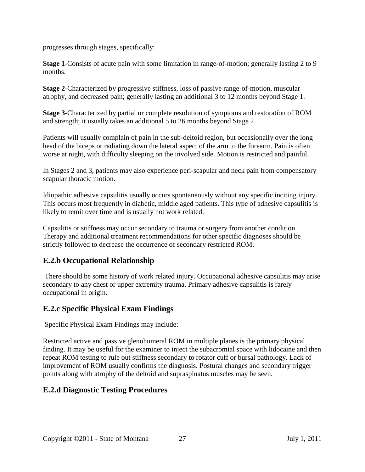progresses through stages, specifically:

**Stage 1**-Consists of acute pain with some limitation in range-of-motion; generally lasting 2 to 9 months.

**Stage 2**-Characterized by progressive stiffness, loss of passive range-of-motion, muscular atrophy, and decreased pain; generally lasting an additional 3 to 12 months beyond Stage 1.

**Stage 3**-Characterized by partial or complete resolution of symptoms and restoration of ROM and strength; it usually takes an additional 5 to 26 months beyond Stage 2.

Patients will usually complain of pain in the sub-deltoid region, but occasionally over the long head of the biceps or radiating down the lateral aspect of the arm to the forearm. Pain is often worse at night, with difficulty sleeping on the involved side. Motion is restricted and painful.

In Stages 2 and 3, patients may also experience peri-scapular and neck pain from compensatory scapular thoracic motion.

Idiopathic adhesive capsulitis usually occurs spontaneously without any specific inciting injury. This occurs most frequently in diabetic, middle aged patients. This type of adhesive capsulitis is likely to remit over time and is usually not work related.

Capsulitis or stiffness may occur secondary to trauma or surgery from another condition. Therapy and additional treatment recommendations for other specific diagnoses should be strictly followed to decrease the occurrence of secondary restricted ROM.

## **E.2.b Occupational Relationship**

There should be some history of work related injury. Occupational adhesive capsulitis may arise secondary to any chest or upper extremity trauma. Primary adhesive capsulitis is rarely occupational in origin.

## **E.2.c Specific Physical Exam Findings**

Specific Physical Exam Findings may include:

Restricted active and passive glenohumeral ROM in multiple planes is the primary physical finding. It may be useful for the examiner to inject the subacromial space with lidocaine and then repeat ROM testing to rule out stiffness secondary to rotator cuff or bursal pathology. Lack of improvement of ROM usually confirms the diagnosis. Postural changes and secondary trigger points along with atrophy of the deltoid and supraspinatus muscles may be seen.

## **E.2.d Diagnostic Testing Procedures**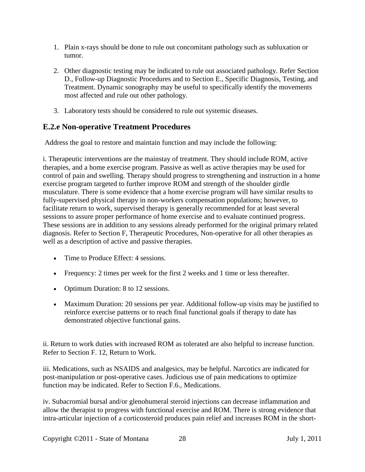- 1. Plain x-rays should be done to rule out concomitant pathology such as subluxation or tumor.
- 2. Other diagnostic testing may be indicated to rule out associated pathology. Refer Section D., Follow-up Diagnostic Procedures and to Section E., Specific Diagnosis, Testing, and Treatment. Dynamic sonography may be useful to specifically identify the movements most affected and rule out other pathology.
- 3. Laboratory tests should be considered to rule out systemic diseases.

## **E.2.e Non-operative Treatment Procedures**

Address the goal to restore and maintain function and may include the following:

i. Therapeutic interventions are the mainstay of treatment. They should include ROM, active therapies, and a home exercise program. Passive as well as active therapies may be used for control of pain and swelling. Therapy should progress to strengthening and instruction in a home exercise program targeted to further improve ROM and strength of the shoulder girdle musculature. There is some evidence that a home exercise program will have similar results to fully-supervised physical therapy in non-workers compensation populations; however, to facilitate return to work, supervised therapy is generally recommended for at least several sessions to assure proper performance of home exercise and to evaluate continued progress. These sessions are in addition to any sessions already performed for the original primary related diagnosis. Refer to Section F, Therapeutic Procedures, Non-operative for all other therapies as well as a description of active and passive therapies.

- Time to Produce Effect: 4 sessions.
- Frequency: 2 times per week for the first 2 weeks and 1 time or less thereafter.
- Optimum Duration: 8 to 12 sessions.
- Maximum Duration: 20 sessions per year. Additional follow-up visits may be justified to reinforce exercise patterns or to reach final functional goals if therapy to date has demonstrated objective functional gains.

ii. Return to work duties with increased ROM as tolerated are also helpful to increase function. Refer to Section F. 12, Return to Work.

iii. Medications, such as NSAIDS and analgesics, may be helpful. Narcotics are indicated for post-manipulation or post-operative cases. Judicious use of pain medications to optimize function may be indicated. Refer to Section F.6., Medications.

iv. Subacromial bursal and/or glenohumeral steroid injections can decrease inflammation and allow the therapist to progress with functional exercise and ROM. There is strong evidence that intra-articular injection of a corticosteroid produces pain relief and increases ROM in the short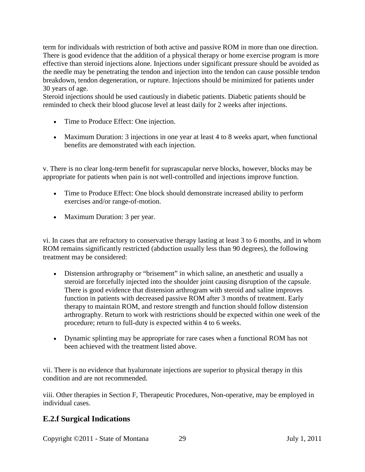term for individuals with restriction of both active and passive ROM in more than one direction. There is good evidence that the addition of a physical therapy or home exercise program is more effective than steroid injections alone. Injections under significant pressure should be avoided as the needle may be penetrating the tendon and injection into the tendon can cause possible tendon breakdown, tendon degeneration, or rupture. Injections should be minimized for patients under 30 years of age.

Steroid injections should be used cautiously in diabetic patients. Diabetic patients should be reminded to check their blood glucose level at least daily for 2 weeks after injections.

- Time to Produce Effect: One injection.
- Maximum Duration: 3 injections in one year at least 4 to 8 weeks apart, when functional benefits are demonstrated with each injection.

v. There is no clear long-term benefit for suprascapular nerve blocks, however, blocks may be appropriate for patients when pain is not well-controlled and injections improve function.

- Time to Produce Effect: One block should demonstrate increased ability to perform exercises and/or range-of-motion.
- Maximum Duration: 3 per year.

vi. In cases that are refractory to conservative therapy lasting at least 3 to 6 months, and in whom ROM remains significantly restricted (abduction usually less than 90 degrees), the following treatment may be considered:

- Distension arthrography or "brisement" in which saline, an anesthetic and usually a steroid are forcefully injected into the shoulder joint causing disruption of the capsule. There is good evidence that distension arthrogram with steroid and saline improves function in patients with decreased passive ROM after 3 months of treatment. Early therapy to maintain ROM, and restore strength and function should follow distension arthrography. Return to work with restrictions should be expected within one week of the procedure; return to full-duty is expected within 4 to 6 weeks.
- Dynamic splinting may be appropriate for rare cases when a functional ROM has not been achieved with the treatment listed above.

vii. There is no evidence that hyaluronate injections are superior to physical therapy in this condition and are not recommended.

viii. Other therapies in Section F, Therapeutic Procedures, Non-operative, may be employed in individual cases.

## **E.2.f Surgical Indications**

Copyright ©2011 - State of Montana 29 July 1, 2011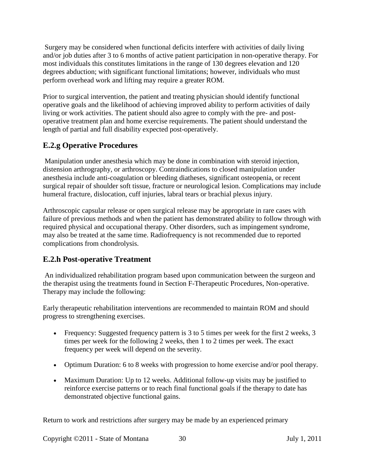Surgery may be considered when functional deficits interfere with activities of daily living and/or job duties after 3 to 6 months of active patient participation in non-operative therapy. For most individuals this constitutes limitations in the range of 130 degrees elevation and 120 degrees abduction; with significant functional limitations; however, individuals who must perform overhead work and lifting may require a greater ROM.

Prior to surgical intervention, the patient and treating physician should identify functional operative goals and the likelihood of achieving improved ability to perform activities of daily living or work activities. The patient should also agree to comply with the pre- and postoperative treatment plan and home exercise requirements. The patient should understand the length of partial and full disability expected post-operatively.

## **E.2.g Operative Procedures**

Manipulation under anesthesia which may be done in combination with steroid injection, distension arthrography, or arthroscopy. Contraindications to closed manipulation under anesthesia include anti-coagulation or bleeding diatheses, significant osteopenia, or recent surgical repair of shoulder soft tissue, fracture or neurological lesion. Complications may include humeral fracture, dislocation, cuff injuries, labral tears or brachial plexus injury.

Arthroscopic capsular release or open surgical release may be appropriate in rare cases with failure of previous methods and when the patient has demonstrated ability to follow through with required physical and occupational therapy. Other disorders, such as impingement syndrome, may also be treated at the same time. Radiofrequency is not recommended due to reported complications from chondrolysis.

## **E.2.h Post-operative Treatment**

An individualized rehabilitation program based upon communication between the surgeon and the therapist using the treatments found in Section F-Therapeutic Procedures, Non-operative. Therapy may include the following:

Early therapeutic rehabilitation interventions are recommended to maintain ROM and should progress to strengthening exercises.

- Frequency: Suggested frequency pattern is 3 to 5 times per week for the first 2 weeks, 3 times per week for the following 2 weeks, then 1 to 2 times per week. The exact frequency per week will depend on the severity.
- Optimum Duration: 6 to 8 weeks with progression to home exercise and/or pool therapy.
- Maximum Duration: Up to 12 weeks. Additional follow-up visits may be justified to reinforce exercise patterns or to reach final functional goals if the therapy to date has demonstrated objective functional gains.

Return to work and restrictions after surgery may be made by an experienced primary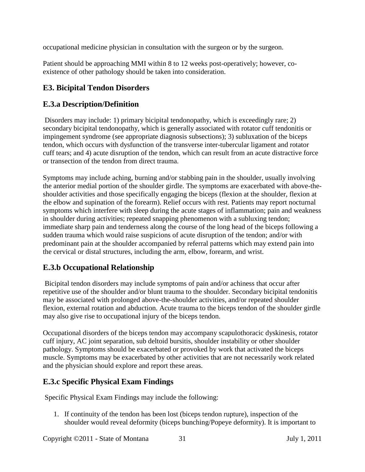occupational medicine physician in consultation with the surgeon or by the surgeon.

Patient should be approaching MMI within 8 to 12 weeks post-operatively; however, coexistence of other pathology should be taken into consideration.

## <span id="page-30-0"></span>**E3. Bicipital Tendon Disorders**

## **E.3.a Description/Definition**

Disorders may include: 1) primary bicipital tendonopathy, which is exceedingly rare; 2) secondary bicipital tendonopathy, which is generally associated with rotator cuff tendonitis or impingement syndrome (see appropriate diagnosis subsections); 3) subluxation of the biceps tendon, which occurs with dysfunction of the transverse inter-tubercular ligament and rotator cuff tears; and 4) acute disruption of the tendon, which can result from an acute distractive force or transection of the tendon from direct trauma.

Symptoms may include aching, burning and/or stabbing pain in the shoulder, usually involving the anterior medial portion of the shoulder girdle. The symptoms are exacerbated with above-theshoulder activities and those specifically engaging the biceps (flexion at the shoulder, flexion at the elbow and supination of the forearm). Relief occurs with rest. Patients may report nocturnal symptoms which interfere with sleep during the acute stages of inflammation; pain and weakness in shoulder during activities; repeated snapping phenomenon with a subluxing tendon; immediate sharp pain and tenderness along the course of the long head of the biceps following a sudden trauma which would raise suspicions of acute disruption of the tendon; and/or with predominant pain at the shoulder accompanied by referral patterns which may extend pain into the cervical or distal structures, including the arm, elbow, forearm, and wrist.

## **E.3.b Occupational Relationship**

Bicipital tendon disorders may include symptoms of pain and/or achiness that occur after repetitive use of the shoulder and/or blunt trauma to the shoulder. Secondary bicipital tendonitis may be associated with prolonged above-the-shoulder activities, and/or repeated shoulder flexion, external rotation and abduction. Acute trauma to the biceps tendon of the shoulder girdle may also give rise to occupational injury of the biceps tendon.

Occupational disorders of the biceps tendon may accompany scapulothoracic dyskinesis, rotator cuff injury, AC joint separation, sub deltoid bursitis, shoulder instability or other shoulder pathology. Symptoms should be exacerbated or provoked by work that activated the biceps muscle. Symptoms may be exacerbated by other activities that are not necessarily work related and the physician should explore and report these areas.

## **E.3.c Specific Physical Exam Findings**

Specific Physical Exam Findings may include the following:

1. If continuity of the tendon has been lost (biceps tendon rupture), inspection of the shoulder would reveal deformity (biceps bunching/Popeye deformity). It is important to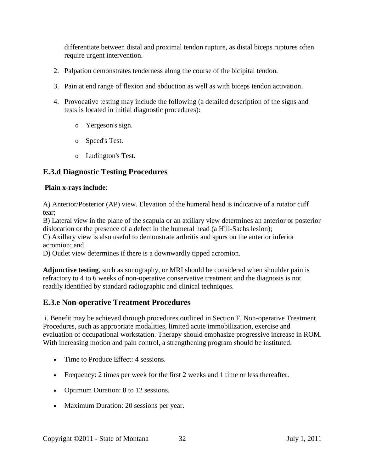differentiate between distal and proximal tendon rupture, as distal biceps ruptures often require urgent intervention.

- 2. Palpation demonstrates tenderness along the course of the bicipital tendon.
- 3. Pain at end range of flexion and abduction as well as with biceps tendon activation.
- 4. Provocative testing may include the following (a detailed description of the signs and tests is located in initial diagnostic procedures):
	- o Yergeson's sign.
	- o Speed's Test.
	- o Ludington's Test.

#### **E.3.d Diagnostic Testing Procedures**

#### **Plain x-rays include**:

A) Anterior/Posterior (AP) view. Elevation of the humeral head is indicative of a rotator cuff tear;

B) Lateral view in the plane of the scapula or an axillary view determines an anterior or posterior dislocation or the presence of a defect in the humeral head (a Hill-Sachs lesion);

C) Axillary view is also useful to demonstrate arthritis and spurs on the anterior inferior acromion; and

D) Outlet view determines if there is a downwardly tipped acromion.

**Adjunctive testing**, such as sonography, or MRI should be considered when shoulder pain is refractory to 4 to 6 weeks of non-operative conservative treatment and the diagnosis is not readily identified by standard radiographic and clinical techniques.

#### **E.3.e Non-operative Treatment Procedures**

i. Benefit may be achieved through procedures outlined in Section F, Non-operative Treatment Procedures, such as appropriate modalities, limited acute immobilization, exercise and evaluation of occupational workstation. Therapy should emphasize progressive increase in ROM. With increasing motion and pain control, a strengthening program should be instituted.

- Time to Produce Effect: 4 sessions.
- Frequency: 2 times per week for the first 2 weeks and 1 time or less thereafter.
- Optimum Duration: 8 to 12 sessions.
- Maximum Duration: 20 sessions per year.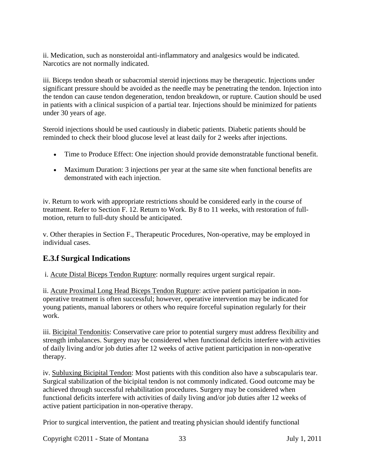ii. Medication, such as nonsteroidal anti-inflammatory and analgesics would be indicated. Narcotics are not normally indicated.

iii. Biceps tendon sheath or subacromial steroid injections may be therapeutic. Injections under significant pressure should be avoided as the needle may be penetrating the tendon. Injection into the tendon can cause tendon degeneration, tendon breakdown, or rupture. Caution should be used in patients with a clinical suspicion of a partial tear. Injections should be minimized for patients under 30 years of age.

Steroid injections should be used cautiously in diabetic patients. Diabetic patients should be reminded to check their blood glucose level at least daily for 2 weeks after injections.

- Time to Produce Effect: One injection should provide demonstratable functional benefit.
- Maximum Duration: 3 injections per year at the same site when functional benefits are demonstrated with each injection.

iv. Return to work with appropriate restrictions should be considered early in the course of treatment. Refer to Section F. 12. Return to Work. By 8 to 11 weeks, with restoration of fullmotion, return to full-duty should be anticipated.

v. Other therapies in Section F., Therapeutic Procedures, Non-operative, may be employed in individual cases.

## **E.3.f Surgical Indications**

i. Acute Distal Biceps Tendon Rupture: normally requires urgent surgical repair.

ii. Acute Proximal Long Head Biceps Tendon Rupture: active patient participation in nonoperative treatment is often successful; however, operative intervention may be indicated for young patients, manual laborers or others who require forceful supination regularly for their work.

iii. Bicipital Tendonitis: Conservative care prior to potential surgery must address flexibility and strength imbalances. Surgery may be considered when functional deficits interfere with activities of daily living and/or job duties after 12 weeks of active patient participation in non-operative therapy.

iv. Subluxing Bicipital Tendon: Most patients with this condition also have a subscapularis tear. Surgical stabilization of the bicipital tendon is not commonly indicated. Good outcome may be achieved through successful rehabilitation procedures. Surgery may be considered when functional deficits interfere with activities of daily living and/or job duties after 12 weeks of active patient participation in non-operative therapy.

Prior to surgical intervention, the patient and treating physician should identify functional

Copyright ©2011 - State of Montana 33 July 1, 2011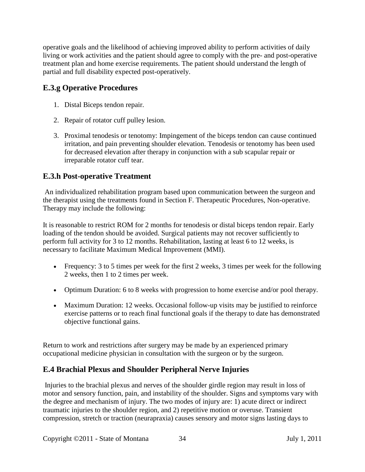operative goals and the likelihood of achieving improved ability to perform activities of daily living or work activities and the patient should agree to comply with the pre- and post-operative treatment plan and home exercise requirements. The patient should understand the length of partial and full disability expected post-operatively.

## **E.3.g Operative Procedures**

- 1. Distal Biceps tendon repair.
- 2. Repair of rotator cuff pulley lesion.
- 3. Proximal tenodesis or tenotomy: Impingement of the biceps tendon can cause continued irritation, and pain preventing shoulder elevation. Tenodesis or tenotomy has been used for decreased elevation after therapy in conjunction with a sub scapular repair or irreparable rotator cuff tear.

## **E.3.h Post-operative Treatment**

An individualized rehabilitation program based upon communication between the surgeon and the therapist using the treatments found in Section F. Therapeutic Procedures, Non-operative. Therapy may include the following:

It is reasonable to restrict ROM for 2 months for tenodesis or distal biceps tendon repair. Early loading of the tendon should be avoided. Surgical patients may not recover sufficiently to perform full activity for 3 to 12 months. Rehabilitation, lasting at least 6 to 12 weeks, is necessary to facilitate Maximum Medical Improvement (MMI).

- Frequency: 3 to 5 times per week for the first 2 weeks, 3 times per week for the following 2 weeks, then 1 to 2 times per week.
- Optimum Duration: 6 to 8 weeks with progression to home exercise and/or pool therapy.
- Maximum Duration: 12 weeks. Occasional follow-up visits may be justified to reinforce exercise patterns or to reach final functional goals if the therapy to date has demonstrated objective functional gains.

Return to work and restrictions after surgery may be made by an experienced primary occupational medicine physician in consultation with the surgeon or by the surgeon.

## <span id="page-33-0"></span>**E.4 Brachial Plexus and Shoulder Peripheral Nerve Injuries**

Injuries to the brachial plexus and nerves of the shoulder girdle region may result in loss of motor and sensory function, pain, and instability of the shoulder. Signs and symptoms vary with the degree and mechanism of injury. The two modes of injury are: 1) acute direct or indirect traumatic injuries to the shoulder region, and 2) repetitive motion or overuse. Transient compression, stretch or traction (neurapraxia) causes sensory and motor signs lasting days to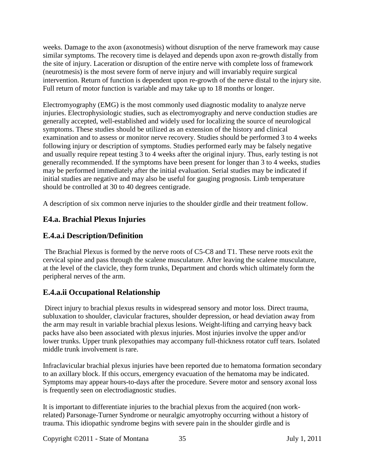weeks. Damage to the axon (axonotmesis) without disruption of the nerve framework may cause similar symptoms. The recovery time is delayed and depends upon axon re-growth distally from the site of injury. Laceration or disruption of the entire nerve with complete loss of framework (neurotmesis) is the most severe form of nerve injury and will invariably require surgical intervention. Return of function is dependent upon re-growth of the nerve distal to the injury site. Full return of motor function is variable and may take up to 18 months or longer.

Electromyography (EMG) is the most commonly used diagnostic modality to analyze nerve injuries. Electrophysiologic studies, such as electromyography and nerve conduction studies are generally accepted, well-established and widely used for localizing the source of neurological symptoms. These studies should be utilized as an extension of the history and clinical examination and to assess or monitor nerve recovery. Studies should be performed 3 to 4 weeks following injury or description of symptoms. Studies performed early may be falsely negative and usually require repeat testing 3 to 4 weeks after the original injury. Thus, early testing is not generally recommended. If the symptoms have been present for longer than 3 to 4 weeks, studies may be performed immediately after the initial evaluation. Serial studies may be indicated if initial studies are negative and may also be useful for gauging prognosis. Limb temperature should be controlled at 30 to 40 degrees centigrade.

A description of six common nerve injuries to the shoulder girdle and their treatment follow.

## <span id="page-34-0"></span>**E4.a. Brachial Plexus Injuries**

## **E.4.a.i Description/Definition**

The Brachial Plexus is formed by the nerve roots of C5-C8 and T1. These nerve roots exit the cervical spine and pass through the scalene musculature. After leaving the scalene musculature, at the level of the clavicle, they form trunks, Department and chords which ultimately form the peripheral nerves of the arm.

## **E.4.a.ii Occupational Relationship**

Direct injury to brachial plexus results in widespread sensory and motor loss. Direct trauma, subluxation to shoulder, clavicular fractures, shoulder depression, or head deviation away from the arm may result in variable brachial plexus lesions. Weight-lifting and carrying heavy back packs have also been associated with plexus injuries. Most injuries involve the upper and/or lower trunks. Upper trunk plexopathies may accompany full-thickness rotator cuff tears. Isolated middle trunk involvement is rare.

Infraclavicular brachial plexus injuries have been reported due to hematoma formation secondary to an axillary block. If this occurs, emergency evacuation of the hematoma may be indicated. Symptoms may appear hours-to-days after the procedure. Severe motor and sensory axonal loss is frequently seen on electrodiagnostic studies.

It is important to differentiate injuries to the brachial plexus from the acquired (non workrelated) Parsonage-Turner Syndrome or neuralgic amyotrophy occurring without a history of trauma. This idiopathic syndrome begins with severe pain in the shoulder girdle and is

Copyright ©2011 - State of Montana 35 July 1, 2011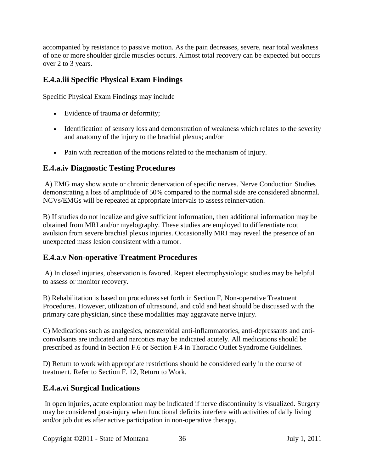accompanied by resistance to passive motion. As the pain decreases, severe, near total weakness of one or more shoulder girdle muscles occurs. Almost total recovery can be expected but occurs over 2 to 3 years.

## **E.4.a.iii Specific Physical Exam Findings**

Specific Physical Exam Findings may include

- Evidence of trauma or deformity;
- Identification of sensory loss and demonstration of weakness which relates to the severity and anatomy of the injury to the brachial plexus; and/or
- Pain with recreation of the motions related to the mechanism of injury.

## **E.4.a.iv Diagnostic Testing Procedures**

A) EMG may show acute or chronic denervation of specific nerves. Nerve Conduction Studies demonstrating a loss of amplitude of 50% compared to the normal side are considered abnormal. NCVs/EMGs will be repeated at appropriate intervals to assess reinnervation.

B) If studies do not localize and give sufficient information, then additional information may be obtained from MRI and/or myelography. These studies are employed to differentiate root avulsion from severe brachial plexus injuries. Occasionally MRI may reveal the presence of an unexpected mass lesion consistent with a tumor.

## **E.4.a.v Non-operative Treatment Procedures**

A) In closed injuries, observation is favored. Repeat electrophysiologic studies may be helpful to assess or monitor recovery.

B) Rehabilitation is based on procedures set forth in Section F, Non-operative Treatment Procedures. However, utilization of ultrasound, and cold and heat should be discussed with the primary care physician, since these modalities may aggravate nerve injury.

C) Medications such as analgesics, nonsteroidal anti-inflammatories, anti-depressants and anticonvulsants are indicated and narcotics may be indicated acutely. All medications should be prescribed as found in Section F.6 or Section F.4 in Thoracic Outlet Syndrome Guidelines.

D) Return to work with appropriate restrictions should be considered early in the course of treatment. Refer to Section F. 12, Return to Work.

## **E.4.a.vi Surgical Indications**

In open injuries, acute exploration may be indicated if nerve discontinuity is visualized. Surgery may be considered post-injury when functional deficits interfere with activities of daily living and/or job duties after active participation in non-operative therapy.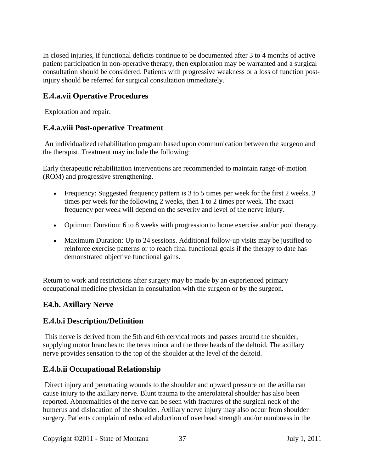In closed injuries, if functional deficits continue to be documented after 3 to 4 months of active patient participation in non-operative therapy, then exploration may be warranted and a surgical consultation should be considered. Patients with progressive weakness or a loss of function postinjury should be referred for surgical consultation immediately.

## **E.4.a.vii Operative Procedures**

Exploration and repair.

### **E.4.a.viii Post-operative Treatment**

An individualized rehabilitation program based upon communication between the surgeon and the therapist. Treatment may include the following:

Early therapeutic rehabilitation interventions are recommended to maintain range-of-motion (ROM) and progressive strengthening.

- Frequency: Suggested frequency pattern is 3 to 5 times per week for the first 2 weeks. 3 times per week for the following 2 weeks, then 1 to 2 times per week. The exact frequency per week will depend on the severity and level of the nerve injury.
- Optimum Duration: 6 to 8 weeks with progression to home exercise and/or pool therapy.
- Maximum Duration: Up to 24 sessions. Additional follow-up visits may be justified to reinforce exercise patterns or to reach final functional goals if the therapy to date has demonstrated objective functional gains.

Return to work and restrictions after surgery may be made by an experienced primary occupational medicine physician in consultation with the surgeon or by the surgeon.

## **E4.b. Axillary Nerve**

## **E.4.b.i Description/Definition**

This nerve is derived from the 5th and 6th cervical roots and passes around the shoulder, supplying motor branches to the teres minor and the three heads of the deltoid. The axillary nerve provides sensation to the top of the shoulder at the level of the deltoid.

## **E.4.b.ii Occupational Relationship**

Direct injury and penetrating wounds to the shoulder and upward pressure on the axilla can cause injury to the axillary nerve. Blunt trauma to the anterolateral shoulder has also been reported. Abnormalities of the nerve can be seen with fractures of the surgical neck of the humerus and dislocation of the shoulder. Axillary nerve injury may also occur from shoulder surgery. Patients complain of reduced abduction of overhead strength and/or numbness in the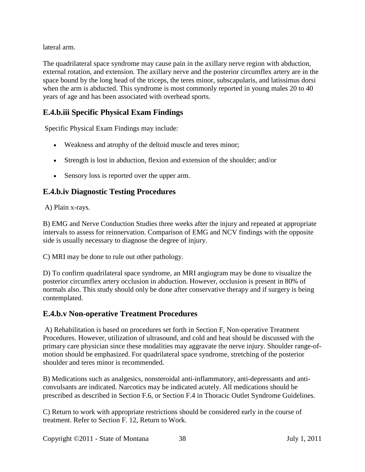lateral arm.

The quadrilateral space syndrome may cause pain in the axillary nerve region with abduction, external rotation, and extension. The axillary nerve and the posterior circumflex artery are in the space bound by the long head of the triceps, the teres minor, subscapularis, and latissimus dorsi when the arm is abducted. This syndrome is most commonly reported in young males 20 to 40 years of age and has been associated with overhead sports.

## **E.4.b.iii Specific Physical Exam Findings**

Specific Physical Exam Findings may include:

- Weakness and atrophy of the deltoid muscle and teres minor;
- Strength is lost in abduction, flexion and extension of the shoulder; and/or
- Sensory loss is reported over the upper arm.

## **E.4.b.iv Diagnostic Testing Procedures**

A) Plain x-rays.

B) EMG and Nerve Conduction Studies three weeks after the injury and repeated at appropriate intervals to assess for reinnervation. Comparison of EMG and NCV findings with the opposite side is usually necessary to diagnose the degree of injury.

C) MRI may be done to rule out other pathology.

D) To confirm quadrilateral space syndrome, an MRI angiogram may be done to visualize the posterior circumflex artery occlusion in abduction. However, occlusion is present in 80% of normals also. This study should only be done after conservative therapy and if surgery is being contemplated.

#### **E.4.b.v Non-operative Treatment Procedures**

A) Rehabilitation is based on procedures set forth in Section F, Non-operative Treatment Procedures. However, utilization of ultrasound, and cold and heat should be discussed with the primary care physician since these modalities may aggravate the nerve injury. Shoulder range-ofmotion should be emphasized. For quadrilateral space syndrome, stretching of the posterior shoulder and teres minor is recommended.

B) Medications such as analgesics, nonsteroidal anti-inflammatory, anti-depressants and anticonvulsants are indicated. Narcotics may be indicated acutely. All medications should be prescribed as described in Section F.6, or Section F.4 in Thoracic Outlet Syndrome Guidelines.

C) Return to work with appropriate restrictions should be considered early in the course of treatment. Refer to Section F. 12, Return to Work.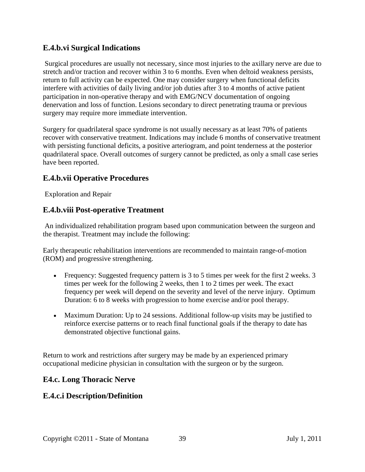### **E.4.b.vi Surgical Indications**

Surgical procedures are usually not necessary, since most injuries to the axillary nerve are due to stretch and/or traction and recover within 3 to 6 months. Even when deltoid weakness persists, return to full activity can be expected. One may consider surgery when functional deficits interfere with activities of daily living and/or job duties after 3 to 4 months of active patient participation in non-operative therapy and with EMG/NCV documentation of ongoing denervation and loss of function. Lesions secondary to direct penetrating trauma or previous surgery may require more immediate intervention.

Surgery for quadrilateral space syndrome is not usually necessary as at least 70% of patients recover with conservative treatment. Indications may include 6 months of conservative treatment with persisting functional deficits, a positive arteriogram, and point tenderness at the posterior quadrilateral space. Overall outcomes of surgery cannot be predicted, as only a small case series have been reported.

### **E.4.b.vii Operative Procedures**

Exploration and Repair

### **E.4.b.viii Post-operative Treatment**

An individualized rehabilitation program based upon communication between the surgeon and the therapist. Treatment may include the following:

Early therapeutic rehabilitation interventions are recommended to maintain range-of-motion (ROM) and progressive strengthening.

- Frequency: Suggested frequency pattern is 3 to 5 times per week for the first 2 weeks. 3 times per week for the following 2 weeks, then 1 to 2 times per week. The exact frequency per week will depend on the severity and level of the nerve injury. Optimum Duration: 6 to 8 weeks with progression to home exercise and/or pool therapy.
- Maximum Duration: Up to 24 sessions. Additional follow-up visits may be justified to reinforce exercise patterns or to reach final functional goals if the therapy to date has demonstrated objective functional gains.

Return to work and restrictions after surgery may be made by an experienced primary occupational medicine physician in consultation with the surgeon or by the surgeon.

## **E4.c. Long Thoracic Nerve**

## **E.4.c.i Description/Definition**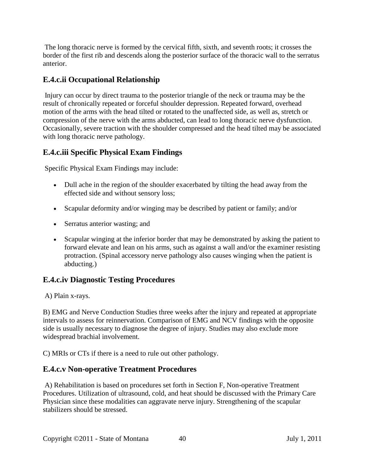The long thoracic nerve is formed by the cervical fifth, sixth, and seventh roots; it crosses the border of the first rib and descends along the posterior surface of the thoracic wall to the serratus anterior.

### **E.4.c.ii Occupational Relationship**

Injury can occur by direct trauma to the posterior triangle of the neck or trauma may be the result of chronically repeated or forceful shoulder depression. Repeated forward, overhead motion of the arms with the head tilted or rotated to the unaffected side, as well as, stretch or compression of the nerve with the arms abducted, can lead to long thoracic nerve dysfunction. Occasionally, severe traction with the shoulder compressed and the head tilted may be associated with long thoracic nerve pathology.

## **E.4.c.iii Specific Physical Exam Findings**

Specific Physical Exam Findings may include:

- Dull ache in the region of the shoulder exacerbated by tilting the head away from the effected side and without sensory loss;
- Scapular deformity and/or winging may be described by patient or family; and/or
- Serratus anterior wasting; and
- Scapular winging at the inferior border that may be demonstrated by asking the patient to forward elevate and lean on his arms, such as against a wall and/or the examiner resisting protraction. (Spinal accessory nerve pathology also causes winging when the patient is abducting.)

## **E.4.c.iv Diagnostic Testing Procedures**

A) Plain x-rays.

B) EMG and Nerve Conduction Studies three weeks after the injury and repeated at appropriate intervals to assess for reinnervation. Comparison of EMG and NCV findings with the opposite side is usually necessary to diagnose the degree of injury. Studies may also exclude more widespread brachial involvement.

C) MRIs or CTs if there is a need to rule out other pathology.

#### **E.4.c.v Non-operative Treatment Procedures**

A) Rehabilitation is based on procedures set forth in Section F, Non-operative Treatment Procedures. Utilization of ultrasound, cold, and heat should be discussed with the Primary Care Physician since these modalities can aggravate nerve injury. Strengthening of the scapular stabilizers should be stressed.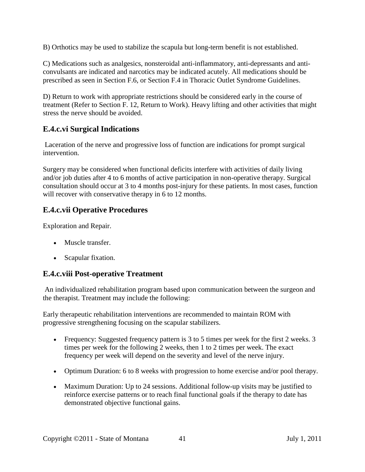B) Orthotics may be used to stabilize the scapula but long-term benefit is not established.

C) Medications such as analgesics, nonsteroidal anti-inflammatory, anti-depressants and anticonvulsants are indicated and narcotics may be indicated acutely. All medications should be prescribed as seen in Section F.6, or Section F.4 in Thoracic Outlet Syndrome Guidelines.

D) Return to work with appropriate restrictions should be considered early in the course of treatment (Refer to Section F. 12, Return to Work). Heavy lifting and other activities that might stress the nerve should be avoided.

### **E.4.c.vi Surgical Indications**

Laceration of the nerve and progressive loss of function are indications for prompt surgical intervention.

Surgery may be considered when functional deficits interfere with activities of daily living and/or job duties after 4 to 6 months of active participation in non-operative therapy. Surgical consultation should occur at 3 to 4 months post-injury for these patients. In most cases, function will recover with conservative therapy in 6 to 12 months.

## **E.4.c.vii Operative Procedures**

Exploration and Repair.

- Muscle transfer.
- Scapular fixation.

#### **E.4.c.viii Post-operative Treatment**

An individualized rehabilitation program based upon communication between the surgeon and the therapist. Treatment may include the following:

Early therapeutic rehabilitation interventions are recommended to maintain ROM with progressive strengthening focusing on the scapular stabilizers.

- Frequency: Suggested frequency pattern is 3 to 5 times per week for the first 2 weeks. 3 times per week for the following 2 weeks, then 1 to 2 times per week. The exact frequency per week will depend on the severity and level of the nerve injury.
- Optimum Duration: 6 to 8 weeks with progression to home exercise and/or pool therapy.
- Maximum Duration: Up to 24 sessions. Additional follow-up visits may be justified to reinforce exercise patterns or to reach final functional goals if the therapy to date has demonstrated objective functional gains.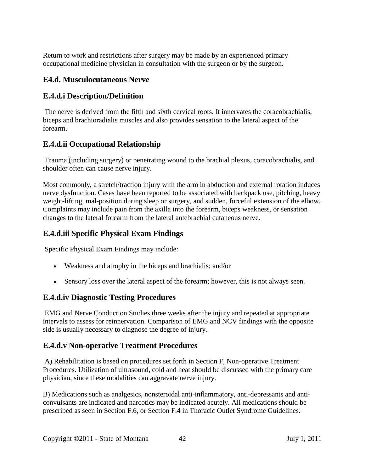Return to work and restrictions after surgery may be made by an experienced primary occupational medicine physician in consultation with the surgeon or by the surgeon.

### **E4.d. Musculocutaneous Nerve**

### **E.4.d.i Description/Definition**

The nerve is derived from the fifth and sixth cervical roots. It innervates the coracobrachialis, biceps and brachioradialis muscles and also provides sensation to the lateral aspect of the forearm.

## **E.4.d.ii Occupational Relationship**

Trauma (including surgery) or penetrating wound to the brachial plexus, coracobrachialis, and shoulder often can cause nerve injury.

Most commonly, a stretch/traction injury with the arm in abduction and external rotation induces nerve dysfunction. Cases have been reported to be associated with backpack use, pitching, heavy weight-lifting, mal-position during sleep or surgery, and sudden, forceful extension of the elbow. Complaints may include pain from the axilla into the forearm, biceps weakness, or sensation changes to the lateral forearm from the lateral antebrachial cutaneous nerve.

## **E.4.d.iii Specific Physical Exam Findings**

Specific Physical Exam Findings may include:

- Weakness and atrophy in the biceps and brachialis; and/or
- Sensory loss over the lateral aspect of the forearm; however, this is not always seen.

#### **E.4.d.iv Diagnostic Testing Procedures**

EMG and Nerve Conduction Studies three weeks after the injury and repeated at appropriate intervals to assess for reinnervation. Comparison of EMG and NCV findings with the opposite side is usually necessary to diagnose the degree of injury.

## **E.4.d.v Non-operative Treatment Procedures**

A) Rehabilitation is based on procedures set forth in Section F, Non-operative Treatment Procedures. Utilization of ultrasound, cold and heat should be discussed with the primary care physician, since these modalities can aggravate nerve injury.

B) Medications such as analgesics, nonsteroidal anti-inflammatory, anti-depressants and anticonvulsants are indicated and narcotics may be indicated acutely. All medications should be prescribed as seen in Section F.6, or Section F.4 in Thoracic Outlet Syndrome Guidelines.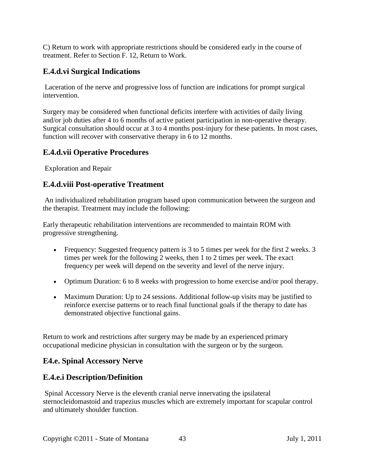C) Return to work with appropriate restrictions should be considered early in the course of treatment. Refer to Section F. 12, Return to Work.

## **E.4.d.vi Surgical Indications**

Laceration of the nerve and progressive loss of function are indications for prompt surgical intervention.

Surgery may be considered when functional deficits interfere with activities of daily living and/or job duties after 4 to 6 months of active patient participation in non-operative therapy. Surgical consultation should occur at 3 to 4 months post-injury for these patients. In most cases, function will recover with conservative therapy in 6 to 12 months.

### **E.4.d.vii Operative Procedures**

Exploration and Repair

#### **E.4.d.viii Post-operative Treatment**

An individualized rehabilitation program based upon communication between the surgeon and the therapist. Treatment may include the following:

Early therapeutic rehabilitation interventions are recommended to maintain ROM with progressive strengthening.

- Frequency: Suggested frequency pattern is 3 to 5 times per week for the first 2 weeks. 3 times per week for the following 2 weeks, then 1 to 2 times per week. The exact frequency per week will depend on the severity and level of the nerve injury.
- Optimum Duration: 6 to 8 weeks with progression to home exercise and/or pool therapy.
- Maximum Duration: Up to 24 sessions. Additional follow-up visits may be justified to reinforce exercise patterns or to reach final functional goals if the therapy to date has demonstrated objective functional gains.

Return to work and restrictions after surgery may be made by an experienced primary occupational medicine physician in consultation with the surgeon or by the surgeon.

#### **E4.e. Spinal Accessory Nerve**

## **E.4.e.i Description/Definition**

Spinal Accessory Nerve is the eleventh cranial nerve innervating the ipsilateral sternocleidomastoid and trapezius muscles which are extremely important for scapular control and ultimately shoulder function.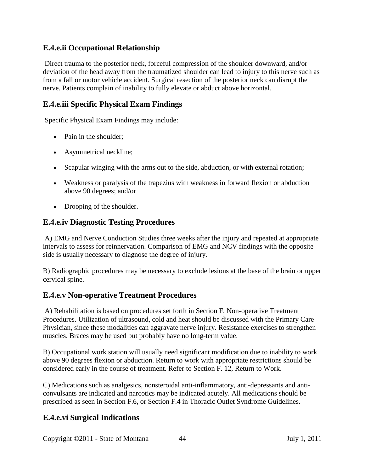### **E.4.e.ii Occupational Relationship**

Direct trauma to the posterior neck, forceful compression of the shoulder downward, and/or deviation of the head away from the traumatized shoulder can lead to injury to this nerve such as from a fall or motor vehicle accident. Surgical resection of the posterior neck can disrupt the nerve. Patients complain of inability to fully elevate or abduct above horizontal.

### **E.4.e.iii Specific Physical Exam Findings**

Specific Physical Exam Findings may include:

- Pain in the shoulder:
- Asymmetrical neckline;
- Scapular winging with the arms out to the side, abduction, or with external rotation;
- Weakness or paralysis of the trapezius with weakness in forward flexion or abduction above 90 degrees; and/or
- Drooping of the shoulder.

#### **E.4.e.iv Diagnostic Testing Procedures**

A) EMG and Nerve Conduction Studies three weeks after the injury and repeated at appropriate intervals to assess for reinnervation. Comparison of EMG and NCV findings with the opposite side is usually necessary to diagnose the degree of injury.

B) Radiographic procedures may be necessary to exclude lesions at the base of the brain or upper cervical spine.

#### **E.4.e.v Non-operative Treatment Procedures**

A) Rehabilitation is based on procedures set forth in Section F, Non-operative Treatment Procedures. Utilization of ultrasound, cold and heat should be discussed with the Primary Care Physician, since these modalities can aggravate nerve injury. Resistance exercises to strengthen muscles. Braces may be used but probably have no long-term value.

B) Occupational work station will usually need significant modification due to inability to work above 90 degrees flexion or abduction. Return to work with appropriate restrictions should be considered early in the course of treatment. Refer to Section F. 12, Return to Work.

C) Medications such as analgesics, nonsteroidal anti-inflammatory, anti-depressants and anticonvulsants are indicated and narcotics may be indicated acutely. All medications should be prescribed as seen in Section F.6, or Section F.4 in Thoracic Outlet Syndrome Guidelines.

## **E.4.e.vi Surgical Indications**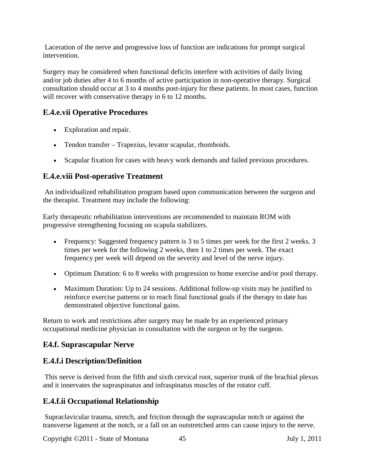Laceration of the nerve and progressive loss of function are indications for prompt surgical intervention.

Surgery may be considered when functional deficits interfere with activities of daily living and/or job duties after 4 to 6 months of active participation in non-operative therapy. Surgical consultation should occur at 3 to 4 months post-injury for these patients. In most cases, function will recover with conservative therapy in 6 to 12 months.

## **E.4.e.vii Operative Procedures**

- Exploration and repair.
- Tendon transfer Trapezius, levator scapular, rhomboids.
- Scapular fixation for cases with heavy work demands and failed previous procedures.

#### **E.4.e.viii Post-operative Treatment**

An individualized rehabilitation program based upon communication between the surgeon and the therapist. Treatment may include the following:

Early therapeutic rehabilitation interventions are recommended to maintain ROM with progressive strengthening focusing on scapula stabilizers.

- Frequency: Suggested frequency pattern is 3 to 5 times per week for the first 2 weeks. 3 times per week for the following 2 weeks, then 1 to 2 times per week. The exact frequency per week will depend on the severity and level of the nerve injury.
- Optimum Duration: 6 to 8 weeks with progression to home exercise and/or pool therapy.
- Maximum Duration: Up to 24 sessions. Additional follow-up visits may be justified to reinforce exercise patterns or to reach final functional goals if the therapy to date has demonstrated objective functional gains.

Return to work and restrictions after surgery may be made by an experienced primary occupational medicine physician in consultation with the surgeon or by the surgeon.

#### **E4.f. Suprascapular Nerve**

## **E.4.f.i Description/Definition**

This nerve is derived from the fifth and sixth cervical root, superior trunk of the brachial plexus and it innervates the supraspinatus and infraspinatus muscles of the rotator cuff.

## **E.4.f.ii Occupational Relationship**

Supraclavicular trauma, stretch, and friction through the suprascapular notch or against the transverse ligament at the notch, or a fall on an outstretched arms can cause injury to the nerve.

Copyright ©2011 - State of Montana 45 July 1, 2011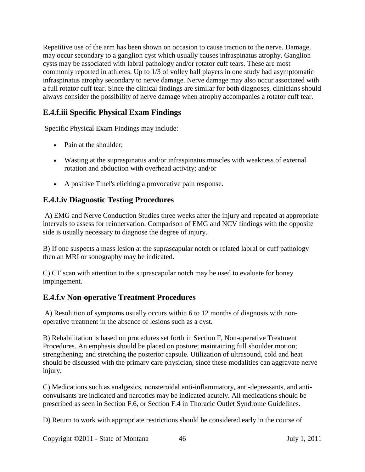Repetitive use of the arm has been shown on occasion to cause traction to the nerve. Damage, may occur secondary to a ganglion cyst which usually causes infraspinatus atrophy. Ganglion cysts may be associated with labral pathology and/or rotator cuff tears. These are most commonly reported in athletes. Up to 1/3 of volley ball players in one study had asymptomatic infraspinatus atrophy secondary to nerve damage. Nerve damage may also occur associated with a full rotator cuff tear. Since the clinical findings are similar for both diagnoses, clinicians should always consider the possibility of nerve damage when atrophy accompanies a rotator cuff tear.

## **E.4.f.iii Specific Physical Exam Findings**

Specific Physical Exam Findings may include:

- Pain at the shoulder;
- Wasting at the supraspinatus and/or infraspinatus muscles with weakness of external rotation and abduction with overhead activity; and/or
- A positive Tinel's eliciting a provocative pain response.

## **E.4.f.iv Diagnostic Testing Procedures**

A) EMG and Nerve Conduction Studies three weeks after the injury and repeated at appropriate intervals to assess for reinnervation. Comparison of EMG and NCV findings with the opposite side is usually necessary to diagnose the degree of injury.

B) If one suspects a mass lesion at the suprascapular notch or related labral or cuff pathology then an MRI or sonography may be indicated.

C) CT scan with attention to the suprascapular notch may be used to evaluate for boney impingement.

#### **E.4.f.v Non-operative Treatment Procedures**

A) Resolution of symptoms usually occurs within 6 to 12 months of diagnosis with nonoperative treatment in the absence of lesions such as a cyst.

B) Rehabilitation is based on procedures set forth in Section F, Non-operative Treatment Procedures. An emphasis should be placed on posture; maintaining full shoulder motion; strengthening; and stretching the posterior capsule. Utilization of ultrasound, cold and heat should be discussed with the primary care physician, since these modalities can aggravate nerve injury.

C) Medications such as analgesics, nonsteroidal anti-inflammatory, anti-depressants, and anticonvulsants are indicated and narcotics may be indicated acutely. All medications should be prescribed as seen in Section F.6, or Section F.4 in Thoracic Outlet Syndrome Guidelines.

D) Return to work with appropriate restrictions should be considered early in the course of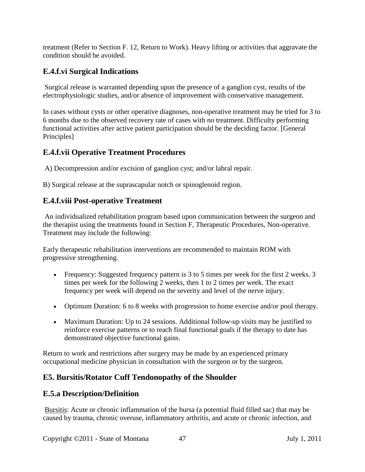treatment (Refer to Section F. 12, Return to Work). Heavy lifting or activities that aggravate the condition should be avoided.

## **E.4.f.vi Surgical Indications**

Surgical release is warranted depending upon the presence of a ganglion cyst, results of the electrophysiologic studies, and/or absence of improvement with conservative management.

In cases without cysts or other operative diagnoses, non-operative treatment may be tried for 3 to 6 months due to the observed recovery rate of cases with no treatment. Difficulty performing functional activities after active patient participation should be the deciding factor. [General Principles]

## **E.4.f.vii Operative Treatment Procedures**

A) Decompression and/or excision of ganglion cyst; and/or labral repair.

B) Surgical release at the suprascapular notch or spinoglenoid region.

#### **E.4.f.viii Post-operative Treatment**

An individualized rehabilitation program based upon communication between the surgeon and the therapist using the treatments found in Section F, Therapeutic Procedures, Non-operative. Treatment may include the following:

Early therapeutic rehabilitation interventions are recommended to maintain ROM with progressive strengthening.

- Frequency: Suggested frequency pattern is 3 to 5 times per week for the first 2 weeks. 3 times per week for the following 2 weeks, then 1 to 2 times per week. The exact frequency per week will depend on the severity and level of the nerve injury.
- Optimum Duration: 6 to 8 weeks with progression to home exercise and/or pool therapy.
- Maximum Duration: Up to 24 sessions. Additional follow-up visits may be justified to reinforce exercise patterns or to reach final functional goals if the therapy to date has demonstrated objective functional gains.

Return to work and restrictions after surgery may be made by an experienced primary occupational medicine physician in consultation with the surgeon or by the surgeon.

## **E5. Bursitis/Rotator Cuff Tendonopathy of the Shoulder**

#### **E.5.a Description/Definition**

Bursitis: Acute or chronic inflammation of the bursa (a potential fluid filled sac) that may be caused by trauma, chronic overuse, inflammatory arthritis, and acute or chronic infection, and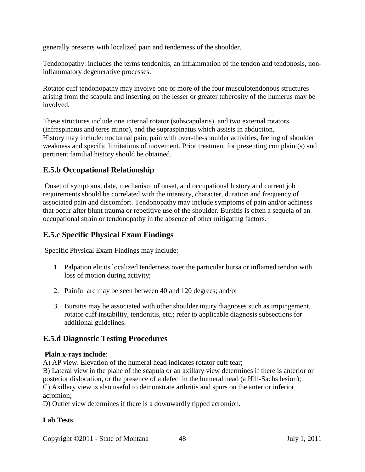generally presents with localized pain and tenderness of the shoulder.

Tendonopathy: includes the terms tendonitis, an inflammation of the tendon and tendonosis, noninflammatory degenerative processes.

Rotator cuff tendonopathy may involve one or more of the four musculotendonous structures arising from the scapula and inserting on the lesser or greater tuberosity of the humerus may be involved.

These structures include one internal rotator (subscapularis), and two external rotators (infraspinatus and teres minor), and the supraspinatus which assists in abduction. History may include: nocturnal pain, pain with over-the-shoulder activities, feeling of shoulder weakness and specific limitations of movement. Prior treatment for presenting complaint(s) and pertinent familial history should be obtained.

## **E.5.b Occupational Relationship**

Onset of symptoms, date, mechanism of onset, and occupational history and current job requirements should be correlated with the intensity, character, duration and frequency of associated pain and discomfort. Tendonopathy may include symptoms of pain and/or achiness that occur after blunt trauma or repetitive use of the shoulder. Bursitis is often a sequela of an occupational strain or tendonopathy in the absence of other mitigating factors.

#### **E.5.c Specific Physical Exam Findings**

Specific Physical Exam Findings may include:

- 1. Palpation elicits localized tenderness over the particular bursa or inflamed tendon with loss of motion during activity;
- 2. Painful arc may be seen between 40 and 120 degrees; and/or
- 3. Bursitis may be associated with other shoulder injury diagnoses such as impingement, rotator cuff instability, tendonitis, etc.; refer to applicable diagnosis subsections for additional guidelines.

#### **E.5.d Diagnostic Testing Procedures**

#### **Plain x-rays include**:

A) AP view. Elevation of the humeral head indicates rotator cuff tear;

B) Lateral view in the plane of the scapula or an axillary view determines if there is anterior or posterior dislocation, or the presence of a defect in the humeral head (a Hill-Sachs lesion); C) Axillary view is also useful to demonstrate arthritis and spurs on the anterior inferior acromion;

D) Outlet view determines if there is a downwardly tipped acromion.

#### **Lab Tests**: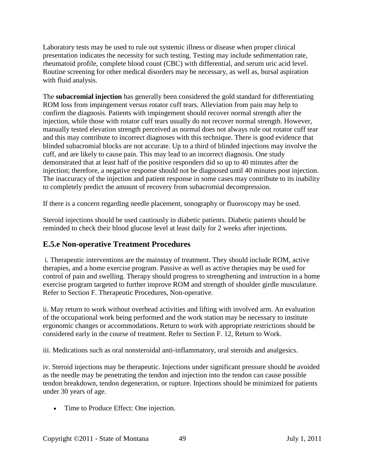Laboratory tests may be used to rule out systemic illness or disease when proper clinical presentation indicates the necessity for such testing. Testing may include sedimentation rate, rheumatoid profile, complete blood count (CBC) with differential, and serum uric acid level. Routine screening for other medical disorders may be necessary, as well as, bursal aspiration with fluid analysis.

The **subacromial injection** has generally been considered the gold standard for differentiating ROM loss from impingement versus rotator cuff tears. Alleviation from pain may help to confirm the diagnosis. Patients with impingement should recover normal strength after the injection, while those with rotator cuff tears usually do not recover normal strength. However, manually tested elevation strength perceived as normal does not always rule out rotator cuff tear and this may contribute to incorrect diagnoses with this technique. There is good evidence that blinded subacromial blocks are not accurate. Up to a third of blinded injections may involve the cuff, and are likely to cause pain. This may lead to an incorrect diagnosis. One study demonstrated that at least half of the positive responders did so up to 40 minutes after the injection; therefore, a negative response should not be diagnosed until 40 minutes post injection. The inaccuracy of the injection and patient response in some cases may contribute to its inability to completely predict the amount of recovery from subacromial decompression.

If there is a concern regarding needle placement, sonography or fluoroscopy may be used.

Steroid injections should be used cautiously in diabetic patients. Diabetic patients should be reminded to check their blood glucose level at least daily for 2 weeks after injections.

## **E.5.e Non-operative Treatment Procedures**

i. Therapeutic interventions are the mainstay of treatment. They should include ROM, active therapies, and a home exercise program. Passive as well as active therapies may be used for control of pain and swelling. Therapy should progress to strengthening and instruction in a home exercise program targeted to further improve ROM and strength of shoulder girdle musculature. Refer to Section F. Therapeutic Procedures, Non-operative.

ii. May return to work without overhead activities and lifting with involved arm. An evaluation of the occupational work being performed and the work station may be necessary to institute ergonomic changes or accommodations. Return to work with appropriate restrictions should be considered early in the course of treatment. Refer to Section F. 12, Return to Work.

iii. Medications such as oral nonsteroidal anti-inflammatory, oral steroids and analgesics.

iv. Steroid injections may be therapeutic. Injections under significant pressure should be avoided as the needle may be penetrating the tendon and injection into the tendon can cause possible tendon breakdown, tendon degeneration, or rupture. Injections should be minimized for patients under 30 years of age.

• Time to Produce Effect: One injection.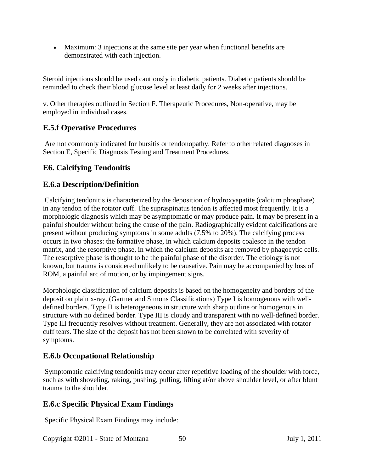• Maximum: 3 injections at the same site per year when functional benefits are demonstrated with each injection.

Steroid injections should be used cautiously in diabetic patients. Diabetic patients should be reminded to check their blood glucose level at least daily for 2 weeks after injections.

v. Other therapies outlined in Section F. Therapeutic Procedures, Non-operative, may be employed in individual cases.

### **E.5.f Operative Procedures**

Are not commonly indicated for bursitis or tendonopathy. Refer to other related diagnoses in Section E, Specific Diagnosis Testing and Treatment Procedures.

#### **E6. Calcifying Tendonitis**

#### **E.6.a Description/Definition**

Calcifying tendonitis is characterized by the deposition of hydroxyapatite (calcium phosphate) in any tendon of the rotator cuff. The supraspinatus tendon is affected most frequently. It is a morphologic diagnosis which may be asymptomatic or may produce pain. It may be present in a painful shoulder without being the cause of the pain. Radiographically evident calcifications are present without producing symptoms in some adults (7.5% to 20%). The calcifying process occurs in two phases: the formative phase, in which calcium deposits coalesce in the tendon matrix, and the resorptive phase, in which the calcium deposits are removed by phagocytic cells. The resorptive phase is thought to be the painful phase of the disorder. The etiology is not known, but trauma is considered unlikely to be causative. Pain may be accompanied by loss of ROM, a painful arc of motion, or by impingement signs.

Morphologic classification of calcium deposits is based on the homogeneity and borders of the deposit on plain x-ray. (Gartner and Simons Classifications) Type I is homogenous with welldefined borders. Type II is heterogeneous in structure with sharp outline or homogenous in structure with no defined border. Type III is cloudy and transparent with no well-defined border. Type III frequently resolves without treatment. Generally, they are not associated with rotator cuff tears. The size of the deposit has not been shown to be correlated with severity of symptoms.

#### **E.6.b Occupational Relationship**

Symptomatic calcifying tendonitis may occur after repetitive loading of the shoulder with force, such as with shoveling, raking, pushing, pulling, lifting at/or above shoulder level, or after blunt trauma to the shoulder.

#### **E.6.c Specific Physical Exam Findings**

Specific Physical Exam Findings may include: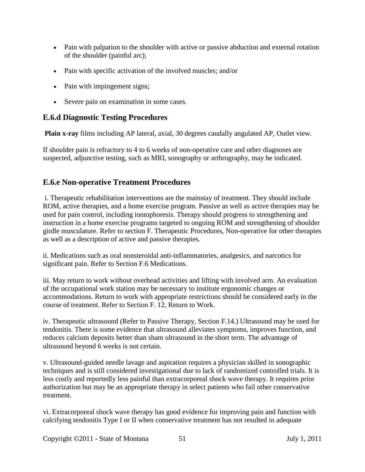- Pain with palpation to the shoulder with active or passive abduction and external rotation of the shoulder (painful arc);
- Pain with specific activation of the involved muscles; and/or
- Pain with impingement signs;
- Severe pain on examination in some cases.

## **E.6.d Diagnostic Testing Procedures**

**Plain x-ray** films including AP lateral, axial, 30 degrees caudally angulated AP, Outlet view.

If shoulder pain is refractory to 4 to 6 weeks of non-operative care and other diagnoses are suspected, adjunctive testing, such as MRI, sonography or arthrography, may be indicated.

## **E.6.e Non-operative Treatment Procedures**

i. Therapeutic rehabilitation interventions are the mainstay of treatment. They should include ROM, active therapies, and a home exercise program. Passive as well as active therapies may be used for pain control, including iontophoresis. Therapy should progress to strengthening and instruction in a home exercise programs targeted to ongoing ROM and strengthening of shoulder girdle musculature. Refer to section F. Therapeutic Procedures, Non-operative for other therapies as well as a description of active and passive therapies.

ii. Medications such as oral nonsteroidal anti-inflammatories, analgesics, and narcotics for significant pain. Refer to Section F.6 Medications.

iii. May return to work without overhead activities and lifting with involved arm. An evaluation of the occupational work station may be necessary to institute ergonomic changes or accommodations. Return to work with appropriate restrictions should be considered early in the course of treatment. Refer to Section F. 12, Return to Work.

iv. Therapeutic ultrasound (Refer to Passive Therapy, Section F.14.) Ultrasound may be used for tendonitis. There is some evidence that ultrasound alleviates symptoms, improves function, and reduces calcium deposits better than sham ultrasound in the short term. The advantage of ultrasound beyond 6 weeks is not certain.

v. Ultrasound-guided needle lavage and aspiration requires a physician skilled in sonographic techniques and is still considered investigational due to lack of randomized controlled trials. It is less costly and reportedly less painful than extracorporeal shock wave therapy. It requires prior authorization but may be an appropriate therapy in select patients who fail other conservative treatment.

vi. Extracorporeal shock wave therapy has good evidence for improving pain and function with calcifying tendonitis Type I or II when conservative treatment has not resulted in adequate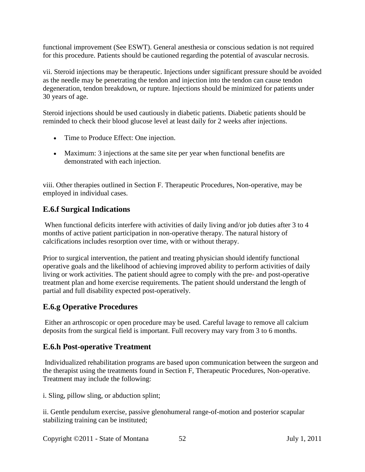functional improvement (See ESWT). General anesthesia or conscious sedation is not required for this procedure. Patients should be cautioned regarding the potential of avascular necrosis.

vii. Steroid injections may be therapeutic. Injections under significant pressure should be avoided as the needle may be penetrating the tendon and injection into the tendon can cause tendon degeneration, tendon breakdown, or rupture. Injections should be minimized for patients under 30 years of age.

Steroid injections should be used cautiously in diabetic patients. Diabetic patients should be reminded to check their blood glucose level at least daily for 2 weeks after injections.

- Time to Produce Effect: One injection.
- Maximum: 3 injections at the same site per year when functional benefits are demonstrated with each injection.

viii. Other therapies outlined in Section F. Therapeutic Procedures, Non-operative, may be employed in individual cases.

## **E.6.f Surgical Indications**

When functional deficits interfere with activities of daily living and/or job duties after 3 to 4 months of active patient participation in non-operative therapy. The natural history of calcifications includes resorption over time, with or without therapy.

Prior to surgical intervention, the patient and treating physician should identify functional operative goals and the likelihood of achieving improved ability to perform activities of daily living or work activities. The patient should agree to comply with the pre- and post-operative treatment plan and home exercise requirements. The patient should understand the length of partial and full disability expected post-operatively.

## **E.6.g Operative Procedures**

Either an arthroscopic or open procedure may be used. Careful lavage to remove all calcium deposits from the surgical field is important. Full recovery may vary from 3 to 6 months.

## **E.6.h Post-operative Treatment**

Individualized rehabilitation programs are based upon communication between the surgeon and the therapist using the treatments found in Section F, Therapeutic Procedures, Non-operative. Treatment may include the following:

i. Sling, pillow sling, or abduction splint;

ii. Gentle pendulum exercise, passive glenohumeral range-of-motion and posterior scapular stabilizing training can be instituted;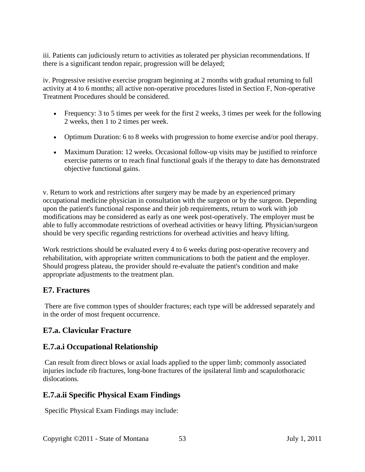iii. Patients can judiciously return to activities as tolerated per physician recommendations. If there is a significant tendon repair, progression will be delayed;

iv. Progressive resistive exercise program beginning at 2 months with gradual returning to full activity at 4 to 6 months; all active non-operative procedures listed in Section F, Non-operative Treatment Procedures should be considered.

- Frequency: 3 to 5 times per week for the first 2 weeks, 3 times per week for the following 2 weeks, then 1 to 2 times per week.
- Optimum Duration: 6 to 8 weeks with progression to home exercise and/or pool therapy.
- Maximum Duration: 12 weeks. Occasional follow-up visits may be justified to reinforce exercise patterns or to reach final functional goals if the therapy to date has demonstrated objective functional gains.

v. Return to work and restrictions after surgery may be made by an experienced primary occupational medicine physician in consultation with the surgeon or by the surgeon. Depending upon the patient's functional response and their job requirements, return to work with job modifications may be considered as early as one week post-operatively. The employer must be able to fully accommodate restrictions of overhead activities or heavy lifting. Physician/surgeon should be very specific regarding restrictions for overhead activities and heavy lifting.

Work restrictions should be evaluated every 4 to 6 weeks during post-operative recovery and rehabilitation, with appropriate written communications to both the patient and the employer. Should progress plateau, the provider should re-evaluate the patient's condition and make appropriate adjustments to the treatment plan.

## **E7. Fractures**

There are five common types of shoulder fractures; each type will be addressed separately and in the order of most frequent occurrence.

# **E7.a. Clavicular Fracture**

# **E.7.a.i Occupational Relationship**

Can result from direct blows or axial loads applied to the upper limb; commonly associated injuries include rib fractures, long-bone fractures of the ipsilateral limb and scapulothoracic dislocations.

# **E.7.a.ii Specific Physical Exam Findings**

Specific Physical Exam Findings may include: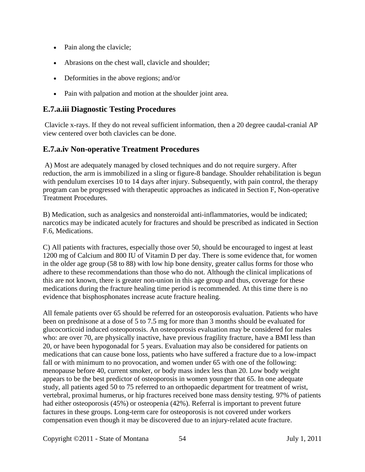- Pain along the clavicle;
- Abrasions on the chest wall, clavicle and shoulder;
- Deformities in the above regions; and/or
- Pain with palpation and motion at the shoulder joint area.

#### **E.7.a.iii Diagnostic Testing Procedures**

Clavicle x-rays. If they do not reveal sufficient information, then a 20 degree caudal-cranial AP view centered over both clavicles can be done.

### **E.7.a.iv Non-operative Treatment Procedures**

A) Most are adequately managed by closed techniques and do not require surgery. After reduction, the arm is immobilized in a sling or figure-8 bandage. Shoulder rehabilitation is begun with pendulum exercises 10 to 14 days after injury. Subsequently, with pain control, the therapy program can be progressed with therapeutic approaches as indicated in Section F, Non-operative Treatment Procedures.

B) Medication, such as analgesics and nonsteroidal anti-inflammatories, would be indicated; narcotics may be indicated acutely for fractures and should be prescribed as indicated in Section F.6, Medications.

C) All patients with fractures, especially those over 50, should be encouraged to ingest at least 1200 mg of Calcium and 800 IU of Vitamin D per day. There is some evidence that, for women in the older age group (58 to 88) with low hip bone density, greater callus forms for those who adhere to these recommendations than those who do not. Although the clinical implications of this are not known, there is greater non-union in this age group and thus, coverage for these medications during the fracture healing time period is recommended. At this time there is no evidence that bisphosphonates increase acute fracture healing.

All female patients over 65 should be referred for an osteoporosis evaluation. Patients who have been on prednisone at a dose of 5 to 7.5 mg for more than 3 months should be evaluated for glucocorticoid induced osteoporosis. An osteoporosis evaluation may be considered for males who: are over 70, are physically inactive, have previous fragility fracture, have a BMI less than 20, or have been hypogonadal for 5 years. Evaluation may also be considered for patients on medications that can cause bone loss, patients who have suffered a fracture due to a low-impact fall or with minimum to no provocation, and women under 65 with one of the following: menopause before 40, current smoker, or body mass index less than 20. Low body weight appears to be the best predictor of osteoporosis in women younger that 65. In one adequate study, all patients aged 50 to 75 referred to an orthopaedic department for treatment of wrist, vertebral, proximal humerus, or hip fractures received bone mass density testing. 97% of patients had either osteoporosis (45%) or osteopenia (42%). Referral is important to prevent future factures in these groups. Long-term care for osteoporosis is not covered under workers compensation even though it may be discovered due to an injury-related acute fracture.

Copyright ©2011 - State of Montana 54 July 1, 2011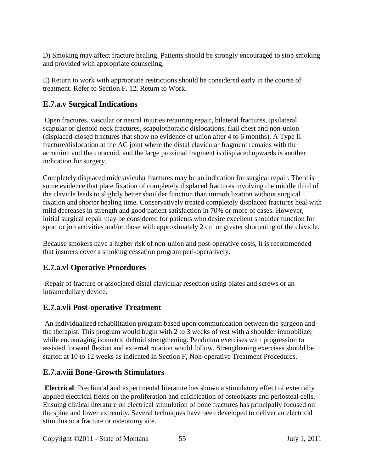D) Smoking may affect fracture healing. Patients should be strongly encouraged to stop smoking and provided with appropriate counseling.

E) Return to work with appropriate restrictions should be considered early in the course of treatment. Refer to Section F. 12, Return to Work.

# **E.7.a.v Surgical Indications**

Open fractures, vascular or neural injuries requiring repair, bilateral fractures, ipsilateral scapular or glenoid neck fractures, scapulothoracic dislocations, flail chest and non-union (displaced-closed fractures that show no evidence of union after 4 to 6 months). A Type II fracture/dislocation at the AC joint where the distal clavicular fragment remains with the acromion and the coracoid, and the large proximal fragment is displaced upwards is another indication for surgery.

Completely displaced midclavicular fractures may be an indication for surgical repair. There is some evidence that plate fixation of completely displaced fractures involving the middle third of the clavicle leads to slightly better shoulder function than immobilization without surgical fixation and shorter healing time. Conservatively treated completely displaced fractures heal with mild decreases in strength and good patient satisfaction in 70% or more of cases. However, initial surgical repair may be considered for patients who desire excellent shoulder function for sport or job activities and/or those with approximately 2 cm or greater shortening of the clavicle.

Because smokers have a higher risk of non-union and post-operative costs, it is recommended that insurers cover a smoking cessation program peri-operatively.

# **E.7.a.vi Operative Procedures**

Repair of fracture or associated distal clavicular resection using plates and screws or an intramedullary device.

# **E.7.a.vii Post-operative Treatment**

An individualized rehabilitation program based upon communication between the surgeon and the therapist. This program would begin with 2 to 3 weeks of rest with a shoulder immobilizer while encouraging isometric deltoid strengthening. Pendulum exercises with progression to assisted forward flexion and external rotation would follow. Strengthening exercises should be started at 10 to 12 weeks as indicated in Section F, Non-operative Treatment Procedures.

## **E.7.a.viii Bone-Growth Stimulators**

**Electrical**: Preclinical and experimental literature has shown a stimulatory effect of externally applied electrical fields on the proliferation and calcification of osteoblasts and periosteal cells. Ensuing clinical literature on electrical stimulation of bone fractures has principally focused on the spine and lower extremity. Several techniques have been developed to deliver an electrical stimulus to a fracture or osteotomy site.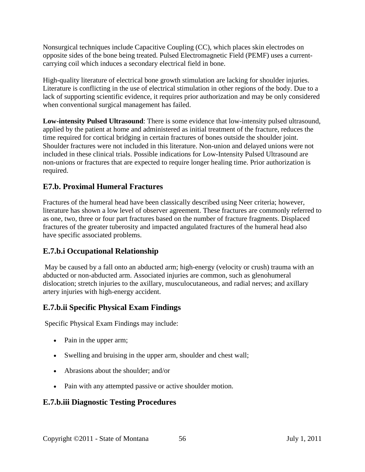Nonsurgical techniques include Capacitive Coupling (CC), which places skin electrodes on opposite sides of the bone being treated. Pulsed Electromagnetic Field (PEMF) uses a currentcarrying coil which induces a secondary electrical field in bone.

High-quality literature of electrical bone growth stimulation are lacking for shoulder injuries. Literature is conflicting in the use of electrical stimulation in other regions of the body. Due to a lack of supporting scientific evidence, it requires prior authorization and may be only considered when conventional surgical management has failed.

**Low-intensity Pulsed Ultrasound**: There is some evidence that low-intensity pulsed ultrasound, applied by the patient at home and administered as initial treatment of the fracture, reduces the time required for cortical bridging in certain fractures of bones outside the shoulder joint. Shoulder fractures were not included in this literature. Non-union and delayed unions were not included in these clinical trials. Possible indications for Low-Intensity Pulsed Ultrasound are non-unions or fractures that are expected to require longer healing time. Prior authorization is required.

### **E7.b. Proximal Humeral Fractures**

Fractures of the humeral head have been classically described using Neer criteria; however, literature has shown a low level of observer agreement. These fractures are commonly referred to as one, two, three or four part fractures based on the number of fracture fragments. Displaced fractures of the greater tuberosity and impacted angulated fractures of the humeral head also have specific associated problems.

#### **E.7.b.i Occupational Relationship**

May be caused by a fall onto an abducted arm; high-energy (velocity or crush) trauma with an abducted or non-abducted arm. Associated injuries are common, such as glenohumeral dislocation; stretch injuries to the axillary, musculocutaneous, and radial nerves; and axillary artery injuries with high-energy accident.

#### **E.7.b.ii Specific Physical Exam Findings**

Specific Physical Exam Findings may include:

- Pain in the upper arm;
- Swelling and bruising in the upper arm, shoulder and chest wall;
- Abrasions about the shoulder; and/or
- Pain with any attempted passive or active shoulder motion.

#### **E.7.b.iii Diagnostic Testing Procedures**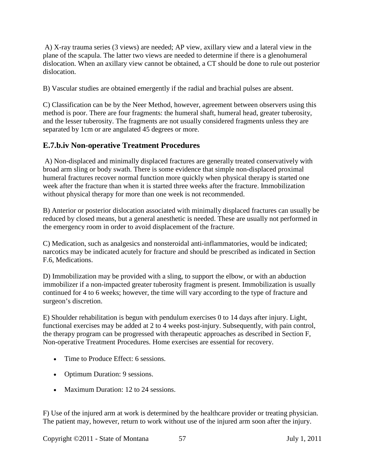A) X-ray trauma series (3 views) are needed; AP view, axillary view and a lateral view in the plane of the scapula. The latter two views are needed to determine if there is a glenohumeral dislocation. When an axillary view cannot be obtained, a CT should be done to rule out posterior dislocation.

B) Vascular studies are obtained emergently if the radial and brachial pulses are absent.

C) Classification can be by the Neer Method, however, agreement between observers using this method is poor. There are four fragments: the humeral shaft, humeral head, greater tuberosity, and the lesser tuberosity. The fragments are not usually considered fragments unless they are separated by 1cm or are angulated 45 degrees or more.

## **E.7.b.iv Non-operative Treatment Procedures**

A) Non-displaced and minimally displaced fractures are generally treated conservatively with broad arm sling or body swath. There is some evidence that simple non-displaced proximal humeral fractures recover normal function more quickly when physical therapy is started one week after the fracture than when it is started three weeks after the fracture. Immobilization without physical therapy for more than one week is not recommended.

B) Anterior or posterior dislocation associated with minimally displaced fractures can usually be reduced by closed means, but a general anesthetic is needed. These are usually not performed in the emergency room in order to avoid displacement of the fracture.

C) Medication, such as analgesics and nonsteroidal anti-inflammatories, would be indicated; narcotics may be indicated acutely for fracture and should be prescribed as indicated in Section F.6, Medications.

D) Immobilization may be provided with a sling, to support the elbow, or with an abduction immobilizer if a non-impacted greater tuberosity fragment is present. Immobilization is usually continued for 4 to 6 weeks; however, the time will vary according to the type of fracture and surgeon's discretion.

E) Shoulder rehabilitation is begun with pendulum exercises 0 to 14 days after injury. Light, functional exercises may be added at 2 to 4 weeks post-injury. Subsequently, with pain control, the therapy program can be progressed with therapeutic approaches as described in Section F, Non-operative Treatment Procedures. Home exercises are essential for recovery.

- Time to Produce Effect: 6 sessions.
- Optimum Duration: 9 sessions.
- Maximum Duration: 12 to 24 sessions.

F) Use of the injured arm at work is determined by the healthcare provider or treating physician. The patient may, however, return to work without use of the injured arm soon after the injury.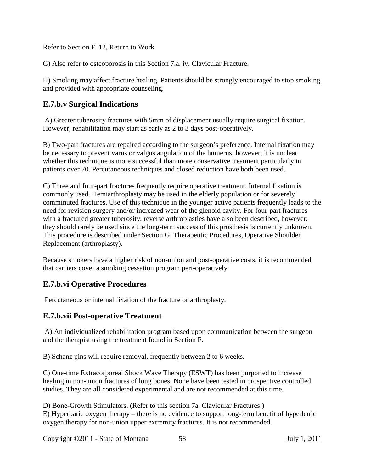Refer to Section F. 12, Return to Work.

G) Also refer to osteoporosis in this Section 7.a. iv. Clavicular Fracture.

H) Smoking may affect fracture healing. Patients should be strongly encouraged to stop smoking and provided with appropriate counseling.

### **E.7.b.v Surgical Indications**

A) Greater tuberosity fractures with 5mm of displacement usually require surgical fixation. However, rehabilitation may start as early as 2 to 3 days post-operatively.

B) Two-part fractures are repaired according to the surgeon's preference. Internal fixation may be necessary to prevent varus or valgus angulation of the humerus; however, it is unclear whether this technique is more successful than more conservative treatment particularly in patients over 70. Percutaneous techniques and closed reduction have both been used.

C) Three and four-part fractures frequently require operative treatment. Internal fixation is commonly used. Hemiarthroplasty may be used in the elderly population or for severely comminuted fractures. Use of this technique in the younger active patients frequently leads to the need for revision surgery and/or increased wear of the glenoid cavity. For four-part fractures with a fractured greater tuberosity, reverse arthroplasties have also been described, however; they should rarely be used since the long-term success of this prosthesis is currently unknown. This procedure is described under Section G. Therapeutic Procedures, Operative Shoulder Replacement (arthroplasty).

Because smokers have a higher risk of non-union and post-operative costs, it is recommended that carriers cover a smoking cessation program peri-operatively.

#### **E.7.b.vi Operative Procedures**

Percutaneous or internal fixation of the fracture or arthroplasty.

#### **E.7.b.vii Post-operative Treatment**

A) An individualized rehabilitation program based upon communication between the surgeon and the therapist using the treatment found in Section F.

B) Schanz pins will require removal, frequently between 2 to 6 weeks.

C) One-time Extracorporeal Shock Wave Therapy (ESWT) has been purported to increase healing in non-union fractures of long bones. None have been tested in prospective controlled studies. They are all considered experimental and are not recommended at this time.

D) Bone-Growth Stimulators. (Refer to this section 7a. Clavicular Fractures.) E) Hyperbaric oxygen therapy – there is no evidence to support long-term benefit of hyperbaric oxygen therapy for non-union upper extremity fractures. It is not recommended.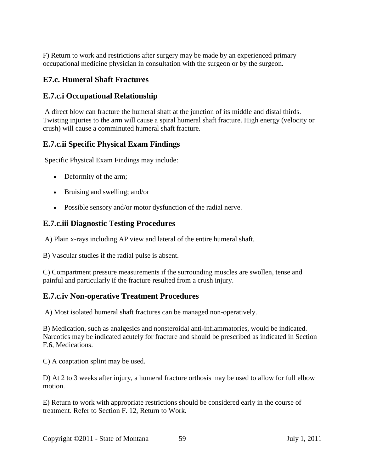F) Return to work and restrictions after surgery may be made by an experienced primary occupational medicine physician in consultation with the surgeon or by the surgeon.

## **E7.c. Humeral Shaft Fractures**

### **E.7.c.i Occupational Relationship**

A direct blow can fracture the humeral shaft at the junction of its middle and distal thirds. Twisting injuries to the arm will cause a spiral humeral shaft fracture. High energy (velocity or crush) will cause a comminuted humeral shaft fracture.

### **E.7.c.ii Specific Physical Exam Findings**

Specific Physical Exam Findings may include:

- Deformity of the arm;
- Bruising and swelling; and/or
- Possible sensory and/or motor dysfunction of the radial nerve.

### **E.7.c.iii Diagnostic Testing Procedures**

A) Plain x-rays including AP view and lateral of the entire humeral shaft.

B) Vascular studies if the radial pulse is absent.

C) Compartment pressure measurements if the surrounding muscles are swollen, tense and painful and particularly if the fracture resulted from a crush injury.

## **E.7.c.iv Non-operative Treatment Procedures**

A) Most isolated humeral shaft fractures can be managed non-operatively.

B) Medication, such as analgesics and nonsteroidal anti-inflammatories, would be indicated. Narcotics may be indicated acutely for fracture and should be prescribed as indicated in Section F.6, Medications.

C) A coaptation splint may be used.

D) At 2 to 3 weeks after injury, a humeral fracture orthosis may be used to allow for full elbow motion.

E) Return to work with appropriate restrictions should be considered early in the course of treatment. Refer to Section F. 12, Return to Work.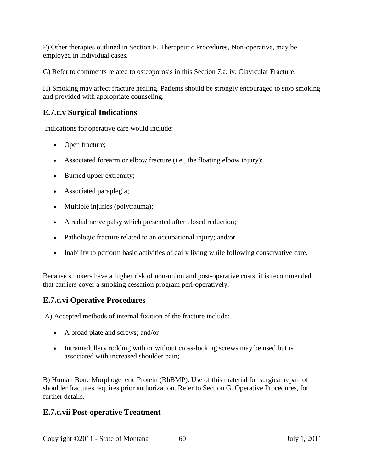F) Other therapies outlined in Section F. Therapeutic Procedures, Non-operative, may be employed in individual cases.

G) Refer to comments related to osteoporosis in this Section 7.a. iv, Clavicular Fracture.

H) Smoking may affect fracture healing. Patients should be strongly encouraged to stop smoking and provided with appropriate counseling.

## **E.7.c.v Surgical Indications**

Indications for operative care would include:

- Open fracture;
- Associated forearm or elbow fracture (i.e., the floating elbow injury);
- Burned upper extremity;
- Associated paraplegia;
- Multiple injuries (polytrauma);
- A radial nerve palsy which presented after closed reduction;
- Pathologic fracture related to an occupational injury; and/or
- Inability to perform basic activities of daily living while following conservative care.

Because smokers have a higher risk of non-union and post-operative costs, it is recommended that carriers cover a smoking cessation program peri-operatively.

## **E.7.c.vi Operative Procedures**

A) Accepted methods of internal fixation of the fracture include:

- A broad plate and screws; and/or
- Intramedullary rodding with or without cross-locking screws may be used but is associated with increased shoulder pain;

B) Human Bone Morphogenetic Protein (RhBMP). Use of this material for surgical repair of shoulder fractures requires prior authorization. Refer to Section G. Operative Procedures, for further details.

#### **E.7.c.vii Post-operative Treatment**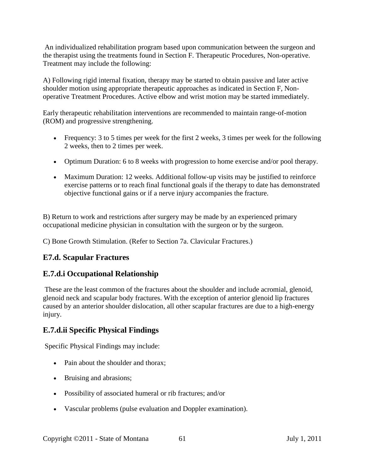An individualized rehabilitation program based upon communication between the surgeon and the therapist using the treatments found in Section F. Therapeutic Procedures, Non-operative. Treatment may include the following:

A) Following rigid internal fixation, therapy may be started to obtain passive and later active shoulder motion using appropriate therapeutic approaches as indicated in Section F, Nonoperative Treatment Procedures. Active elbow and wrist motion may be started immediately.

Early therapeutic rehabilitation interventions are recommended to maintain range-of-motion (ROM) and progressive strengthening.

- Frequency: 3 to 5 times per week for the first 2 weeks, 3 times per week for the following 2 weeks, then to 2 times per week.
- Optimum Duration: 6 to 8 weeks with progression to home exercise and/or pool therapy.
- Maximum Duration: 12 weeks. Additional follow-up visits may be justified to reinforce exercise patterns or to reach final functional goals if the therapy to date has demonstrated objective functional gains or if a nerve injury accompanies the fracture.

B) Return to work and restrictions after surgery may be made by an experienced primary occupational medicine physician in consultation with the surgeon or by the surgeon.

C) Bone Growth Stimulation. (Refer to Section 7a. Clavicular Fractures.)

## **E7.d. Scapular Fractures**

#### **E.7.d.i Occupational Relationship**

These are the least common of the fractures about the shoulder and include acromial, glenoid, glenoid neck and scapular body fractures. With the exception of anterior glenoid lip fractures caused by an anterior shoulder dislocation, all other scapular fractures are due to a high-energy injury.

## **E.7.d.ii Specific Physical Findings**

Specific Physical Findings may include:

- Pain about the shoulder and thorax;
- Bruising and abrasions;
- Possibility of associated humeral or rib fractures; and/or
- Vascular problems (pulse evaluation and Doppler examination).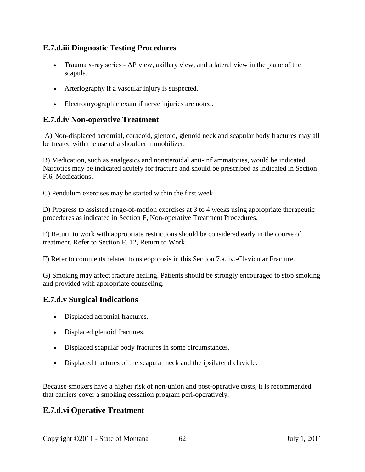### **E.7.d.iii Diagnostic Testing Procedures**

- Trauma x-ray series AP view, axillary view, and a lateral view in the plane of the scapula.
- Arteriography if a vascular injury is suspected.
- Electromyographic exam if nerve injuries are noted.

#### **E.7.d.iv Non-operative Treatment**

A) Non-displaced acromial, coracoid, glenoid, glenoid neck and scapular body fractures may all be treated with the use of a shoulder immobilizer.

B) Medication, such as analgesics and nonsteroidal anti-inflammatories, would be indicated. Narcotics may be indicated acutely for fracture and should be prescribed as indicated in Section F.6, Medications.

C) Pendulum exercises may be started within the first week.

D) Progress to assisted range-of-motion exercises at 3 to 4 weeks using appropriate therapeutic procedures as indicated in Section F, Non-operative Treatment Procedures.

E) Return to work with appropriate restrictions should be considered early in the course of treatment. Refer to Section F. 12, Return to Work.

F) Refer to comments related to osteoporosis in this Section 7.a. iv.-Clavicular Fracture.

G) Smoking may affect fracture healing. Patients should be strongly encouraged to stop smoking and provided with appropriate counseling.

## **E.7.d.v Surgical Indications**

- Displaced acromial fractures.
- Displaced glenoid fractures.
- Displaced scapular body fractures in some circumstances.
- Displaced fractures of the scapular neck and the ipsilateral clavicle.

Because smokers have a higher risk of non-union and post-operative costs, it is recommended that carriers cover a smoking cessation program peri-operatively.

## **E.7.d.vi Operative Treatment**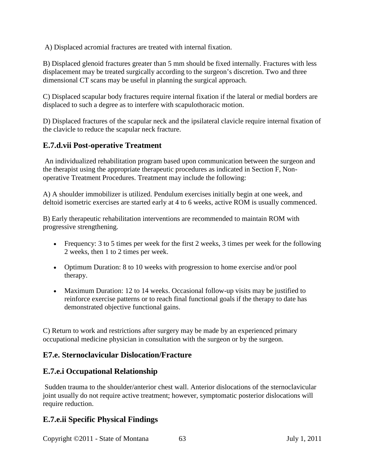A) Displaced acromial fractures are treated with internal fixation.

B) Displaced glenoid fractures greater than 5 mm should be fixed internally. Fractures with less displacement may be treated surgically according to the surgeon's discretion. Two and three dimensional CT scans may be useful in planning the surgical approach.

C) Displaced scapular body fractures require internal fixation if the lateral or medial borders are displaced to such a degree as to interfere with scapulothoracic motion.

D) Displaced fractures of the scapular neck and the ipsilateral clavicle require internal fixation of the clavicle to reduce the scapular neck fracture.

#### **E.7.d.vii Post-operative Treatment**

An individualized rehabilitation program based upon communication between the surgeon and the therapist using the appropriate therapeutic procedures as indicated in Section F, Nonoperative Treatment Procedures. Treatment may include the following:

A) A shoulder immobilizer is utilized. Pendulum exercises initially begin at one week, and deltoid isometric exercises are started early at 4 to 6 weeks, active ROM is usually commenced.

B) Early therapeutic rehabilitation interventions are recommended to maintain ROM with progressive strengthening.

- Frequency: 3 to 5 times per week for the first 2 weeks, 3 times per week for the following 2 weeks, then 1 to 2 times per week.
- Optimum Duration: 8 to 10 weeks with progression to home exercise and/or pool therapy.
- Maximum Duration: 12 to 14 weeks. Occasional follow-up visits may be justified to reinforce exercise patterns or to reach final functional goals if the therapy to date has demonstrated objective functional gains.

C) Return to work and restrictions after surgery may be made by an experienced primary occupational medicine physician in consultation with the surgeon or by the surgeon.

#### **E7.e. Sternoclavicular Dislocation/Fracture**

#### **E.7.e.i Occupational Relationship**

Sudden trauma to the shoulder/anterior chest wall. Anterior dislocations of the sternoclavicular joint usually do not require active treatment; however, symptomatic posterior dislocations will require reduction.

#### **E.7.e.ii Specific Physical Findings**

Copyright ©2011 - State of Montana 63 July 1, 2011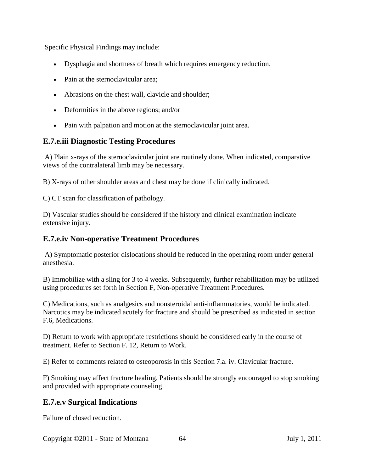Specific Physical Findings may include:

- Dysphagia and shortness of breath which requires emergency reduction.
- Pain at the sternoclavicular area;
- Abrasions on the chest wall, clavicle and shoulder;
- Deformities in the above regions; and/or
- Pain with palpation and motion at the sternoclavicular joint area.

#### **E.7.e.iii Diagnostic Testing Procedures**

A) Plain x-rays of the sternoclavicular joint are routinely done. When indicated, comparative views of the contralateral limb may be necessary.

B) X-rays of other shoulder areas and chest may be done if clinically indicated.

C) CT scan for classification of pathology.

D) Vascular studies should be considered if the history and clinical examination indicate extensive injury.

#### **E.7.e.iv Non-operative Treatment Procedures**

A) Symptomatic posterior dislocations should be reduced in the operating room under general anesthesia.

B) Immobilize with a sling for 3 to 4 weeks. Subsequently, further rehabilitation may be utilized using procedures set forth in Section F, Non-operative Treatment Procedures.

C) Medications, such as analgesics and nonsteroidal anti-inflammatories, would be indicated. Narcotics may be indicated acutely for fracture and should be prescribed as indicated in section F.6, Medications.

D) Return to work with appropriate restrictions should be considered early in the course of treatment. Refer to Section F. 12, Return to Work.

E) Refer to comments related to osteoporosis in this Section 7.a. iv. Clavicular fracture.

F) Smoking may affect fracture healing. Patients should be strongly encouraged to stop smoking and provided with appropriate counseling.

#### **E.7.e.v Surgical Indications**

Failure of closed reduction.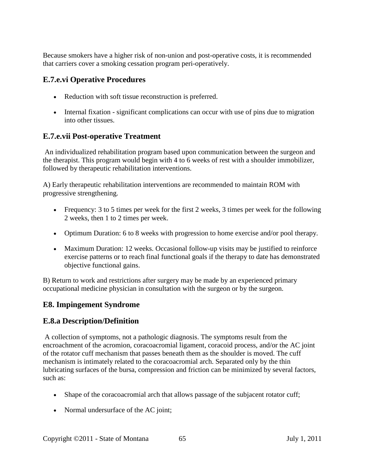Because smokers have a higher risk of non-union and post-operative costs, it is recommended that carriers cover a smoking cessation program peri-operatively.

## **E.7.e.vi Operative Procedures**

- Reduction with soft tissue reconstruction is preferred.
- Internal fixation significant complications can occur with use of pins due to migration into other tissues.

## **E.7.e.vii Post-operative Treatment**

An individualized rehabilitation program based upon communication between the surgeon and the therapist. This program would begin with 4 to 6 weeks of rest with a shoulder immobilizer, followed by therapeutic rehabilitation interventions.

A) Early therapeutic rehabilitation interventions are recommended to maintain ROM with progressive strengthening.

- Frequency: 3 to 5 times per week for the first 2 weeks, 3 times per week for the following 2 weeks, then 1 to 2 times per week.
- Optimum Duration: 6 to 8 weeks with progression to home exercise and/or pool therapy.
- Maximum Duration: 12 weeks. Occasional follow-up visits may be justified to reinforce exercise patterns or to reach final functional goals if the therapy to date has demonstrated objective functional gains.

B) Return to work and restrictions after surgery may be made by an experienced primary occupational medicine physician in consultation with the surgeon or by the surgeon.

## **E8. Impingement Syndrome**

## **E.8.a Description/Definition**

A collection of symptoms, not a pathologic diagnosis. The symptoms result from the encroachment of the acromion, coracoacromial ligament, coracoid process, and/or the AC joint of the rotator cuff mechanism that passes beneath them as the shoulder is moved. The cuff mechanism is intimately related to the coracoacromial arch. Separated only by the thin lubricating surfaces of the bursa, compression and friction can be minimized by several factors, such as:

- Shape of the coracoacromial arch that allows passage of the subjacent rotator cuff;
- Normal undersurface of the AC joint;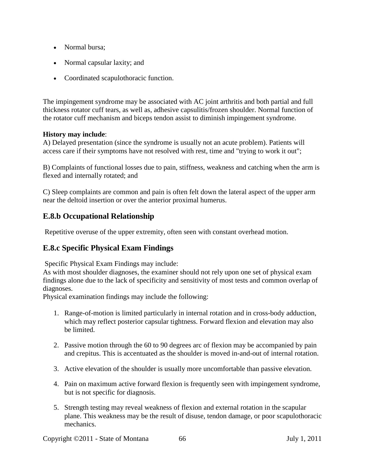- Normal bursa;
- Normal capsular laxity; and
- Coordinated scapulothoracic function.

The impingement syndrome may be associated with AC joint arthritis and both partial and full thickness rotator cuff tears, as well as, adhesive capsulitis/frozen shoulder. Normal function of the rotator cuff mechanism and biceps tendon assist to diminish impingement syndrome.

#### **History may include**:

A) Delayed presentation (since the syndrome is usually not an acute problem). Patients will access care if their symptoms have not resolved with rest, time and "trying to work it out";

B) Complaints of functional losses due to pain, stiffness, weakness and catching when the arm is flexed and internally rotated; and

C) Sleep complaints are common and pain is often felt down the lateral aspect of the upper arm near the deltoid insertion or over the anterior proximal humerus.

### **E.8.b Occupational Relationship**

Repetitive overuse of the upper extremity, often seen with constant overhead motion.

## **E.8.c Specific Physical Exam Findings**

Specific Physical Exam Findings may include:

As with most shoulder diagnoses, the examiner should not rely upon one set of physical exam findings alone due to the lack of specificity and sensitivity of most tests and common overlap of diagnoses.

Physical examination findings may include the following:

- 1. Range-of-motion is limited particularly in internal rotation and in cross-body adduction, which may reflect posterior capsular tightness. Forward flexion and elevation may also be limited.
- 2. Passive motion through the 60 to 90 degrees arc of flexion may be accompanied by pain and crepitus. This is accentuated as the shoulder is moved in-and-out of internal rotation.
- 3. Active elevation of the shoulder is usually more uncomfortable than passive elevation.
- 4. Pain on maximum active forward flexion is frequently seen with impingement syndrome, but is not specific for diagnosis.
- 5. Strength testing may reveal weakness of flexion and external rotation in the scapular plane. This weakness may be the result of disuse, tendon damage, or poor scapulothoracic mechanics.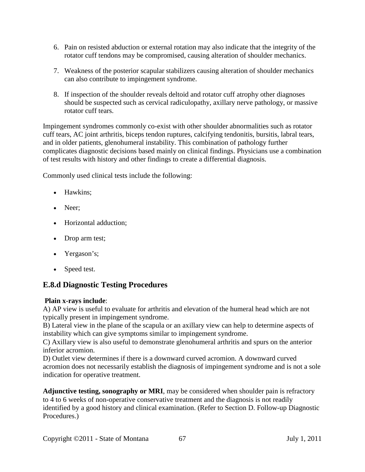- 6. Pain on resisted abduction or external rotation may also indicate that the integrity of the rotator cuff tendons may be compromised, causing alteration of shoulder mechanics.
- 7. Weakness of the posterior scapular stabilizers causing alteration of shoulder mechanics can also contribute to impingement syndrome.
- 8. If inspection of the shoulder reveals deltoid and rotator cuff atrophy other diagnoses should be suspected such as cervical radiculopathy, axillary nerve pathology, or massive rotator cuff tears.

Impingement syndromes commonly co-exist with other shoulder abnormalities such as rotator cuff tears, AC joint arthritis, biceps tendon ruptures, calcifying tendonitis, bursitis, labral tears, and in older patients, glenohumeral instability. This combination of pathology further complicates diagnostic decisions based mainly on clinical findings. Physicians use a combination of test results with history and other findings to create a differential diagnosis.

Commonly used clinical tests include the following:

- Hawkins:
- Neer:
- Horizontal adduction;
- Drop arm test;
- Yergason's;
- Speed test.

#### **E.8.d Diagnostic Testing Procedures**

#### **Plain x-rays include**:

A) AP view is useful to evaluate for arthritis and elevation of the humeral head which are not typically present in impingement syndrome.

B) Lateral view in the plane of the scapula or an axillary view can help to determine aspects of instability which can give symptoms similar to impingement syndrome.

C) Axillary view is also useful to demonstrate glenohumeral arthritis and spurs on the anterior inferior acromion.

D) Outlet view determines if there is a downward curved acromion. A downward curved acromion does not necessarily establish the diagnosis of impingement syndrome and is not a sole indication for operative treatment.

**Adjunctive testing, sonography or MRI**, may be considered when shoulder pain is refractory to 4 to 6 weeks of non-operative conservative treatment and the diagnosis is not readily identified by a good history and clinical examination. (Refer to Section D. Follow-up Diagnostic Procedures.)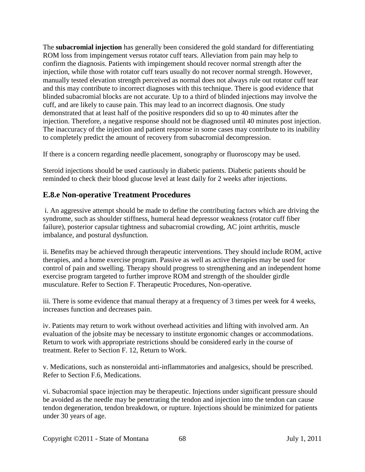The **subacromial injection** has generally been considered the gold standard for differentiating ROM loss from impingement versus rotator cuff tears. Alleviation from pain may help to confirm the diagnosis. Patients with impingement should recover normal strength after the injection, while those with rotator cuff tears usually do not recover normal strength. However, manually tested elevation strength perceived as normal does not always rule out rotator cuff tear and this may contribute to incorrect diagnoses with this technique. There is good evidence that blinded subacromial blocks are not accurate. Up to a third of blinded injections may involve the cuff, and are likely to cause pain. This may lead to an incorrect diagnosis. One study demonstrated that at least half of the positive responders did so up to 40 minutes after the injection. Therefore, a negative response should not be diagnosed until 40 minutes post injection. The inaccuracy of the injection and patient response in some cases may contribute to its inability to completely predict the amount of recovery from subacromial decompression.

If there is a concern regarding needle placement, sonography or fluoroscopy may be used.

Steroid injections should be used cautiously in diabetic patients. Diabetic patients should be reminded to check their blood glucose level at least daily for 2 weeks after injections.

## **E.8.e Non-operative Treatment Procedures**

i. An aggressive attempt should be made to define the contributing factors which are driving the syndrome, such as shoulder stiffness, humeral head depressor weakness (rotator cuff fiber failure), posterior capsular tightness and subacromial crowding, AC joint arthritis, muscle imbalance, and postural dysfunction.

ii. Benefits may be achieved through therapeutic interventions. They should include ROM, active therapies, and a home exercise program. Passive as well as active therapies may be used for control of pain and swelling. Therapy should progress to strengthening and an independent home exercise program targeted to further improve ROM and strength of the shoulder girdle musculature. Refer to Section F. Therapeutic Procedures, Non-operative.

iii. There is some evidence that manual therapy at a frequency of 3 times per week for 4 weeks, increases function and decreases pain.

iv. Patients may return to work without overhead activities and lifting with involved arm. An evaluation of the jobsite may be necessary to institute ergonomic changes or accommodations. Return to work with appropriate restrictions should be considered early in the course of treatment. Refer to Section F. 12, Return to Work.

v. Medications, such as nonsteroidal anti-inflammatories and analgesics, should be prescribed. Refer to Section F.6, Medications.

vi. Subacromial space injection may be therapeutic. Injections under significant pressure should be avoided as the needle may be penetrating the tendon and injection into the tendon can cause tendon degeneration, tendon breakdown, or rupture. Injections should be minimized for patients under 30 years of age.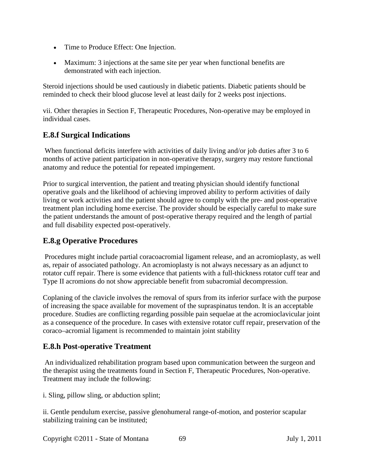- Time to Produce Effect: One Injection.
- Maximum: 3 injections at the same site per year when functional benefits are demonstrated with each injection.

Steroid injections should be used cautiously in diabetic patients. Diabetic patients should be reminded to check their blood glucose level at least daily for 2 weeks post injections.

vii. Other therapies in Section F, Therapeutic Procedures, Non-operative may be employed in individual cases.

## **E.8.f Surgical Indications**

When functional deficits interfere with activities of daily living and/or job duties after 3 to 6 months of active patient participation in non-operative therapy, surgery may restore functional anatomy and reduce the potential for repeated impingement.

Prior to surgical intervention, the patient and treating physician should identify functional operative goals and the likelihood of achieving improved ability to perform activities of daily living or work activities and the patient should agree to comply with the pre- and post-operative treatment plan including home exercise. The provider should be especially careful to make sure the patient understands the amount of post-operative therapy required and the length of partial and full disability expected post-operatively.

# **E.8.g Operative Procedures**

Procedures might include partial coracoacromial ligament release, and an acromioplasty, as well as, repair of associated pathology. An acromioplasty is not always necessary as an adjunct to rotator cuff repair. There is some evidence that patients with a full-thickness rotator cuff tear and Type II acromions do not show appreciable benefit from subacromial decompression.

Coplaning of the clavicle involves the removal of spurs from its inferior surface with the purpose of increasing the space available for movement of the supraspinatus tendon. It is an acceptable procedure. Studies are conflicting regarding possible pain sequelae at the acromioclavicular joint as a consequence of the procedure. In cases with extensive rotator cuff repair, preservation of the coraco–acromial ligament is recommended to maintain joint stability

## **E.8.h Post-operative Treatment**

An individualized rehabilitation program based upon communication between the surgeon and the therapist using the treatments found in Section F, Therapeutic Procedures, Non-operative. Treatment may include the following:

i. Sling, pillow sling, or abduction splint;

ii. Gentle pendulum exercise, passive glenohumeral range-of-motion, and posterior scapular stabilizing training can be instituted;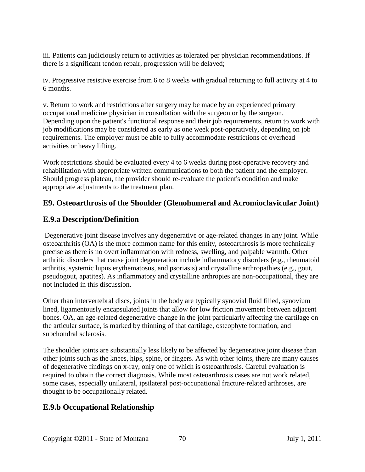iii. Patients can judiciously return to activities as tolerated per physician recommendations. If there is a significant tendon repair, progression will be delayed;

iv. Progressive resistive exercise from 6 to 8 weeks with gradual returning to full activity at 4 to 6 months.

v. Return to work and restrictions after surgery may be made by an experienced primary occupational medicine physician in consultation with the surgeon or by the surgeon. Depending upon the patient's functional response and their job requirements, return to work with job modifications may be considered as early as one week post-operatively, depending on job requirements. The employer must be able to fully accommodate restrictions of overhead activities or heavy lifting.

Work restrictions should be evaluated every 4 to 6 weeks during post-operative recovery and rehabilitation with appropriate written communications to both the patient and the employer. Should progress plateau, the provider should re-evaluate the patient's condition and make appropriate adjustments to the treatment plan.

## **E9. Osteoarthrosis of the Shoulder (Glenohumeral and Acromioclavicular Joint)**

## **E.9.a Description/Definition**

Degenerative joint disease involves any degenerative or age-related changes in any joint. While osteoarthritis (OA) is the more common name for this entity, osteoarthrosis is more technically precise as there is no overt inflammation with redness, swelling, and palpable warmth. Other arthritic disorders that cause joint degeneration include inflammatory disorders (e.g., rheumatoid arthritis, systemic lupus erythematosus, and psoriasis) and crystalline arthropathies (e.g., gout, pseudogout, apatites). As inflammatory and crystalline arthropies are non-occupational, they are not included in this discussion.

Other than intervertebral discs, joints in the body are typically synovial fluid filled, synovium lined, ligamentously encapsulated joints that allow for low friction movement between adjacent bones. OA, an age-related degenerative change in the joint particularly affecting the cartilage on the articular surface, is marked by thinning of that cartilage, osteophyte formation, and subchondral sclerosis.

The shoulder joints are substantially less likely to be affected by degenerative joint disease than other joints such as the knees, hips, spine, or fingers. As with other joints, there are many causes of degenerative findings on x-ray, only one of which is osteoarthrosis. Careful evaluation is required to obtain the correct diagnosis. While most osteoarthrosis cases are not work related, some cases, especially unilateral, ipsilateral post-occupational fracture-related arthroses, are thought to be occupationally related.

# **E.9.b Occupational Relationship**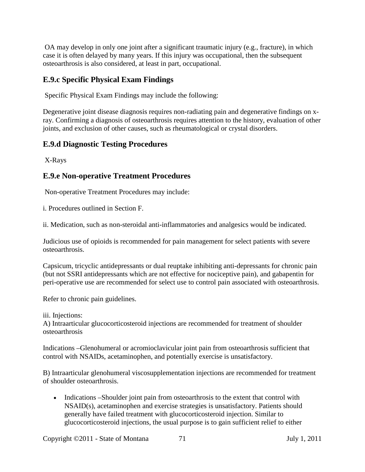OA may develop in only one joint after a significant traumatic injury (e.g., fracture), in which case it is often delayed by many years. If this injury was occupational, then the subsequent osteoarthrosis is also considered, at least in part, occupational.

#### **E.9.c Specific Physical Exam Findings**

Specific Physical Exam Findings may include the following:

Degenerative joint disease diagnosis requires non-radiating pain and degenerative findings on xray. Confirming a diagnosis of osteoarthrosis requires attention to the history, evaluation of other joints, and exclusion of other causes, such as rheumatological or crystal disorders.

## **E.9.d Diagnostic Testing Procedures**

X-Rays

### **E.9.e Non-operative Treatment Procedures**

Non-operative Treatment Procedures may include:

i. Procedures outlined in Section F.

ii. Medication, such as non-steroidal anti-inflammatories and analgesics would be indicated.

Judicious use of opioids is recommended for pain management for select patients with severe osteoarthrosis.

Capsicum, tricyclic antidepressants or dual reuptake inhibiting anti-depressants for chronic pain (but not SSRI antidepressants which are not effective for nociceptive pain), and gabapentin for peri-operative use are recommended for select use to control pain associated with osteoarthrosis.

Refer to chronic pain guidelines.

iii. Injections:

A) Intraarticular glucocorticosteroid injections are recommended for treatment of shoulder osteoarthrosis

Indications –Glenohumeral or acromioclavicular joint pain from osteoarthrosis sufficient that control with NSAIDs, acetaminophen, and potentially exercise is unsatisfactory.

B) Intraarticular glenohumeral viscosupplementation injections are recommended for treatment of shoulder osteoarthrosis.

• Indications –Shoulder joint pain from osteoarthrosis to the extent that control with NSAID(s), acetaminophen and exercise strategies is unsatisfactory. Patients should generally have failed treatment with glucocorticosteroid injection. Similar to glucocorticosteroid injections, the usual purpose is to gain sufficient relief to either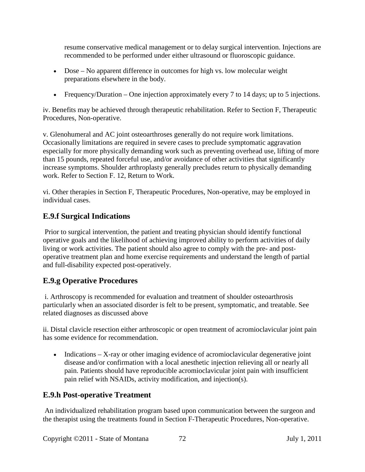resume conservative medical management or to delay surgical intervention. Injections are recommended to be performed under either ultrasound or fluoroscopic guidance.

- Dose No apparent difference in outcomes for high vs. low molecular weight preparations elsewhere in the body.
- Frequency/Duration One injection approximately every 7 to 14 days; up to 5 injections.

iv. Benefits may be achieved through therapeutic rehabilitation. Refer to Section F, Therapeutic Procedures, Non-operative.

v. Glenohumeral and AC joint osteoarthroses generally do not require work limitations. Occasionally limitations are required in severe cases to preclude symptomatic aggravation especially for more physically demanding work such as preventing overhead use, lifting of more than 15 pounds, repeated forceful use, and/or avoidance of other activities that significantly increase symptoms. Shoulder arthroplasty generally precludes return to physically demanding work. Refer to Section F. 12, Return to Work.

vi. Other therapies in Section F, Therapeutic Procedures, Non-operative, may be employed in individual cases.

### **E.9.f Surgical Indications**

Prior to surgical intervention, the patient and treating physician should identify functional operative goals and the likelihood of achieving improved ability to perform activities of daily living or work activities. The patient should also agree to comply with the pre- and postoperative treatment plan and home exercise requirements and understand the length of partial and full-disability expected post-operatively.

#### **E.9.g Operative Procedures**

i. Arthroscopy is recommended for evaluation and treatment of shoulder osteoarthrosis particularly when an associated disorder is felt to be present, symptomatic, and treatable. See related diagnoses as discussed above

ii. Distal clavicle resection either arthroscopic or open treatment of acromioclavicular joint pain has some evidence for recommendation.

• Indications – X-ray or other imaging evidence of acromioclavicular degenerative joint disease and/or confirmation with a local anesthetic injection relieving all or nearly all pain. Patients should have reproducible acromioclavicular joint pain with insufficient pain relief with NSAIDs, activity modification, and injection(s).

#### **E.9.h Post-operative Treatment**

An individualized rehabilitation program based upon communication between the surgeon and the therapist using the treatments found in Section F-Therapeutic Procedures, Non-operative.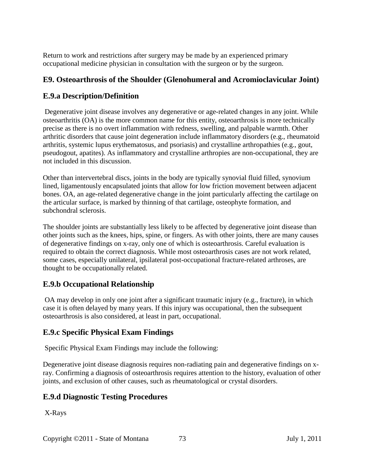Return to work and restrictions after surgery may be made by an experienced primary occupational medicine physician in consultation with the surgeon or by the surgeon.

# **E9. Osteoarthrosis of the Shoulder (Glenohumeral and Acromioclavicular Joint)**

## **E.9.a Description/Definition**

Degenerative joint disease involves any degenerative or age-related changes in any joint. While osteoarthritis (OA) is the more common name for this entity, osteoarthrosis is more technically precise as there is no overt inflammation with redness, swelling, and palpable warmth. Other arthritic disorders that cause joint degeneration include inflammatory disorders (e.g., rheumatoid arthritis, systemic lupus erythematosus, and psoriasis) and crystalline arthropathies (e.g., gout, pseudogout, apatites). As inflammatory and crystalline arthropies are non-occupational, they are not included in this discussion.

Other than intervertebral discs, joints in the body are typically synovial fluid filled, synovium lined, ligamentously encapsulated joints that allow for low friction movement between adjacent bones. OA, an age-related degenerative change in the joint particularly affecting the cartilage on the articular surface, is marked by thinning of that cartilage, osteophyte formation, and subchondral sclerosis.

The shoulder joints are substantially less likely to be affected by degenerative joint disease than other joints such as the knees, hips, spine, or fingers. As with other joints, there are many causes of degenerative findings on x-ray, only one of which is osteoarthrosis. Careful evaluation is required to obtain the correct diagnosis. While most osteoarthrosis cases are not work related, some cases, especially unilateral, ipsilateral post-occupational fracture-related arthroses, are thought to be occupationally related.

# **E.9.b Occupational Relationship**

OA may develop in only one joint after a significant traumatic injury (e.g., fracture), in which case it is often delayed by many years. If this injury was occupational, then the subsequent osteoarthrosis is also considered, at least in part, occupational.

# **E.9.c Specific Physical Exam Findings**

Specific Physical Exam Findings may include the following:

Degenerative joint disease diagnosis requires non-radiating pain and degenerative findings on xray. Confirming a diagnosis of osteoarthrosis requires attention to the history, evaluation of other joints, and exclusion of other causes, such as rheumatological or crystal disorders.

# **E.9.d Diagnostic Testing Procedures**

X-Rays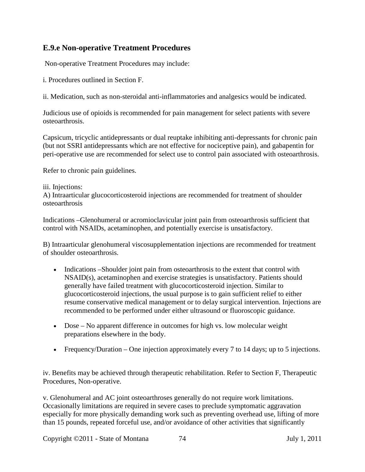## **E.9.e Non-operative Treatment Procedures**

Non-operative Treatment Procedures may include:

i. Procedures outlined in Section F.

ii. Medication, such as non-steroidal anti-inflammatories and analgesics would be indicated.

Judicious use of opioids is recommended for pain management for select patients with severe osteoarthrosis.

Capsicum, tricyclic antidepressants or dual reuptake inhibiting anti-depressants for chronic pain (but not SSRI antidepressants which are not effective for nociceptive pain), and gabapentin for peri-operative use are recommended for select use to control pain associated with osteoarthrosis.

Refer to chronic pain guidelines.

#### iii. Injections:

A) Intraarticular glucocorticosteroid injections are recommended for treatment of shoulder osteoarthrosis

Indications –Glenohumeral or acromioclavicular joint pain from osteoarthrosis sufficient that control with NSAIDs, acetaminophen, and potentially exercise is unsatisfactory.

B) Intraarticular glenohumeral viscosupplementation injections are recommended for treatment of shoulder osteoarthrosis.

- Indications –Shoulder joint pain from osteoarthrosis to the extent that control with NSAID(s), acetaminophen and exercise strategies is unsatisfactory. Patients should generally have failed treatment with glucocorticosteroid injection. Similar to glucocorticosteroid injections, the usual purpose is to gain sufficient relief to either resume conservative medical management or to delay surgical intervention. Injections are recommended to be performed under either ultrasound or fluoroscopic guidance.
- Dose No apparent difference in outcomes for high vs. low molecular weight preparations elsewhere in the body.
- Frequency/Duration One injection approximately every 7 to 14 days; up to 5 injections.

iv. Benefits may be achieved through therapeutic rehabilitation. Refer to Section F, Therapeutic Procedures, Non-operative.

v. Glenohumeral and AC joint osteoarthroses generally do not require work limitations. Occasionally limitations are required in severe cases to preclude symptomatic aggravation especially for more physically demanding work such as preventing overhead use, lifting of more than 15 pounds, repeated forceful use, and/or avoidance of other activities that significantly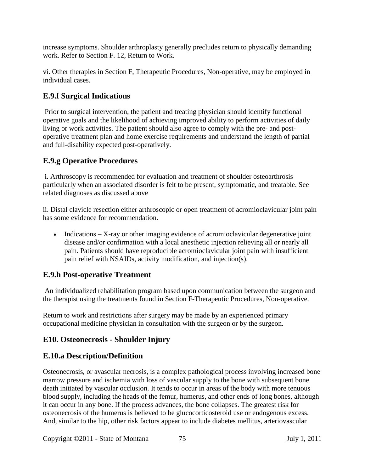increase symptoms. Shoulder arthroplasty generally precludes return to physically demanding work. Refer to Section F. 12, Return to Work.

vi. Other therapies in Section F, Therapeutic Procedures, Non-operative, may be employed in individual cases.

## **E.9.f Surgical Indications**

Prior to surgical intervention, the patient and treating physician should identify functional operative goals and the likelihood of achieving improved ability to perform activities of daily living or work activities. The patient should also agree to comply with the pre- and postoperative treatment plan and home exercise requirements and understand the length of partial and full-disability expected post-operatively.

## **E.9.g Operative Procedures**

i. Arthroscopy is recommended for evaluation and treatment of shoulder osteoarthrosis particularly when an associated disorder is felt to be present, symptomatic, and treatable. See related diagnoses as discussed above

ii. Distal clavicle resection either arthroscopic or open treatment of acromioclavicular joint pain has some evidence for recommendation.

• Indications – X-ray or other imaging evidence of acromioclavicular degenerative joint disease and/or confirmation with a local anesthetic injection relieving all or nearly all pain. Patients should have reproducible acromioclavicular joint pain with insufficient pain relief with NSAIDs, activity modification, and injection(s).

## **E.9.h Post-operative Treatment**

An individualized rehabilitation program based upon communication between the surgeon and the therapist using the treatments found in Section F-Therapeutic Procedures, Non-operative.

Return to work and restrictions after surgery may be made by an experienced primary occupational medicine physician in consultation with the surgeon or by the surgeon.

## **E10. Osteonecrosis - Shoulder Injury**

## **E.10.a Description/Definition**

Osteonecrosis, or avascular necrosis, is a complex pathological process involving increased bone marrow pressure and ischemia with loss of vascular supply to the bone with subsequent bone death initiated by vascular occlusion. It tends to occur in areas of the body with more tenuous blood supply, including the heads of the femur, humerus, and other ends of long bones, although it can occur in any bone. If the process advances, the bone collapses. The greatest risk for osteonecrosis of the humerus is believed to be glucocorticosteroid use or endogenous excess. And, similar to the hip, other risk factors appear to include diabetes mellitus, arteriovascular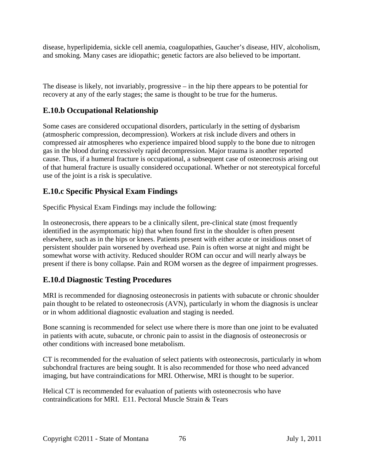disease, hyperlipidemia, sickle cell anemia, coagulopathies, Gaucher's disease, HIV, alcoholism, and smoking. Many cases are idiopathic; genetic factors are also believed to be important.

The disease is likely, not invariably, progressive – in the hip there appears to be potential for recovery at any of the early stages; the same is thought to be true for the humerus.

## **E.10.b Occupational Relationship**

Some cases are considered occupational disorders, particularly in the setting of dysbarism (atmospheric compression, decompression). Workers at risk include divers and others in compressed air atmospheres who experience impaired blood supply to the bone due to nitrogen gas in the blood during excessively rapid decompression. Major trauma is another reported cause. Thus, if a humeral fracture is occupational, a subsequent case of osteonecrosis arising out of that humeral fracture is usually considered occupational. Whether or not stereotypical forceful use of the joint is a risk is speculative.

## **E.10.c Specific Physical Exam Findings**

Specific Physical Exam Findings may include the following:

In osteonecrosis, there appears to be a clinically silent, pre-clinical state (most frequently identified in the asymptomatic hip) that when found first in the shoulder is often present elsewhere, such as in the hips or knees. Patients present with either acute or insidious onset of persistent shoulder pain worsened by overhead use. Pain is often worse at night and might be somewhat worse with activity. Reduced shoulder ROM can occur and will nearly always be present if there is bony collapse. Pain and ROM worsen as the degree of impairment progresses.

## **E.10.d Diagnostic Testing Procedures**

MRI is recommended for diagnosing osteonecrosis in patients with subacute or chronic shoulder pain thought to be related to osteonecrosis (AVN), particularly in whom the diagnosis is unclear or in whom additional diagnostic evaluation and staging is needed.

Bone scanning is recommended for select use where there is more than one joint to be evaluated in patients with acute, subacute, or chronic pain to assist in the diagnosis of osteonecrosis or other conditions with increased bone metabolism.

CT is recommended for the evaluation of select patients with osteonecrosis, particularly in whom subchondral fractures are being sought. It is also recommended for those who need advanced imaging, but have contraindications for MRI. Otherwise, MRI is thought to be superior.

Helical CT is recommended for evaluation of patients with osteonecrosis who have contraindications for MRI. E11. Pectoral Muscle Strain & Tears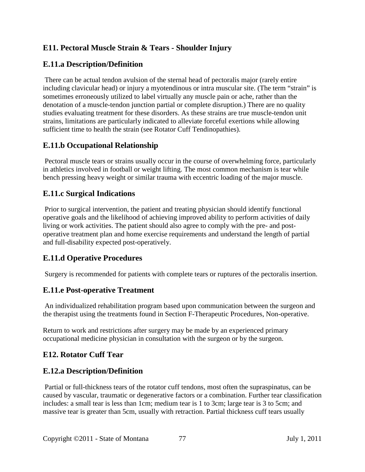# **E11. Pectoral Muscle Strain & Tears - Shoulder Injury**

## **E.11.a Description/Definition**

There can be actual tendon avulsion of the sternal head of pectoralis major (rarely entire including clavicular head) or injury a myotendinous or intra muscular site. (The term "strain" is sometimes erroneously utilized to label virtually any muscle pain or ache, rather than the denotation of a muscle-tendon junction partial or complete disruption.) There are no quality studies evaluating treatment for these disorders. As these strains are true muscle-tendon unit strains, limitations are particularly indicated to alleviate forceful exertions while allowing sufficient time to health the strain (see Rotator Cuff Tendinopathies).

## **E.11.b Occupational Relationship**

Pectoral muscle tears or strains usually occur in the course of overwhelming force, particularly in athletics involved in football or weight lifting. The most common mechanism is tear while bench pressing heavy weight or similar trauma with eccentric loading of the major muscle.

## **E.11.c Surgical Indications**

Prior to surgical intervention, the patient and treating physician should identify functional operative goals and the likelihood of achieving improved ability to perform activities of daily living or work activities. The patient should also agree to comply with the pre- and postoperative treatment plan and home exercise requirements and understand the length of partial and full-disability expected post-operatively.

## **E.11.d Operative Procedures**

Surgery is recommended for patients with complete tears or ruptures of the pectoralis insertion.

## **E.11.e Post-operative Treatment**

An individualized rehabilitation program based upon communication between the surgeon and the therapist using the treatments found in Section F-Therapeutic Procedures, Non-operative.

Return to work and restrictions after surgery may be made by an experienced primary occupational medicine physician in consultation with the surgeon or by the surgeon.

## **E12. Rotator Cuff Tear**

## **E.12.a Description/Definition**

Partial or full-thickness tears of the rotator cuff tendons, most often the supraspinatus, can be caused by vascular, traumatic or degenerative factors or a combination. Further tear classification includes: a small tear is less than 1cm; medium tear is 1 to 3cm; large tear is 3 to 5cm; and massive tear is greater than 5cm, usually with retraction. Partial thickness cuff tears usually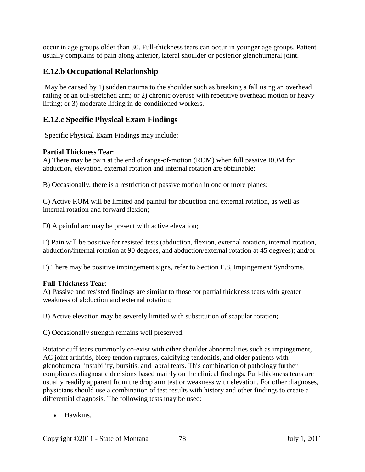occur in age groups older than 30. Full-thickness tears can occur in younger age groups. Patient usually complains of pain along anterior, lateral shoulder or posterior glenohumeral joint.

## **E.12.b Occupational Relationship**

May be caused by 1) sudden trauma to the shoulder such as breaking a fall using an overhead railing or an out-stretched arm; or 2) chronic overuse with repetitive overhead motion or heavy lifting; or 3) moderate lifting in de-conditioned workers.

## **E.12.c Specific Physical Exam Findings**

Specific Physical Exam Findings may include:

#### **Partial Thickness Tear**:

A) There may be pain at the end of range-of-motion (ROM) when full passive ROM for abduction, elevation, external rotation and internal rotation are obtainable;

B) Occasionally, there is a restriction of passive motion in one or more planes;

C) Active ROM will be limited and painful for abduction and external rotation, as well as internal rotation and forward flexion;

D) A painful arc may be present with active elevation;

E) Pain will be positive for resisted tests (abduction, flexion, external rotation, internal rotation, abduction/internal rotation at 90 degrees, and abduction/external rotation at 45 degrees); and/or

F) There may be positive impingement signs, refer to Section E.8, Impingement Syndrome.

#### **Full-Thickness Tear**:

A) Passive and resisted findings are similar to those for partial thickness tears with greater weakness of abduction and external rotation;

B) Active elevation may be severely limited with substitution of scapular rotation;

C) Occasionally strength remains well preserved.

Rotator cuff tears commonly co-exist with other shoulder abnormalities such as impingement, AC joint arthritis, bicep tendon ruptures, calcifying tendonitis, and older patients with glenohumeral instability, bursitis, and labral tears. This combination of pathology further complicates diagnostic decisions based mainly on the clinical findings. Full-thickness tears are usually readily apparent from the drop arm test or weakness with elevation. For other diagnoses, physicians should use a combination of test results with history and other findings to create a differential diagnosis. The following tests may be used:

• Hawkins.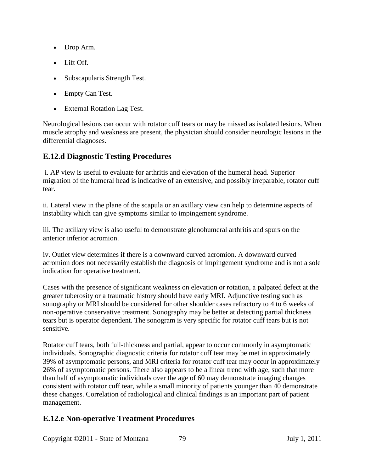- Drop Arm.
- Lift Off.
- Subscapularis Strength Test.
- Empty Can Test.
- External Rotation Lag Test.

Neurological lesions can occur with rotator cuff tears or may be missed as isolated lesions. When muscle atrophy and weakness are present, the physician should consider neurologic lesions in the differential diagnoses.

## **E.12.d Diagnostic Testing Procedures**

i. AP view is useful to evaluate for arthritis and elevation of the humeral head. Superior migration of the humeral head is indicative of an extensive, and possibly irreparable, rotator cuff tear.

ii. Lateral view in the plane of the scapula or an axillary view can help to determine aspects of instability which can give symptoms similar to impingement syndrome.

iii. The axillary view is also useful to demonstrate glenohumeral arthritis and spurs on the anterior inferior acromion.

iv. Outlet view determines if there is a downward curved acromion. A downward curved acromion does not necessarily establish the diagnosis of impingement syndrome and is not a sole indication for operative treatment.

Cases with the presence of significant weakness on elevation or rotation, a palpated defect at the greater tuberosity or a traumatic history should have early MRI. Adjunctive testing such as sonography or MRI should be considered for other shoulder cases refractory to 4 to 6 weeks of non-operative conservative treatment. Sonography may be better at detecting partial thickness tears but is operator dependent. The sonogram is very specific for rotator cuff tears but is not sensitive.

Rotator cuff tears, both full-thickness and partial, appear to occur commonly in asymptomatic individuals. Sonographic diagnostic criteria for rotator cuff tear may be met in approximately 39% of asymptomatic persons, and MRI criteria for rotator cuff tear may occur in approximately 26% of asymptomatic persons. There also appears to be a linear trend with age, such that more than half of asymptomatic individuals over the age of 60 may demonstrate imaging changes consistent with rotator cuff tear, while a small minority of patients younger than 40 demonstrate these changes. Correlation of radiological and clinical findings is an important part of patient management.

## **E.12.e Non-operative Treatment Procedures**

Copyright ©2011 - State of Montana 79 July 1, 2011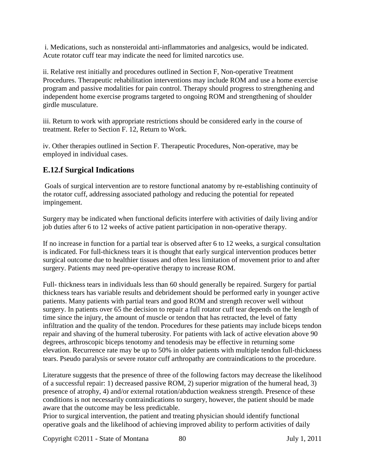i. Medications, such as nonsteroidal anti-inflammatories and analgesics, would be indicated. Acute rotator cuff tear may indicate the need for limited narcotics use.

ii. Relative rest initially and procedures outlined in Section F, Non-operative Treatment Procedures. Therapeutic rehabilitation interventions may include ROM and use a home exercise program and passive modalities for pain control. Therapy should progress to strengthening and independent home exercise programs targeted to ongoing ROM and strengthening of shoulder girdle musculature.

iii. Return to work with appropriate restrictions should be considered early in the course of treatment. Refer to Section F. 12, Return to Work.

iv. Other therapies outlined in Section F. Therapeutic Procedures, Non-operative, may be employed in individual cases.

# **E.12.f Surgical Indications**

Goals of surgical intervention are to restore functional anatomy by re-establishing continuity of the rotator cuff, addressing associated pathology and reducing the potential for repeated impingement.

Surgery may be indicated when functional deficits interfere with activities of daily living and/or job duties after 6 to 12 weeks of active patient participation in non-operative therapy.

If no increase in function for a partial tear is observed after 6 to 12 weeks, a surgical consultation is indicated. For full-thickness tears it is thought that early surgical intervention produces better surgical outcome due to healthier tissues and often less limitation of movement prior to and after surgery. Patients may need pre-operative therapy to increase ROM.

Full- thickness tears in individuals less than 60 should generally be repaired. Surgery for partial thickness tears has variable results and debridement should be performed early in younger active patients. Many patients with partial tears and good ROM and strength recover well without surgery. In patients over 65 the decision to repair a full rotator cuff tear depends on the length of time since the injury, the amount of muscle or tendon that has retracted, the level of fatty infiltration and the quality of the tendon. Procedures for these patients may include biceps tendon repair and shaving of the humeral tuberosity. For patients with lack of active elevation above 90 degrees, arthroscopic biceps tenotomy and tenodesis may be effective in returning some elevation. Recurrence rate may be up to 50% in older patients with multiple tendon full-thickness tears. Pseudo paralysis or severe rotator cuff arthropathy are contraindications to the procedure.

Literature suggests that the presence of three of the following factors may decrease the likelihood of a successful repair: 1) decreased passive ROM, 2) superior migration of the humeral head, 3) presence of atrophy, 4) and/or external rotation/abduction weakness strength. Presence of these conditions is not necessarily contraindications to surgery, however, the patient should be made aware that the outcome may be less predictable.

Prior to surgical intervention, the patient and treating physician should identify functional operative goals and the likelihood of achieving improved ability to perform activities of daily

Copyright ©2011 - State of Montana 80 July 1, 2011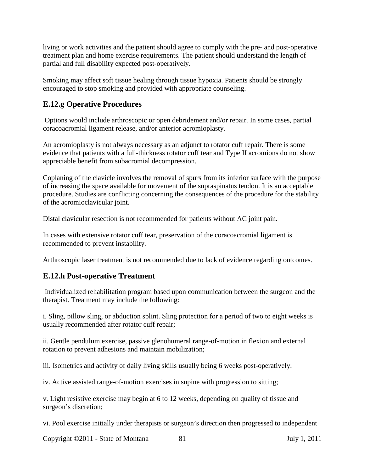living or work activities and the patient should agree to comply with the pre- and post-operative treatment plan and home exercise requirements. The patient should understand the length of partial and full disability expected post-operatively.

Smoking may affect soft tissue healing through tissue hypoxia. Patients should be strongly encouraged to stop smoking and provided with appropriate counseling.

# **E.12.g Operative Procedures**

Options would include arthroscopic or open debridement and/or repair. In some cases, partial coracoacromial ligament release, and/or anterior acromioplasty.

An acromioplasty is not always necessary as an adjunct to rotator cuff repair. There is some evidence that patients with a full-thickness rotator cuff tear and Type II acromions do not show appreciable benefit from subacromial decompression.

Coplaning of the clavicle involves the removal of spurs from its inferior surface with the purpose of increasing the space available for movement of the supraspinatus tendon. It is an acceptable procedure. Studies are conflicting concerning the consequences of the procedure for the stability of the acromioclavicular joint.

Distal clavicular resection is not recommended for patients without AC joint pain.

In cases with extensive rotator cuff tear, preservation of the coracoacromial ligament is recommended to prevent instability.

Arthroscopic laser treatment is not recommended due to lack of evidence regarding outcomes.

## **E.12.h Post-operative Treatment**

Individualized rehabilitation program based upon communication between the surgeon and the therapist. Treatment may include the following:

i. Sling, pillow sling, or abduction splint. Sling protection for a period of two to eight weeks is usually recommended after rotator cuff repair;

ii. Gentle pendulum exercise, passive glenohumeral range-of-motion in flexion and external rotation to prevent adhesions and maintain mobilization;

iii. Isometrics and activity of daily living skills usually being 6 weeks post-operatively.

iv. Active assisted range-of-motion exercises in supine with progression to sitting;

v. Light resistive exercise may begin at 6 to 12 weeks, depending on quality of tissue and surgeon's discretion;

vi. Pool exercise initially under therapists or surgeon's direction then progressed to independent

Copyright ©2011 - State of Montana 81 July 1, 2011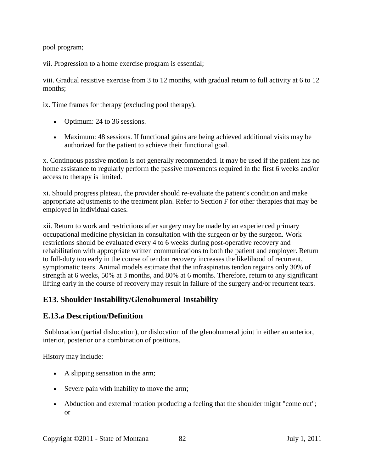pool program;

vii. Progression to a home exercise program is essential;

viii. Gradual resistive exercise from 3 to 12 months, with gradual return to full activity at 6 to 12 months;

ix. Time frames for therapy (excluding pool therapy).

- Optimum: 24 to 36 sessions.
- Maximum: 48 sessions. If functional gains are being achieved additional visits may be authorized for the patient to achieve their functional goal.

x. Continuous passive motion is not generally recommended. It may be used if the patient has no home assistance to regularly perform the passive movements required in the first 6 weeks and/or access to therapy is limited.

xi. Should progress plateau, the provider should re-evaluate the patient's condition and make appropriate adjustments to the treatment plan. Refer to Section F for other therapies that may be employed in individual cases.

xii. Return to work and restrictions after surgery may be made by an experienced primary occupational medicine physician in consultation with the surgeon or by the surgeon. Work restrictions should be evaluated every 4 to 6 weeks during post-operative recovery and rehabilitation with appropriate written communications to both the patient and employer. Return to full-duty too early in the course of tendon recovery increases the likelihood of recurrent, symptomatic tears. Animal models estimate that the infraspinatus tendon regains only 30% of strength at 6 weeks, 50% at 3 months, and 80% at 6 months. Therefore, return to any significant lifting early in the course of recovery may result in failure of the surgery and/or recurrent tears.

## **E13. Shoulder Instability/Glenohumeral Instability**

## **E.13.a Description/Definition**

Subluxation (partial dislocation), or dislocation of the glenohumeral joint in either an anterior, interior, posterior or a combination of positions.

#### History may include:

- A slipping sensation in the arm;
- Severe pain with inability to move the arm;
- Abduction and external rotation producing a feeling that the shoulder might "come out"; or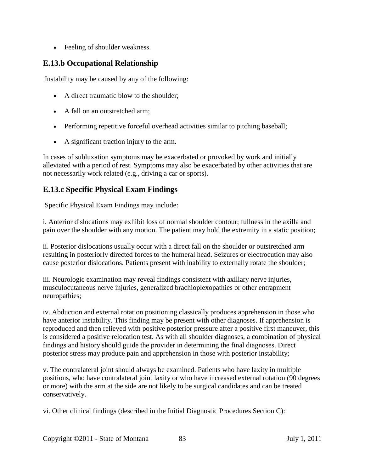• Feeling of shoulder weakness.

## **E.13.b Occupational Relationship**

Instability may be caused by any of the following:

- A direct traumatic blow to the shoulder;
- A fall on an outstretched arm:
- Performing repetitive forceful overhead activities similar to pitching baseball;
- A significant traction injury to the arm.

In cases of subluxation symptoms may be exacerbated or provoked by work and initially alleviated with a period of rest. Symptoms may also be exacerbated by other activities that are not necessarily work related (e.g., driving a car or sports).

## **E.13.c Specific Physical Exam Findings**

Specific Physical Exam Findings may include:

i. Anterior dislocations may exhibit loss of normal shoulder contour; fullness in the axilla and pain over the shoulder with any motion. The patient may hold the extremity in a static position;

ii. Posterior dislocations usually occur with a direct fall on the shoulder or outstretched arm resulting in posteriorly directed forces to the humeral head. Seizures or electrocution may also cause posterior dislocations. Patients present with inability to externally rotate the shoulder;

iii. Neurologic examination may reveal findings consistent with axillary nerve injuries, musculocutaneous nerve injuries, generalized brachioplexopathies or other entrapment neuropathies;

iv. Abduction and external rotation positioning classically produces apprehension in those who have anterior instability. This finding may be present with other diagnoses. If apprehension is reproduced and then relieved with positive posterior pressure after a positive first maneuver, this is considered a positive relocation test. As with all shoulder diagnoses, a combination of physical findings and history should guide the provider in determining the final diagnoses. Direct posterior stress may produce pain and apprehension in those with posterior instability;

v. The contralateral joint should always be examined. Patients who have laxity in multiple positions, who have contralateral joint laxity or who have increased external rotation (90 degrees or more) with the arm at the side are not likely to be surgical candidates and can be treated conservatively.

vi. Other clinical findings (described in the Initial Diagnostic Procedures Section C):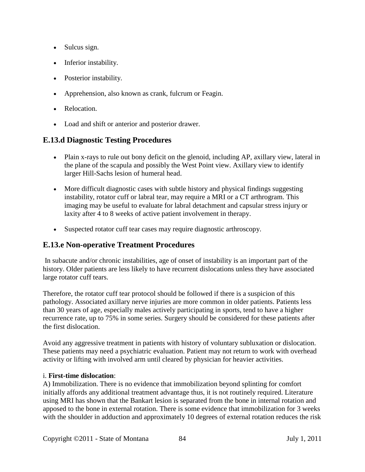- Sulcus sign.
- Inferior instability.
- Posterior instability.
- Apprehension, also known as crank, fulcrum or Feagin.
- Relocation.
- Load and shift or anterior and posterior drawer.

## **E.13.d Diagnostic Testing Procedures**

- Plain x-rays to rule out bony deficit on the glenoid, including AP, axillary view, lateral in the plane of the scapula and possibly the West Point view. Axillary view to identify larger Hill-Sachs lesion of humeral head.
- More difficult diagnostic cases with subtle history and physical findings suggesting instability, rotator cuff or labral tear, may require a MRI or a CT arthrogram. This imaging may be useful to evaluate for labral detachment and capsular stress injury or laxity after 4 to 8 weeks of active patient involvement in therapy.
- Suspected rotator cuff tear cases may require diagnostic arthroscopy.

## **E.13.e Non-operative Treatment Procedures**

In subacute and/or chronic instabilities, age of onset of instability is an important part of the history. Older patients are less likely to have recurrent dislocations unless they have associated large rotator cuff tears.

Therefore, the rotator cuff tear protocol should be followed if there is a suspicion of this pathology. Associated axillary nerve injuries are more common in older patients. Patients less than 30 years of age, especially males actively participating in sports, tend to have a higher recurrence rate, up to 75% in some series. Surgery should be considered for these patients after the first dislocation.

Avoid any aggressive treatment in patients with history of voluntary subluxation or dislocation. These patients may need a psychiatric evaluation. Patient may not return to work with overhead activity or lifting with involved arm until cleared by physician for heavier activities.

#### i. **First-time dislocation**:

A) Immobilization. There is no evidence that immobilization beyond splinting for comfort initially affords any additional treatment advantage thus, it is not routinely required. Literature using MRI has shown that the Bankart lesion is separated from the bone in internal rotation and apposed to the bone in external rotation. There is some evidence that immobilization for 3 weeks with the shoulder in adduction and approximately 10 degrees of external rotation reduces the risk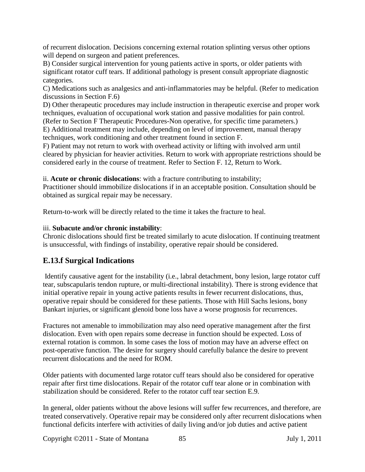of recurrent dislocation. Decisions concerning external rotation splinting versus other options will depend on surgeon and patient preferences.

B) Consider surgical intervention for young patients active in sports, or older patients with significant rotator cuff tears. If additional pathology is present consult appropriate diagnostic categories.

C) Medications such as analgesics and anti-inflammatories may be helpful. (Refer to medication discussions in Section F.6)

D) Other therapeutic procedures may include instruction in therapeutic exercise and proper work techniques, evaluation of occupational work station and passive modalities for pain control.

(Refer to Section F Therapeutic Procedures-Non operative, for specific time parameters.)

E) Additional treatment may include, depending on level of improvement, manual therapy techniques, work conditioning and other treatment found in section F.

F) Patient may not return to work with overhead activity or lifting with involved arm until cleared by physician for heavier activities. Return to work with appropriate restrictions should be considered early in the course of treatment. Refer to Section F. 12, Return to Work.

ii. **Acute or chronic dislocations**: with a fracture contributing to instability;

Practitioner should immobilize dislocations if in an acceptable position. Consultation should be obtained as surgical repair may be necessary.

Return-to-work will be directly related to the time it takes the fracture to heal.

#### iii. **Subacute and/or chronic instability**:

Chronic dislocations should first be treated similarly to acute dislocation. If continuing treatment is unsuccessful, with findings of instability, operative repair should be considered.

## **E.13.f Surgical Indications**

Identify causative agent for the instability (i.e., labral detachment, bony lesion, large rotator cuff tear, subscapularis tendon rupture, or multi-directional instability). There is strong evidence that initial operative repair in young active patients results in fewer recurrent dislocations, thus, operative repair should be considered for these patients. Those with Hill Sachs lesions, bony Bankart injuries, or significant glenoid bone loss have a worse prognosis for recurrences.

Fractures not amenable to immobilization may also need operative management after the first dislocation. Even with open repairs some decrease in function should be expected. Loss of external rotation is common. In some cases the loss of motion may have an adverse effect on post-operative function. The desire for surgery should carefully balance the desire to prevent recurrent dislocations and the need for ROM.

Older patients with documented large rotator cuff tears should also be considered for operative repair after first time dislocations. Repair of the rotator cuff tear alone or in combination with stabilization should be considered. Refer to the rotator cuff tear section E.9.

In general, older patients without the above lesions will suffer few recurrences, and therefore, are treated conservatively. Operative repair may be considered only after recurrent dislocations when functional deficits interfere with activities of daily living and/or job duties and active patient

Copyright ©2011 - State of Montana 85 July 1, 2011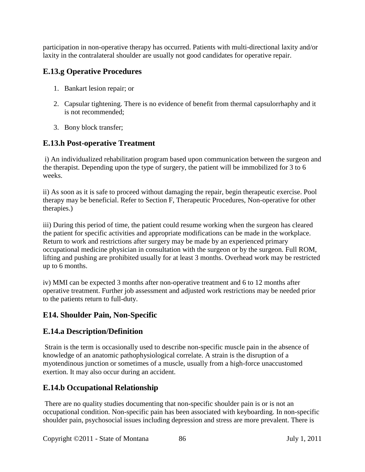participation in non-operative therapy has occurred. Patients with multi-directional laxity and/or laxity in the contralateral shoulder are usually not good candidates for operative repair.

# **E.13.g Operative Procedures**

- 1. Bankart lesion repair; or
- 2. Capsular tightening. There is no evidence of benefit from thermal capsulorrhaphy and it is not recommended;
- 3. Bony block transfer;

## **E.13.h Post-operative Treatment**

i) An individualized rehabilitation program based upon communication between the surgeon and the therapist. Depending upon the type of surgery, the patient will be immobilized for 3 to 6 weeks.

ii) As soon as it is safe to proceed without damaging the repair, begin therapeutic exercise. Pool therapy may be beneficial. Refer to Section F, Therapeutic Procedures, Non-operative for other therapies.)

iii) During this period of time, the patient could resume working when the surgeon has cleared the patient for specific activities and appropriate modifications can be made in the workplace. Return to work and restrictions after surgery may be made by an experienced primary occupational medicine physician in consultation with the surgeon or by the surgeon. Full ROM, lifting and pushing are prohibited usually for at least 3 months. Overhead work may be restricted up to 6 months.

iv) MMI can be expected 3 months after non-operative treatment and 6 to 12 months after operative treatment. Further job assessment and adjusted work restrictions may be needed prior to the patients return to full-duty.

## **E14. Shoulder Pain, Non-Specific**

## **E.14.a Description/Definition**

Strain is the term is occasionally used to describe non-specific muscle pain in the absence of knowledge of an anatomic pathophysiological correlate. A strain is the disruption of a myotendinous junction or sometimes of a muscle, usually from a high-force unaccustomed exertion. It may also occur during an accident.

## **E.14.b Occupational Relationship**

There are no quality studies documenting that non-specific shoulder pain is or is not an occupational condition. Non-specific pain has been associated with keyboarding. In non-specific shoulder pain, psychosocial issues including depression and stress are more prevalent. There is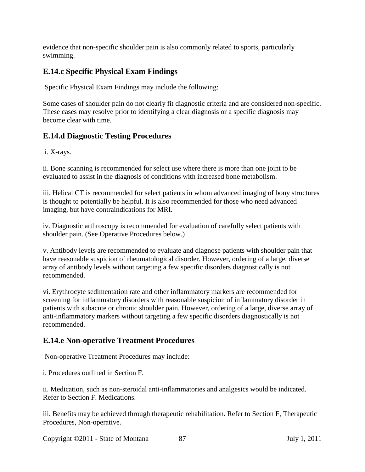evidence that non-specific shoulder pain is also commonly related to sports, particularly swimming.

# **E.14.c Specific Physical Exam Findings**

Specific Physical Exam Findings may include the following:

Some cases of shoulder pain do not clearly fit diagnostic criteria and are considered non-specific. These cases may resolve prior to identifying a clear diagnosis or a specific diagnosis may become clear with time.

## **E.14.d Diagnostic Testing Procedures**

i. X-rays.

ii. Bone scanning is recommended for select use where there is more than one joint to be evaluated to assist in the diagnosis of conditions with increased bone metabolism.

iii. Helical CT is recommended for select patients in whom advanced imaging of bony structures is thought to potentially be helpful. It is also recommended for those who need advanced imaging, but have contraindications for MRI.

iv. Diagnostic arthroscopy is recommended for evaluation of carefully select patients with shoulder pain. (See Operative Procedures below.)

v. Antibody levels are recommended to evaluate and diagnose patients with shoulder pain that have reasonable suspicion of rheumatological disorder. However, ordering of a large, diverse array of antibody levels without targeting a few specific disorders diagnostically is not recommended.

vi. Erythrocyte sedimentation rate and other inflammatory markers are recommended for screening for inflammatory disorders with reasonable suspicion of inflammatory disorder in patients with subacute or chronic shoulder pain. However, ordering of a large, diverse array of anti-inflammatory markers without targeting a few specific disorders diagnostically is not recommended.

## **E.14.e Non-operative Treatment Procedures**

Non-operative Treatment Procedures may include:

i. Procedures outlined in Section F.

ii. Medication, such as non-steroidal anti-inflammatories and analgesics would be indicated. Refer to Section F. Medications.

iii. Benefits may be achieved through therapeutic rehabilitation. Refer to Section F, Therapeutic Procedures, Non-operative.

Copyright ©2011 - State of Montana 87 July 1, 2011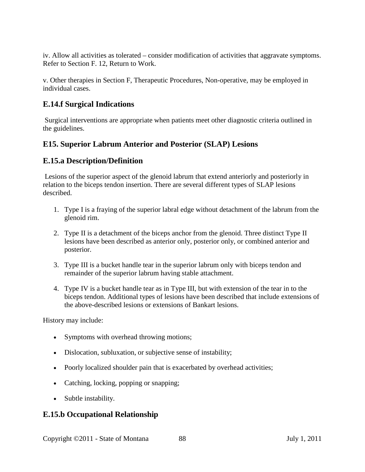iv. Allow all activities as tolerated – consider modification of activities that aggravate symptoms. Refer to Section F. 12, Return to Work.

v. Other therapies in Section F, Therapeutic Procedures, Non-operative, may be employed in individual cases.

## **E.14.f Surgical Indications**

Surgical interventions are appropriate when patients meet other diagnostic criteria outlined in the guidelines.

## **E15. Superior Labrum Anterior and Posterior (SLAP) Lesions**

## **E.15.a Description/Definition**

Lesions of the superior aspect of the glenoid labrum that extend anteriorly and posteriorly in relation to the biceps tendon insertion. There are several different types of SLAP lesions described.

- 1. Type I is a fraying of the superior labral edge without detachment of the labrum from the glenoid rim.
- 2. Type II is a detachment of the biceps anchor from the glenoid. Three distinct Type II lesions have been described as anterior only, posterior only, or combined anterior and posterior.
- 3. Type III is a bucket handle tear in the superior labrum only with biceps tendon and remainder of the superior labrum having stable attachment.
- 4. Type IV is a bucket handle tear as in Type III, but with extension of the tear in to the biceps tendon. Additional types of lesions have been described that include extensions of the above-described lesions or extensions of Bankart lesions.

History may include:

- Symptoms with overhead throwing motions;
- Dislocation, subluxation, or subjective sense of instability;
- Poorly localized shoulder pain that is exacerbated by overhead activities;
- Catching, locking, popping or snapping;
- Subtle instability.

## **E.15.b Occupational Relationship**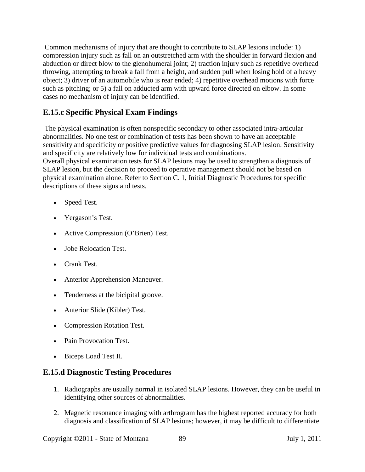Common mechanisms of injury that are thought to contribute to SLAP lesions include: 1) compression injury such as fall on an outstretched arm with the shoulder in forward flexion and abduction or direct blow to the glenohumeral joint; 2) traction injury such as repetitive overhead throwing, attempting to break a fall from a height, and sudden pull when losing hold of a heavy object; 3) driver of an automobile who is rear ended; 4) repetitive overhead motions with force such as pitching; or 5) a fall on adducted arm with upward force directed on elbow. In some cases no mechanism of injury can be identified.

# **E.15.c Specific Physical Exam Findings**

The physical examination is often nonspecific secondary to other associated intra-articular abnormalities. No one test or combination of tests has been shown to have an acceptable sensitivity and specificity or positive predictive values for diagnosing SLAP lesion. Sensitivity and specificity are relatively low for individual tests and combinations. Overall physical examination tests for SLAP lesions may be used to strengthen a diagnosis of SLAP lesion, but the decision to proceed to operative management should not be based on physical examination alone. Refer to Section C. 1, Initial Diagnostic Procedures for specific descriptions of these signs and tests.

- Speed Test.
- Yergason's Test.
- Active Compression (O'Brien) Test.
- Jobe Relocation Test.
- Crank Test.
- Anterior Apprehension Maneuver.
- Tenderness at the bicipital groove.
- Anterior Slide (Kibler) Test.
- Compression Rotation Test.
- Pain Provocation Test.
- Biceps Load Test II.

## **E.15.d Diagnostic Testing Procedures**

- 1. Radiographs are usually normal in isolated SLAP lesions. However, they can be useful in identifying other sources of abnormalities.
- 2. Magnetic resonance imaging with arthrogram has the highest reported accuracy for both diagnosis and classification of SLAP lesions; however, it may be difficult to differentiate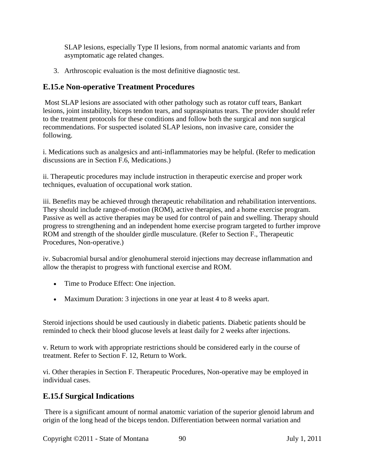SLAP lesions, especially Type II lesions, from normal anatomic variants and from asymptomatic age related changes.

3. Arthroscopic evaluation is the most definitive diagnostic test.

#### **E.15.e Non-operative Treatment Procedures**

Most SLAP lesions are associated with other pathology such as rotator cuff tears, Bankart lesions, joint instability, biceps tendon tears, and supraspinatus tears. The provider should refer to the treatment protocols for these conditions and follow both the surgical and non surgical recommendations. For suspected isolated SLAP lesions, non invasive care, consider the following.

i. Medications such as analgesics and anti-inflammatories may be helpful. (Refer to medication discussions are in Section F.6, Medications.)

ii. Therapeutic procedures may include instruction in therapeutic exercise and proper work techniques, evaluation of occupational work station.

iii. Benefits may be achieved through therapeutic rehabilitation and rehabilitation interventions. They should include range-of-motion (ROM), active therapies, and a home exercise program. Passive as well as active therapies may be used for control of pain and swelling. Therapy should progress to strengthening and an independent home exercise program targeted to further improve ROM and strength of the shoulder girdle musculature. (Refer to Section F., Therapeutic Procedures, Non-operative.)

iv. Subacromial bursal and/or glenohumeral steroid injections may decrease inflammation and allow the therapist to progress with functional exercise and ROM.

- Time to Produce Effect: One injection.
- Maximum Duration: 3 injections in one year at least 4 to 8 weeks apart.

Steroid injections should be used cautiously in diabetic patients. Diabetic patients should be reminded to check their blood glucose levels at least daily for 2 weeks after injections.

v. Return to work with appropriate restrictions should be considered early in the course of treatment. Refer to Section F. 12, Return to Work.

vi. Other therapies in Section F. Therapeutic Procedures, Non-operative may be employed in individual cases.

## **E.15.f Surgical Indications**

There is a significant amount of normal anatomic variation of the superior glenoid labrum and origin of the long head of the biceps tendon. Differentiation between normal variation and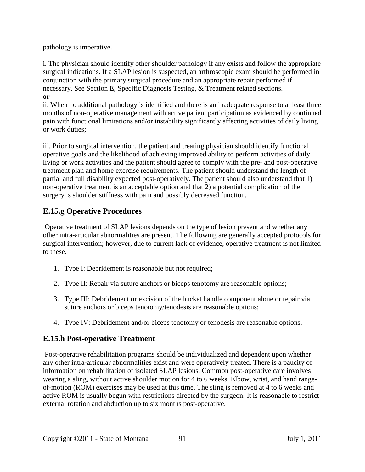pathology is imperative.

i. The physician should identify other shoulder pathology if any exists and follow the appropriate surgical indications. If a SLAP lesion is suspected, an arthroscopic exam should be performed in conjunction with the primary surgical procedure and an appropriate repair performed if necessary. See Section E, Specific Diagnosis Testing, & Treatment related sections. **or** 

ii. When no additional pathology is identified and there is an inadequate response to at least three months of non-operative management with active patient participation as evidenced by continued pain with functional limitations and/or instability significantly affecting activities of daily living or work duties;

iii. Prior to surgical intervention, the patient and treating physician should identify functional operative goals and the likelihood of achieving improved ability to perform activities of daily living or work activities and the patient should agree to comply with the pre- and post-operative treatment plan and home exercise requirements. The patient should understand the length of partial and full disability expected post-operatively. The patient should also understand that 1) non-operative treatment is an acceptable option and that 2) a potential complication of the surgery is shoulder stiffness with pain and possibly decreased function.

# **E.15.g Operative Procedures**

Operative treatment of SLAP lesions depends on the type of lesion present and whether any other intra-articular abnormalities are present. The following are generally accepted protocols for surgical intervention; however, due to current lack of evidence, operative treatment is not limited to these.

- 1. Type I: Debridement is reasonable but not required;
- 2. Type II: Repair via suture anchors or biceps tenotomy are reasonable options;
- 3. Type III: Debridement or excision of the bucket handle component alone or repair via suture anchors or biceps tenotomy/tenodesis are reasonable options;
- 4. Type IV: Debridement and/or biceps tenotomy or tenodesis are reasonable options.

## **E.15.h Post-operative Treatment**

Post-operative rehabilitation programs should be individualized and dependent upon whether any other intra-articular abnormalities exist and were operatively treated. There is a paucity of information on rehabilitation of isolated SLAP lesions. Common post-operative care involves wearing a sling, without active shoulder motion for 4 to 6 weeks. Elbow, wrist, and hand rangeof-motion (ROM) exercises may be used at this time. The sling is removed at 4 to 6 weeks and active ROM is usually begun with restrictions directed by the surgeon. It is reasonable to restrict external rotation and abduction up to six months post-operative.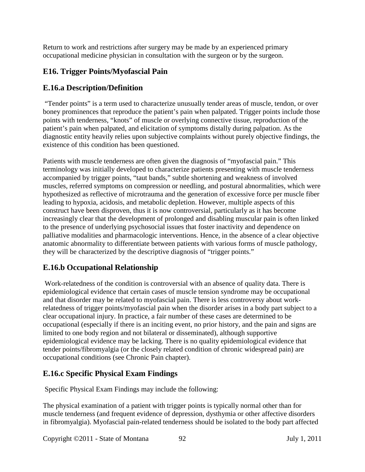Return to work and restrictions after surgery may be made by an experienced primary occupational medicine physician in consultation with the surgeon or by the surgeon.

## **E16. Trigger Points/Myofascial Pain**

## **E.16.a Description/Definition**

"Tender points" is a term used to characterize unusually tender areas of muscle, tendon, or over boney prominences that reproduce the patient's pain when palpated. Trigger points include those points with tenderness, "knots" of muscle or overlying connective tissue, reproduction of the patient's pain when palpated, and elicitation of symptoms distally during palpation. As the diagnostic entity heavily relies upon subjective complaints without purely objective findings, the existence of this condition has been questioned.

Patients with muscle tenderness are often given the diagnosis of "myofascial pain." This terminology was initially developed to characterize patients presenting with muscle tenderness accompanied by trigger points, "taut bands," subtle shortening and weakness of involved muscles, referred symptoms on compression or needling, and postural abnormalities, which were hypothesized as reflective of microtrauma and the generation of excessive force per muscle fiber leading to hypoxia, acidosis, and metabolic depletion. However, multiple aspects of this construct have been disproven, thus it is now controversial, particularly as it has become increasingly clear that the development of prolonged and disabling muscular pain is often linked to the presence of underlying psychosocial issues that foster inactivity and dependence on palliative modalities and pharmacologic interventions. Hence, in the absence of a clear objective anatomic abnormality to differentiate between patients with various forms of muscle pathology, they will be characterized by the descriptive diagnosis of "trigger points."

## **E.16.b Occupational Relationship**

Work-relatedness of the condition is controversial with an absence of quality data. There is epidemiological evidence that certain cases of muscle tension syndrome may be occupational and that disorder may be related to myofascial pain. There is less controversy about workrelatedness of trigger points/myofascial pain when the disorder arises in a body part subject to a clear occupational injury. In practice, a fair number of these cases are determined to be occupational (especially if there is an inciting event, no prior history, and the pain and signs are limited to one body region and not bilateral or disseminated), although supportive epidemiological evidence may be lacking. There is no quality epidemiological evidence that tender points/fibromyalgia (or the closely related condition of chronic widespread pain) are occupational conditions (see Chronic Pain chapter).

## **E.16.c Specific Physical Exam Findings**

Specific Physical Exam Findings may include the following:

The physical examination of a patient with trigger points is typically normal other than for muscle tenderness (and frequent evidence of depression, dysthymia or other affective disorders in fibromyalgia). Myofascial pain-related tenderness should be isolated to the body part affected

Copyright ©2011 - State of Montana 92 July 1, 2011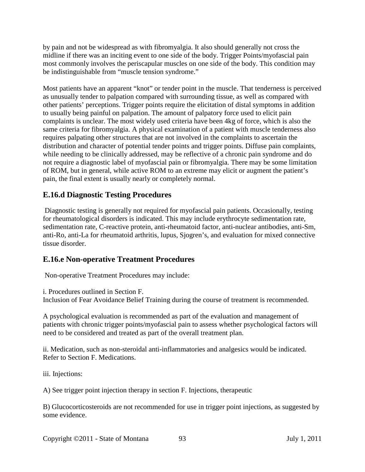by pain and not be widespread as with fibromyalgia. It also should generally not cross the midline if there was an inciting event to one side of the body. Trigger Points/myofascial pain most commonly involves the periscapular muscles on one side of the body. This condition may be indistinguishable from "muscle tension syndrome."

Most patients have an apparent "knot" or tender point in the muscle. That tenderness is perceived as unusually tender to palpation compared with surrounding tissue, as well as compared with other patients' perceptions. Trigger points require the elicitation of distal symptoms in addition to usually being painful on palpation. The amount of palpatory force used to elicit pain complaints is unclear. The most widely used criteria have been 4kg of force, which is also the same criteria for fibromyalgia. A physical examination of a patient with muscle tenderness also requires palpating other structures that are not involved in the complaints to ascertain the distribution and character of potential tender points and trigger points. Diffuse pain complaints, while needing to be clinically addressed, may be reflective of a chronic pain syndrome and do not require a diagnostic label of myofascial pain or fibromyalgia. There may be some limitation of ROM, but in general, while active ROM to an extreme may elicit or augment the patient's pain, the final extent is usually nearly or completely normal.

## **E.16.d Diagnostic Testing Procedures**

Diagnostic testing is generally not required for myofascial pain patients. Occasionally, testing for rheumatological disorders is indicated. This may include erythrocyte sedimentation rate, sedimentation rate, C-reactive protein, anti-rheumatoid factor, anti-nuclear antibodies, anti-Sm, anti-Ro, anti-La for rheumatoid arthritis, lupus, Sjogren's, and evaluation for mixed connective tissue disorder.

## **E.16.e Non-operative Treatment Procedures**

Non-operative Treatment Procedures may include:

i. Procedures outlined in Section F.

Inclusion of Fear Avoidance Belief Training during the course of treatment is recommended.

A psychological evaluation is recommended as part of the evaluation and management of patients with chronic trigger points/myofascial pain to assess whether psychological factors will need to be considered and treated as part of the overall treatment plan.

ii. Medication, such as non-steroidal anti-inflammatories and analgesics would be indicated. Refer to Section F. Medications.

iii. Injections:

A) See trigger point injection therapy in section F. Injections, therapeutic

B) Glucocorticosteroids are not recommended for use in trigger point injections, as suggested by some evidence.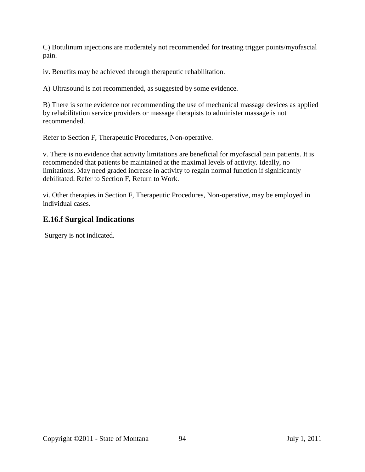C) Botulinum injections are moderately not recommended for treating trigger points/myofascial pain.

iv. Benefits may be achieved through therapeutic rehabilitation.

A) Ultrasound is not recommended, as suggested by some evidence.

B) There is some evidence not recommending the use of mechanical massage devices as applied by rehabilitation service providers or massage therapists to administer massage is not recommended.

Refer to Section F, Therapeutic Procedures, Non-operative.

v. There is no evidence that activity limitations are beneficial for myofascial pain patients. It is recommended that patients be maintained at the maximal levels of activity. Ideally, no limitations. May need graded increase in activity to regain normal function if significantly debilitated. Refer to Section F, Return to Work.

vi. Other therapies in Section F, Therapeutic Procedures, Non-operative, may be employed in individual cases.

## **E.16.f Surgical Indications**

Surgery is not indicated.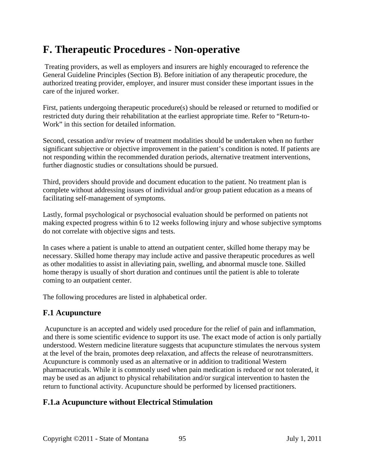# **F. Therapeutic Procedures - Non-operative**

Treating providers, as well as employers and insurers are highly encouraged to reference the General Guideline Principles (Section B). Before initiation of any therapeutic procedure, the authorized treating provider, employer, and insurer must consider these important issues in the care of the injured worker.

First, patients undergoing therapeutic procedure(s) should be released or returned to modified or restricted duty during their rehabilitation at the earliest appropriate time. Refer to "Return-to-Work" in this section for detailed information.

Second, cessation and/or review of treatment modalities should be undertaken when no further significant subjective or objective improvement in the patient's condition is noted. If patients are not responding within the recommended duration periods, alternative treatment interventions, further diagnostic studies or consultations should be pursued.

Third, providers should provide and document education to the patient. No treatment plan is complete without addressing issues of individual and/or group patient education as a means of facilitating self-management of symptoms.

Lastly, formal psychological or psychosocial evaluation should be performed on patients not making expected progress within 6 to 12 weeks following injury and whose subjective symptoms do not correlate with objective signs and tests.

In cases where a patient is unable to attend an outpatient center, skilled home therapy may be necessary. Skilled home therapy may include active and passive therapeutic procedures as well as other modalities to assist in alleviating pain, swelling, and abnormal muscle tone. Skilled home therapy is usually of short duration and continues until the patient is able to tolerate coming to an outpatient center.

The following procedures are listed in alphabetical order.

# **F.1 Acupuncture**

Acupuncture is an accepted and widely used procedure for the relief of pain and inflammation, and there is some scientific evidence to support its use. The exact mode of action is only partially understood. Western medicine literature suggests that acupuncture stimulates the nervous system at the level of the brain, promotes deep relaxation, and affects the release of neurotransmitters. Acupuncture is commonly used as an alternative or in addition to traditional Western pharmaceuticals. While it is commonly used when pain medication is reduced or not tolerated, it may be used as an adjunct to physical rehabilitation and/or surgical intervention to hasten the return to functional activity. Acupuncture should be performed by licensed practitioners.

# **F.1.a Acupuncture without Electrical Stimulation**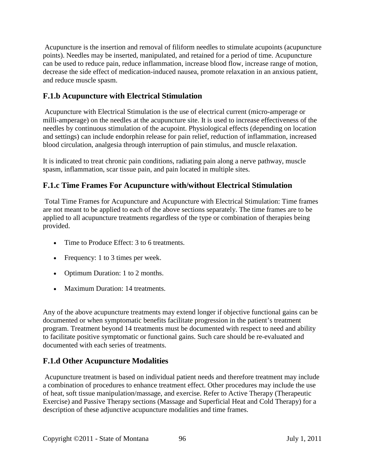Acupuncture is the insertion and removal of filiform needles to stimulate acupoints (acupuncture points). Needles may be inserted, manipulated, and retained for a period of time. Acupuncture can be used to reduce pain, reduce inflammation, increase blood flow, increase range of motion, decrease the side effect of medication-induced nausea, promote relaxation in an anxious patient, and reduce muscle spasm.

# **F.1.b Acupuncture with Electrical Stimulation**

Acupuncture with Electrical Stimulation is the use of electrical current (micro-amperage or milli-amperage) on the needles at the acupuncture site. It is used to increase effectiveness of the needles by continuous stimulation of the acupoint. Physiological effects (depending on location and settings) can include endorphin release for pain relief, reduction of inflammation, increased blood circulation, analgesia through interruption of pain stimulus, and muscle relaxation.

It is indicated to treat chronic pain conditions, radiating pain along a nerve pathway, muscle spasm, inflammation, scar tissue pain, and pain located in multiple sites.

## **F.1.c Time Frames For Acupuncture with/without Electrical Stimulation**

Total Time Frames for Acupuncture and Acupuncture with Electrical Stimulation: Time frames are not meant to be applied to each of the above sections separately. The time frames are to be applied to all acupuncture treatments regardless of the type or combination of therapies being provided.

- Time to Produce Effect: 3 to 6 treatments.
- Frequency: 1 to 3 times per week.
- Optimum Duration: 1 to 2 months.
- Maximum Duration: 14 treatments.

Any of the above acupuncture treatments may extend longer if objective functional gains can be documented or when symptomatic benefits facilitate progression in the patient's treatment program. Treatment beyond 14 treatments must be documented with respect to need and ability to facilitate positive symptomatic or functional gains. Such care should be re-evaluated and documented with each series of treatments.

## **F.1.d Other Acupuncture Modalities**

Acupuncture treatment is based on individual patient needs and therefore treatment may include a combination of procedures to enhance treatment effect. Other procedures may include the use of heat, soft tissue manipulation/massage, and exercise. Refer to Active Therapy (Therapeutic Exercise) and Passive Therapy sections (Massage and Superficial Heat and Cold Therapy) for a description of these adjunctive acupuncture modalities and time frames.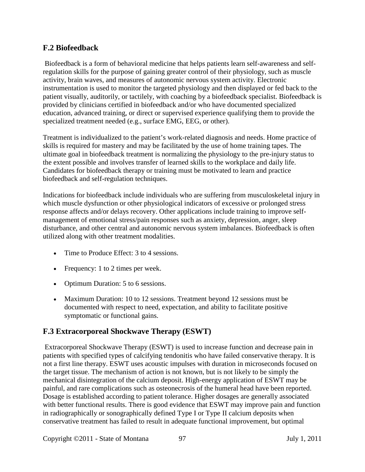## **F.2 Biofeedback**

Biofeedback is a form of behavioral medicine that helps patients learn self-awareness and selfregulation skills for the purpose of gaining greater control of their physiology, such as muscle activity, brain waves, and measures of autonomic nervous system activity. Electronic instrumentation is used to monitor the targeted physiology and then displayed or fed back to the patient visually, auditorily, or tactilely, with coaching by a biofeedback specialist. Biofeedback is provided by clinicians certified in biofeedback and/or who have documented specialized education, advanced training, or direct or supervised experience qualifying them to provide the specialized treatment needed (e.g., surface EMG, EEG, or other).

Treatment is individualized to the patient's work-related diagnosis and needs. Home practice of skills is required for mastery and may be facilitated by the use of home training tapes. The ultimate goal in biofeedback treatment is normalizing the physiology to the pre-injury status to the extent possible and involves transfer of learned skills to the workplace and daily life. Candidates for biofeedback therapy or training must be motivated to learn and practice biofeedback and self-regulation techniques.

Indications for biofeedback include individuals who are suffering from musculoskeletal injury in which muscle dysfunction or other physiological indicators of excessive or prolonged stress response affects and/or delays recovery. Other applications include training to improve selfmanagement of emotional stress/pain responses such as anxiety, depression, anger, sleep disturbance, and other central and autonomic nervous system imbalances. Biofeedback is often utilized along with other treatment modalities.

- Time to Produce Effect: 3 to 4 sessions.
- Frequency: 1 to 2 times per week.
- Optimum Duration: 5 to 6 sessions.
- Maximum Duration: 10 to 12 sessions. Treatment beyond 12 sessions must be documented with respect to need, expectation, and ability to facilitate positive symptomatic or functional gains.

## **F.3 Extracorporeal Shockwave Therapy (ESWT)**

Extracorporeal Shockwave Therapy (ESWT) is used to increase function and decrease pain in patients with specified types of calcifying tendonitis who have failed conservative therapy. It is not a first line therapy. ESWT uses acoustic impulses with duration in microseconds focused on the target tissue. The mechanism of action is not known, but is not likely to be simply the mechanical disintegration of the calcium deposit. High-energy application of ESWT may be painful, and rare complications such as osteonecrosis of the humeral head have been reported. Dosage is established according to patient tolerance. Higher dosages are generally associated with better functional results. There is good evidence that ESWT may improve pain and function in radiographically or sonographically defined Type I or Type II calcium deposits when conservative treatment has failed to result in adequate functional improvement, but optimal

Copyright ©2011 - State of Montana 97 July 1, 2011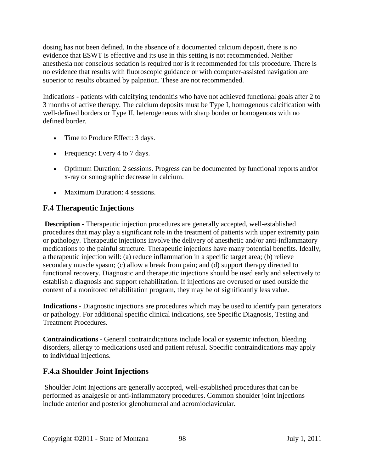dosing has not been defined. In the absence of a documented calcium deposit, there is no evidence that ESWT is effective and its use in this setting is not recommended. Neither anesthesia nor conscious sedation is required nor is it recommended for this procedure. There is no evidence that results with fluoroscopic guidance or with computer-assisted navigation are superior to results obtained by palpation. These are not recommended.

Indications - patients with calcifying tendonitis who have not achieved functional goals after 2 to 3 months of active therapy. The calcium deposits must be Type I, homogenous calcification with well-defined borders or Type II, heterogeneous with sharp border or homogenous with no defined border.

- Time to Produce Effect: 3 days.
- Frequency: Every 4 to 7 days.
- Optimum Duration: 2 sessions. Progress can be documented by functional reports and/or x-ray or sonographic decrease in calcium.
- Maximum Duration: 4 sessions.

## **F.4 Therapeutic Injections**

**Description** - Therapeutic injection procedures are generally accepted, well-established procedures that may play a significant role in the treatment of patients with upper extremity pain or pathology. Therapeutic injections involve the delivery of anesthetic and/or anti-inflammatory medications to the painful structure. Therapeutic injections have many potential benefits. Ideally, a therapeutic injection will: (a) reduce inflammation in a specific target area; (b) relieve secondary muscle spasm; (c) allow a break from pain; and (d) support therapy directed to functional recovery. Diagnostic and therapeutic injections should be used early and selectively to establish a diagnosis and support rehabilitation. If injections are overused or used outside the context of a monitored rehabilitation program, they may be of significantly less value.

**Indications -** Diagnostic injections are procedures which may be used to identify pain generators or pathology. For additional specific clinical indications, see Specific Diagnosis, Testing and Treatment Procedures.

**Contraindications** - General contraindications include local or systemic infection, bleeding disorders, allergy to medications used and patient refusal. Specific contraindications may apply to individual injections.

## **F.4.a Shoulder Joint Injections**

Shoulder Joint Injections are generally accepted, well-established procedures that can be performed as analgesic or anti-inflammatory procedures. Common shoulder joint injections include anterior and posterior glenohumeral and acromioclavicular.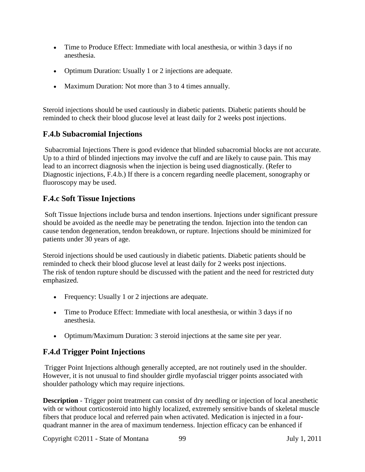- Time to Produce Effect: Immediate with local anesthesia, or within 3 days if no anesthesia.
- Optimum Duration: Usually 1 or 2 injections are adequate.
- Maximum Duration: Not more than 3 to 4 times annually.

Steroid injections should be used cautiously in diabetic patients. Diabetic patients should be reminded to check their blood glucose level at least daily for 2 weeks post injections.

## **F.4.b Subacromial Injections**

Subacromial Injections There is good evidence that blinded subacromial blocks are not accurate. Up to a third of blinded injections may involve the cuff and are likely to cause pain. This may lead to an incorrect diagnosis when the injection is being used diagnostically. (Refer to Diagnostic injections, F.4.b.) If there is a concern regarding needle placement, sonography or fluoroscopy may be used.

## **F.4.c Soft Tissue Injections**

Soft Tissue Injections include bursa and tendon insertions. Injections under significant pressure should be avoided as the needle may be penetrating the tendon. Injection into the tendon can cause tendon degeneration, tendon breakdown, or rupture. Injections should be minimized for patients under 30 years of age.

Steroid injections should be used cautiously in diabetic patients. Diabetic patients should be reminded to check their blood glucose level at least daily for 2 weeks post injections. The risk of tendon rupture should be discussed with the patient and the need for restricted duty emphasized.

- Frequency: Usually 1 or 2 injections are adequate.
- Time to Produce Effect: Immediate with local anesthesia, or within 3 days if no anesthesia.
- Optimum/Maximum Duration: 3 steroid injections at the same site per year.

## **F.4.d Trigger Point Injections**

Trigger Point Injections although generally accepted, are not routinely used in the shoulder. However, it is not unusual to find shoulder girdle myofascial trigger points associated with shoulder pathology which may require injections.

**Description** - Trigger point treatment can consist of dry needling or injection of local anesthetic with or without corticosteroid into highly localized, extremely sensitive bands of skeletal muscle fibers that produce local and referred pain when activated. Medication is injected in a fourquadrant manner in the area of maximum tenderness. Injection efficacy can be enhanced if

Copyright ©2011 - State of Montana 99 July 1, 2011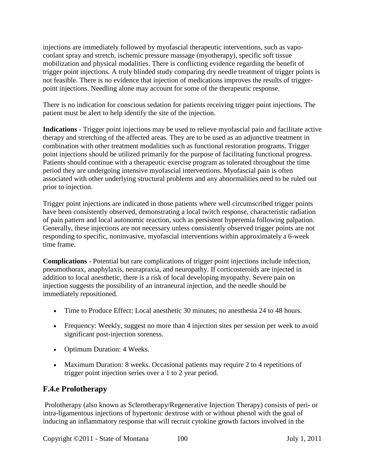injections are immediately followed by myofascial therapeutic interventions, such as vapocoolant spray and stretch, ischemic pressure massage (myotherapy), specific soft tissue mobilization and physical modalities. There is conflicting evidence regarding the benefit of trigger point injections. A truly blinded study comparing dry needle treatment of trigger points is not feasible. There is no evidence that injection of medications improves the results of triggerpoint injections. Needling alone may account for some of the therapeutic response.

There is no indication for conscious sedation for patients receiving trigger point injections. The patient must be alert to help identify the site of the injection.

**Indications** - Trigger point injections may be used to relieve myofascial pain and facilitate active therapy and stretching of the affected areas. They are to be used as an adjunctive treatment in combination with other treatment modalities such as functional restoration programs. Trigger point injections should be utilized primarily for the purpose of facilitating functional progress. Patients should continue with a therapeutic exercise program as tolerated throughout the time period they are undergoing intensive myofascial interventions. Myofascial pain is often associated with other underlying structural problems and any abnormalities need to be ruled out prior to injection.

Trigger point injections are indicated in those patients where well circumscribed trigger points have been consistently observed, demonstrating a local twitch response, characteristic radiation of pain pattern and local autonomic reaction, such as persistent hyperemia following palpation. Generally, these injections are not necessary unless consistently observed trigger points are not responding to specific, noninvasive, myofascial interventions within approximately a 6-week time frame.

**Complications** - Potential but rare complications of trigger point injections include infection, pneumothorax, anaphylaxis, neurapraxia, and neuropathy. If corticosteroids are injected in addition to local anesthetic, there is a risk of local developing myopathy. Severe pain on injection suggests the possibility of an intraneural injection, and the needle should be immediately repositioned.

- Time to Produce Effect: Local anesthetic 30 minutes; no anesthesia 24 to 48 hours.
- Frequency: Weekly, suggest no more than 4 injection sites per session per week to avoid significant post-injection soreness.
- Optimum Duration: 4 Weeks.
- Maximum Duration: 8 weeks. Occasional patients may require 2 to 4 repetitions of trigger point injection series over a 1 to 2 year period.

## **F.4.e Prolotherapy**

Prolotherapy (also known as Sclerotherapy/Regenerative Injection Therapy) consists of peri- or intra-ligamentous injections of hypertonic dextrose with or without phenol with the goal of inducing an inflammatory response that will recruit cytokine growth factors involved in the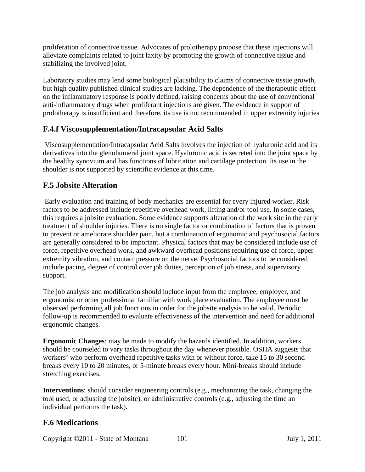proliferation of connective tissue. Advocates of prolotherapy propose that these injections will alleviate complaints related to joint laxity by promoting the growth of connective tissue and stabilizing the involved joint.

Laboratory studies may lend some biological plausibility to claims of connective tissue growth, but high quality published clinical studies are lacking. The dependence of the therapeutic effect on the inflammatory response is poorly defined, raising concerns about the use of conventional anti-inflammatory drugs when proliferant injections are given. The evidence in support of prolotherapy is insufficient and therefore, its use is not recommended in upper extremity injuries

## **F.4.f Viscosupplementation/Intracapsular Acid Salts**

Viscosupplementation/Intracapsular Acid Salts involves the injection of hyaluronic acid and its derivatives into the glenohumeral joint space. Hyaluronic acid is secreted into the joint space by the healthy synovium and has functions of lubrication and cartilage protection. Its use in the shoulder is not supported by scientific evidence at this time.

# **F.5 Jobsite Alteration**

Early evaluation and training of body mechanics are essential for every injured worker. Risk factors to be addressed include repetitive overhead work, lifting and/or tool use. In some cases, this requires a jobsite evaluation. Some evidence supports alteration of the work site in the early treatment of shoulder injuries. There is no single factor or combination of factors that is proven to prevent or ameliorate shoulder pain, but a combination of ergonomic and psychosocial factors are generally considered to be important. Physical factors that may be considered include use of force, repetitive overhead work, and awkward overhead positions requiring use of force, upper extremity vibration, and contact pressure on the nerve. Psychosocial factors to be considered include pacing, degree of control over job duties, perception of job stress, and supervisory support.

The job analysis and modification should include input from the employee, employer, and ergonomist or other professional familiar with work place evaluation. The employee must be observed performing all job functions in order for the jobsite analysis to be valid. Periodic follow-up is recommended to evaluate effectiveness of the intervention and need for additional ergonomic changes.

**Ergonomic Changes**: may be made to modify the hazards identified. In addition, workers should be counseled to vary tasks throughout the day whenever possible. OSHA suggests that workers' who perform overhead repetitive tasks with or without force, take 15 to 30 second breaks every 10 to 20 minutes, or 5-minute breaks every hour. Mini-breaks should include stretching exercises.

**Interventions**: should consider engineering controls (e.g., mechanizing the task, changing the tool used, or adjusting the jobsite), or administrative controls (e.g., adjusting the time an individual performs the task).

## **F.6 Medications**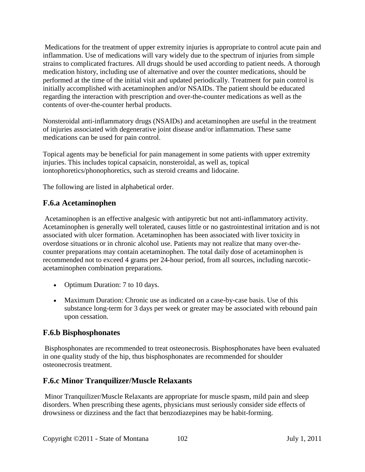Medications for the treatment of upper extremity injuries is appropriate to control acute pain and inflammation. Use of medications will vary widely due to the spectrum of injuries from simple strains to complicated fractures. All drugs should be used according to patient needs. A thorough medication history, including use of alternative and over the counter medications, should be performed at the time of the initial visit and updated periodically. Treatment for pain control is initially accomplished with acetaminophen and/or NSAIDs. The patient should be educated regarding the interaction with prescription and over-the-counter medications as well as the contents of over-the-counter herbal products.

Nonsteroidal anti-inflammatory drugs (NSAIDs) and acetaminophen are useful in the treatment of injuries associated with degenerative joint disease and/or inflammation. These same medications can be used for pain control.

Topical agents may be beneficial for pain management in some patients with upper extremity injuries. This includes topical capsaicin, nonsteroidal, as well as, topical iontophoretics/phonophoretics, such as steroid creams and lidocaine.

The following are listed in alphabetical order.

## **F.6.a Acetaminophen**

Acetaminophen is an effective analgesic with antipyretic but not anti-inflammatory activity. Acetaminophen is generally well tolerated, causes little or no gastrointestinal irritation and is not associated with ulcer formation. Acetaminophen has been associated with liver toxicity in overdose situations or in chronic alcohol use. Patients may not realize that many over-thecounter preparations may contain acetaminophen. The total daily dose of acetaminophen is recommended not to exceed 4 grams per 24-hour period, from all sources, including narcoticacetaminophen combination preparations.

- Optimum Duration: 7 to 10 days.
- Maximum Duration: Chronic use as indicated on a case-by-case basis. Use of this substance long-term for 3 days per week or greater may be associated with rebound pain upon cessation.

## **F.6.b Bisphosphonates**

Bisphosphonates are recommended to treat osteonecrosis. Bisphosphonates have been evaluated in one quality study of the hip, thus bisphosphonates are recommended for shoulder osteonecrosis treatment.

## **F.6.c Minor Tranquilizer/Muscle Relaxants**

Minor Tranquilizer/Muscle Relaxants are appropriate for muscle spasm, mild pain and sleep disorders. When prescribing these agents, physicians must seriously consider side effects of drowsiness or dizziness and the fact that benzodiazepines may be habit-forming.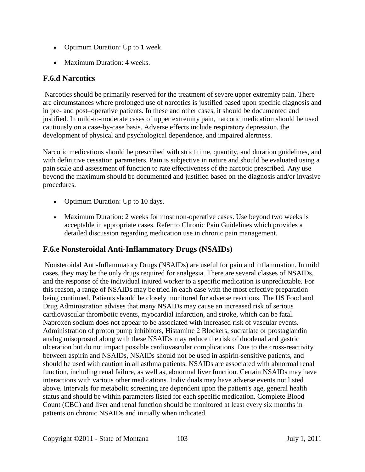- Optimum Duration: Up to 1 week.
- Maximum Duration: 4 weeks.

## **F.6.d Narcotics**

Narcotics should be primarily reserved for the treatment of severe upper extremity pain. There are circumstances where prolonged use of narcotics is justified based upon specific diagnosis and in pre- and post–operative patients. In these and other cases, it should be documented and justified. In mild-to-moderate cases of upper extremity pain, narcotic medication should be used cautiously on a case-by-case basis. Adverse effects include respiratory depression, the development of physical and psychological dependence, and impaired alertness.

Narcotic medications should be prescribed with strict time, quantity, and duration guidelines, and with definitive cessation parameters. Pain is subjective in nature and should be evaluated using a pain scale and assessment of function to rate effectiveness of the narcotic prescribed. Any use beyond the maximum should be documented and justified based on the diagnosis and/or invasive procedures.

- Optimum Duration: Up to 10 days.
- Maximum Duration: 2 weeks for most non-operative cases. Use beyond two weeks is acceptable in appropriate cases. Refer to Chronic Pain Guidelines which provides a detailed discussion regarding medication use in chronic pain management.

## **F.6.e Nonsteroidal Anti-Inflammatory Drugs (NSAIDs)**

Nonsteroidal Anti-Inflammatory Drugs (NSAIDs) are useful for pain and inflammation. In mild cases, they may be the only drugs required for analgesia. There are several classes of NSAIDs, and the response of the individual injured worker to a specific medication is unpredictable. For this reason, a range of NSAIDs may be tried in each case with the most effective preparation being continued. Patients should be closely monitored for adverse reactions. The US Food and Drug Administration advises that many NSAIDs may cause an increased risk of serious cardiovascular thrombotic events, myocardial infarction, and stroke, which can be fatal. Naproxen sodium does not appear to be associated with increased risk of vascular events. Administration of proton pump inhibitors, Histamine 2 Blockers, sucraflate or prostaglandin analog misoprostol along with these NSAIDs may reduce the risk of duodenal and gastric ulceration but do not impact possible cardiovascular complications. Due to the cross-reactivity between aspirin and NSAIDs, NSAIDs should not be used in aspirin-sensitive patients, and should be used with caution in all asthma patients. NSAIDs are associated with abnormal renal function, including renal failure, as well as, abnormal liver function. Certain NSAIDs may have interactions with various other medications. Individuals may have adverse events not listed above. Intervals for metabolic screening are dependent upon the patient's age, general health status and should be within parameters listed for each specific medication. Complete Blood Count (CBC) and liver and renal function should be monitored at least every six months in patients on chronic NSAIDs and initially when indicated.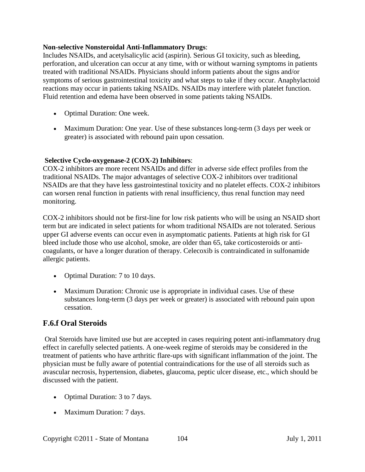#### **Non-selective Nonsteroidal Anti-Inflammatory Drugs**:

Includes NSAIDs, and acetylsalicylic acid (aspirin). Serious GI toxicity, such as bleeding, perforation, and ulceration can occur at any time, with or without warning symptoms in patients treated with traditional NSAIDs. Physicians should inform patients about the signs and/or symptoms of serious gastrointestinal toxicity and what steps to take if they occur. Anaphylactoid reactions may occur in patients taking NSAIDs. NSAIDs may interfere with platelet function. Fluid retention and edema have been observed in some patients taking NSAIDs.

- Optimal Duration: One week.
- Maximum Duration: One year. Use of these substances long-term (3 days per week or greater) is associated with rebound pain upon cessation.

#### **Selective Cyclo-oxygenase-2 (COX-2) Inhibitors**:

COX-2 inhibitors are more recent NSAIDs and differ in adverse side effect profiles from the traditional NSAIDs. The major advantages of selective COX-2 inhibitors over traditional NSAIDs are that they have less gastrointestinal toxicity and no platelet effects. COX-2 inhibitors can worsen renal function in patients with renal insufficiency, thus renal function may need monitoring.

COX-2 inhibitors should not be first-line for low risk patients who will be using an NSAID short term but are indicated in select patients for whom traditional NSAIDs are not tolerated. Serious upper GI adverse events can occur even in asymptomatic patients. Patients at high risk for GI bleed include those who use alcohol, smoke, are older than 65, take corticosteroids or anticoagulants, or have a longer duration of therapy. Celecoxib is contraindicated in sulfonamide allergic patients.

- Optimal Duration: 7 to 10 days.
- Maximum Duration: Chronic use is appropriate in individual cases. Use of these substances long-term (3 days per week or greater) is associated with rebound pain upon cessation.

## **F.6.f Oral Steroids**

Oral Steroids have limited use but are accepted in cases requiring potent anti-inflammatory drug effect in carefully selected patients. A one-week regime of steroids may be considered in the treatment of patients who have arthritic flare-ups with significant inflammation of the joint. The physician must be fully aware of potential contraindications for the use of all steroids such as avascular necrosis, hypertension, diabetes, glaucoma, peptic ulcer disease, etc., which should be discussed with the patient.

- Optimal Duration: 3 to 7 days.
- Maximum Duration: 7 days.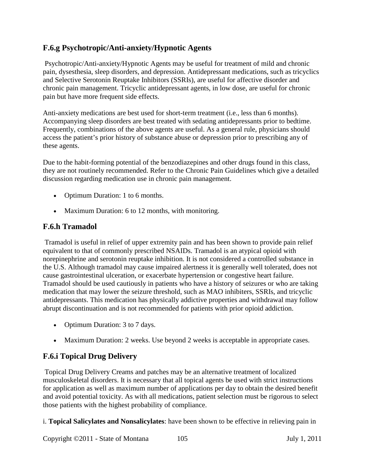## **F.6.g Psychotropic/Anti-anxiety/Hypnotic Agents**

Psychotropic/Anti-anxiety/Hypnotic Agents may be useful for treatment of mild and chronic pain, dysesthesia, sleep disorders, and depression. Antidepressant medications, such as tricyclics and Selective Serotonin Reuptake Inhibitors (SSRIs), are useful for affective disorder and chronic pain management. Tricyclic antidepressant agents, in low dose, are useful for chronic pain but have more frequent side effects.

Anti-anxiety medications are best used for short-term treatment (i.e., less than 6 months). Accompanying sleep disorders are best treated with sedating antidepressants prior to bedtime. Frequently, combinations of the above agents are useful. As a general rule, physicians should access the patient's prior history of substance abuse or depression prior to prescribing any of these agents.

Due to the habit-forming potential of the benzodiazepines and other drugs found in this class, they are not routinely recommended. Refer to the Chronic Pain Guidelines which give a detailed discussion regarding medication use in chronic pain management.

- Optimum Duration: 1 to 6 months.
- Maximum Duration: 6 to 12 months, with monitoring.

## **F.6.h Tramadol**

Tramadol is useful in relief of upper extremity pain and has been shown to provide pain relief equivalent to that of commonly prescribed NSAIDs. Tramadol is an atypical opioid with norepinephrine and serotonin reuptake inhibition. It is not considered a controlled substance in the U.S. Although tramadol may cause impaired alertness it is generally well tolerated, does not cause gastrointestinal ulceration, or exacerbate hypertension or congestive heart failure. Tramadol should be used cautiously in patients who have a history of seizures or who are taking medication that may lower the seizure threshold, such as MAO inhibiters, SSRIs, and tricyclic antidepressants. This medication has physically addictive properties and withdrawal may follow abrupt discontinuation and is not recommended for patients with prior opioid addiction.

- Optimum Duration: 3 to 7 days.
- Maximum Duration: 2 weeks. Use beyond 2 weeks is acceptable in appropriate cases.

## **F.6.i Topical Drug Delivery**

Topical Drug Delivery Creams and patches may be an alternative treatment of localized musculoskeletal disorders. It is necessary that all topical agents be used with strict instructions for application as well as maximum number of applications per day to obtain the desired benefit and avoid potential toxicity. As with all medications, patient selection must be rigorous to select those patients with the highest probability of compliance.

i. **Topical Salicylates and Nonsalicylates**: have been shown to be effective in relieving pain in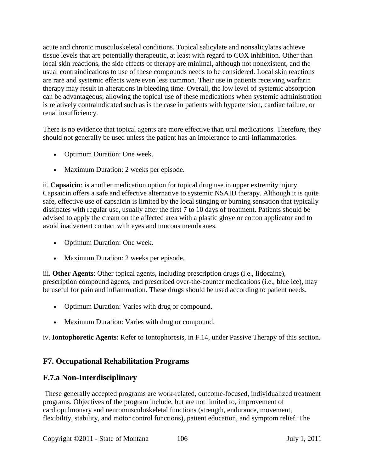acute and chronic musculoskeletal conditions. Topical salicylate and nonsalicylates achieve tissue levels that are potentially therapeutic, at least with regard to COX inhibition. Other than local skin reactions, the side effects of therapy are minimal, although not nonexistent, and the usual contraindications to use of these compounds needs to be considered. Local skin reactions are rare and systemic effects were even less common. Their use in patients receiving warfarin therapy may result in alterations in bleeding time. Overall, the low level of systemic absorption can be advantageous; allowing the topical use of these medications when systemic administration is relatively contraindicated such as is the case in patients with hypertension, cardiac failure, or renal insufficiency.

There is no evidence that topical agents are more effective than oral medications. Therefore, they should not generally be used unless the patient has an intolerance to anti-inflammatories.

- Optimum Duration: One week.
- Maximum Duration: 2 weeks per episode.

ii. **Capsaicin**: is another medication option for topical drug use in upper extremity injury. Capsaicin offers a safe and effective alternative to systemic NSAID therapy. Although it is quite safe, effective use of capsaicin is limited by the local stinging or burning sensation that typically dissipates with regular use, usually after the first 7 to 10 days of treatment. Patients should be advised to apply the cream on the affected area with a plastic glove or cotton applicator and to avoid inadvertent contact with eyes and mucous membranes.

- Optimum Duration: One week.
- Maximum Duration: 2 weeks per episode.

iii. **Other Agents**: Other topical agents, including prescription drugs (i.e., lidocaine), prescription compound agents, and prescribed over-the-counter medications (i.e., blue ice), may be useful for pain and inflammation. These drugs should be used according to patient needs.

- Optimum Duration: Varies with drug or compound.
- Maximum Duration: Varies with drug or compound.

iv. **Iontophoretic Agents**: Refer to Iontophoresis, in F.14, under Passive Therapy of this section.

# **F7. Occupational Rehabilitation Programs**

## **F.7.a Non-Interdisciplinary**

These generally accepted programs are work-related, outcome-focused, individualized treatment programs. Objectives of the program include, but are not limited to, improvement of cardiopulmonary and neuromusculoskeletal functions (strength, endurance, movement, flexibility, stability, and motor control functions), patient education, and symptom relief. The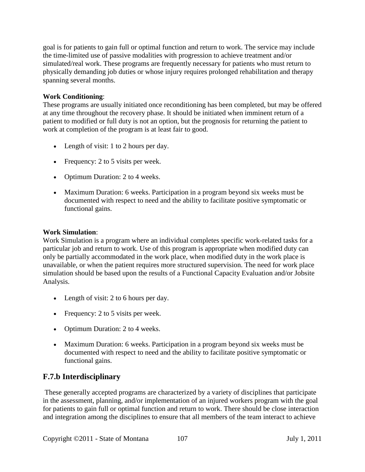goal is for patients to gain full or optimal function and return to work. The service may include the time-limited use of passive modalities with progression to achieve treatment and/or simulated/real work. These programs are frequently necessary for patients who must return to physically demanding job duties or whose injury requires prolonged rehabilitation and therapy spanning several months.

#### **Work Conditioning**:

These programs are usually initiated once reconditioning has been completed, but may be offered at any time throughout the recovery phase. It should be initiated when imminent return of a patient to modified or full duty is not an option, but the prognosis for returning the patient to work at completion of the program is at least fair to good.

- Length of visit: 1 to 2 hours per day.
- Frequency: 2 to 5 visits per week.
- Optimum Duration: 2 to 4 weeks.
- Maximum Duration: 6 weeks. Participation in a program beyond six weeks must be documented with respect to need and the ability to facilitate positive symptomatic or functional gains.

#### **Work Simulation**:

Work Simulation is a program where an individual completes specific work-related tasks for a particular job and return to work. Use of this program is appropriate when modified duty can only be partially accommodated in the work place, when modified duty in the work place is unavailable, or when the patient requires more structured supervision. The need for work place simulation should be based upon the results of a Functional Capacity Evaluation and/or Jobsite Analysis.

- Length of visit: 2 to 6 hours per day.
- Frequency: 2 to 5 visits per week.
- Optimum Duration: 2 to 4 weeks.
- Maximum Duration: 6 weeks. Participation in a program beyond six weeks must be documented with respect to need and the ability to facilitate positive symptomatic or functional gains.

## **F.7.b Interdisciplinary**

These generally accepted programs are characterized by a variety of disciplines that participate in the assessment, planning, and/or implementation of an injured workers program with the goal for patients to gain full or optimal function and return to work. There should be close interaction and integration among the disciplines to ensure that all members of the team interact to achieve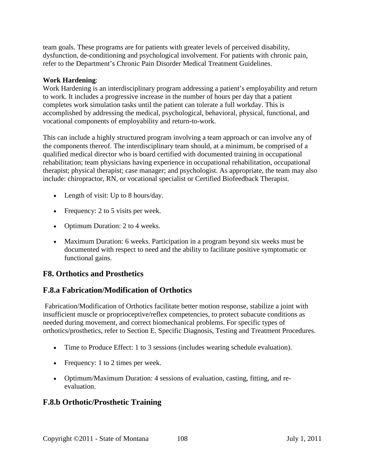team goals. These programs are for patients with greater levels of perceived disability, dysfunction, de-conditioning and psychological involvement. For patients with chronic pain, refer to the Department's Chronic Pain Disorder Medical Treatment Guidelines.

#### **Work Hardening**:

Work Hardening is an interdisciplinary program addressing a patient's employability and return to work. It includes a progressive increase in the number of hours per day that a patient completes work simulation tasks until the patient can tolerate a full workday. This is accomplished by addressing the medical, psychological, behavioral, physical, functional, and vocational components of employability and return-to-work.

This can include a highly structured program involving a team approach or can involve any of the components thereof. The interdisciplinary team should, at a minimum, be comprised of a qualified medical director who is board certified with documented training in occupational rehabilitation; team physicians having experience in occupational rehabilitation, occupational therapist; physical therapist; case manager; and psychologist. As appropriate, the team may also include: chiropractor, RN, or vocational specialist or Certified Biofeedback Therapist.

- Length of visit: Up to 8 hours/day.
- Frequency: 2 to 5 visits per week.
- Optimum Duration: 2 to 4 weeks.
- Maximum Duration: 6 weeks. Participation in a program beyond six weeks must be documented with respect to need and the ability to facilitate positive symptomatic or functional gains.

## **F8. Orthotics and Prosthetics**

## **F.8.a Fabrication/Modification of Orthotics**

Fabrication/Modification of Orthotics facilitate better motion response, stabilize a joint with insufficient muscle or proprioceptive/reflex competencies, to protect subacute conditions as needed during movement, and correct biomechanical problems. For specific types of orthotics/prosthetics, refer to Section E. Specific Diagnosis, Testing and Treatment Procedures.

- Time to Produce Effect: 1 to 3 sessions (includes wearing schedule evaluation).
- Frequency: 1 to 2 times per week.
- Optimum/Maximum Duration: 4 sessions of evaluation, casting, fitting, and reevaluation.

## **F.8.b Orthotic/Prosthetic Training**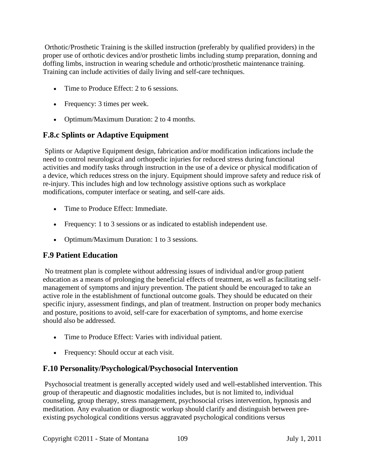Orthotic/Prosthetic Training is the skilled instruction (preferably by qualified providers) in the proper use of orthotic devices and/or prosthetic limbs including stump preparation, donning and doffing limbs, instruction in wearing schedule and orthotic/prosthetic maintenance training. Training can include activities of daily living and self-care techniques.

- Time to Produce Effect: 2 to 6 sessions.
- Frequency: 3 times per week.
- Optimum/Maximum Duration: 2 to 4 months.

## **F.8.c Splints or Adaptive Equipment**

Splints or Adaptive Equipment design, fabrication and/or modification indications include the need to control neurological and orthopedic injuries for reduced stress during functional activities and modify tasks through instruction in the use of a device or physical modification of a device, which reduces stress on the injury. Equipment should improve safety and reduce risk of re-injury. This includes high and low technology assistive options such as workplace modifications, computer interface or seating, and self-care aids.

- Time to Produce Effect: Immediate.
- Frequency: 1 to 3 sessions or as indicated to establish independent use.
- Optimum/Maximum Duration: 1 to 3 sessions.

## **F.9 Patient Education**

No treatment plan is complete without addressing issues of individual and/or group patient education as a means of prolonging the beneficial effects of treatment, as well as facilitating selfmanagement of symptoms and injury prevention. The patient should be encouraged to take an active role in the establishment of functional outcome goals. They should be educated on their specific injury, assessment findings, and plan of treatment. Instruction on proper body mechanics and posture, positions to avoid, self-care for exacerbation of symptoms, and home exercise should also be addressed.

- Time to Produce Effect: Varies with individual patient.
- Frequency: Should occur at each visit.

## **F.10 Personality/Psychological/Psychosocial Intervention**

Psychosocial treatment is generally accepted widely used and well-established intervention. This group of therapeutic and diagnostic modalities includes, but is not limited to, individual counseling, group therapy, stress management, psychosocial crises intervention, hypnosis and meditation. Any evaluation or diagnostic workup should clarify and distinguish between preexisting psychological conditions versus aggravated psychological conditions versus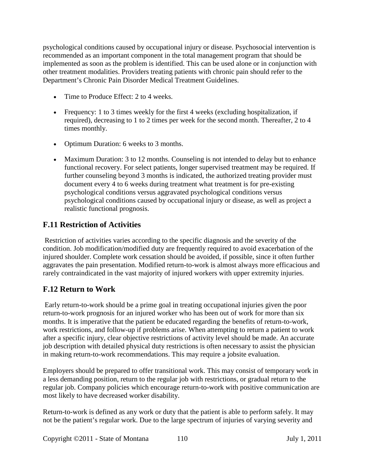psychological conditions caused by occupational injury or disease. Psychosocial intervention is recommended as an important component in the total management program that should be implemented as soon as the problem is identified. This can be used alone or in conjunction with other treatment modalities. Providers treating patients with chronic pain should refer to the Department's Chronic Pain Disorder Medical Treatment Guidelines.

- Time to Produce Effect: 2 to 4 weeks.
- Frequency: 1 to 3 times weekly for the first 4 weeks (excluding hospitalization, if required), decreasing to 1 to 2 times per week for the second month. Thereafter, 2 to 4 times monthly.
- Optimum Duration: 6 weeks to 3 months.
- Maximum Duration: 3 to 12 months. Counseling is not intended to delay but to enhance functional recovery. For select patients, longer supervised treatment may be required. If further counseling beyond 3 months is indicated, the authorized treating provider must document every 4 to 6 weeks during treatment what treatment is for pre-existing psychological conditions versus aggravated psychological conditions versus psychological conditions caused by occupational injury or disease, as well as project a realistic functional prognosis.

## **F.11 Restriction of Activities**

Restriction of activities varies according to the specific diagnosis and the severity of the condition. Job modification/modified duty are frequently required to avoid exacerbation of the injured shoulder. Complete work cessation should be avoided, if possible, since it often further aggravates the pain presentation. Modified return-to-work is almost always more efficacious and rarely contraindicated in the vast majority of injured workers with upper extremity injuries.

# **F.12 Return to Work**

Early return-to-work should be a prime goal in treating occupational injuries given the poor return-to-work prognosis for an injured worker who has been out of work for more than six months. It is imperative that the patient be educated regarding the benefits of return-to-work, work restrictions, and follow-up if problems arise. When attempting to return a patient to work after a specific injury, clear objective restrictions of activity level should be made. An accurate job description with detailed physical duty restrictions is often necessary to assist the physician in making return-to-work recommendations. This may require a jobsite evaluation.

Employers should be prepared to offer transitional work. This may consist of temporary work in a less demanding position, return to the regular job with restrictions, or gradual return to the regular job. Company policies which encourage return-to-work with positive communication are most likely to have decreased worker disability.

Return-to-work is defined as any work or duty that the patient is able to perform safely. It may not be the patient's regular work. Due to the large spectrum of injuries of varying severity and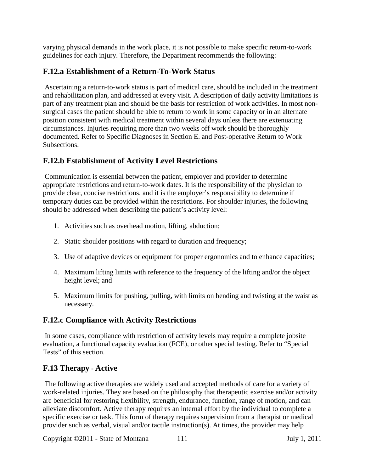varying physical demands in the work place, it is not possible to make specific return-to-work guidelines for each injury. Therefore, the Department recommends the following:

# **F.12.a Establishment of a Return-To-Work Status**

Ascertaining a return-to-work status is part of medical care, should be included in the treatment and rehabilitation plan, and addressed at every visit. A description of daily activity limitations is part of any treatment plan and should be the basis for restriction of work activities. In most nonsurgical cases the patient should be able to return to work in some capacity or in an alternate position consistent with medical treatment within several days unless there are extenuating circumstances. Injuries requiring more than two weeks off work should be thoroughly documented. Refer to Specific Diagnoses in Section E. and Post-operative Return to Work Subsections.

# **F.12.b Establishment of Activity Level Restrictions**

Communication is essential between the patient, employer and provider to determine appropriate restrictions and return-to-work dates. It is the responsibility of the physician to provide clear, concise restrictions, and it is the employer's responsibility to determine if temporary duties can be provided within the restrictions. For shoulder injuries, the following should be addressed when describing the patient's activity level:

- 1. Activities such as overhead motion, lifting, abduction;
- 2. Static shoulder positions with regard to duration and frequency;
- 3. Use of adaptive devices or equipment for proper ergonomics and to enhance capacities;
- 4. Maximum lifting limits with reference to the frequency of the lifting and/or the object height level; and
- 5. Maximum limits for pushing, pulling, with limits on bending and twisting at the waist as necessary.

# **F.12.c Compliance with Activity Restrictions**

In some cases, compliance with restriction of activity levels may require a complete jobsite evaluation, a functional capacity evaluation (FCE), or other special testing. Refer to "Special Tests" of this section.

# **F.13 Therapy** - **Active**

The following active therapies are widely used and accepted methods of care for a variety of work-related injuries. They are based on the philosophy that therapeutic exercise and/or activity are beneficial for restoring flexibility, strength, endurance, function, range of motion, and can alleviate discomfort. Active therapy requires an internal effort by the individual to complete a specific exercise or task. This form of therapy requires supervision from a therapist or medical provider such as verbal, visual and/or tactile instruction(s). At times, the provider may help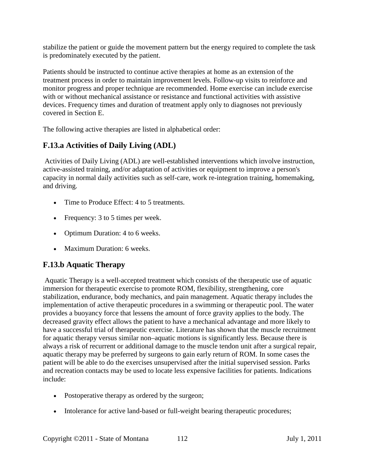stabilize the patient or guide the movement pattern but the energy required to complete the task is predominately executed by the patient.

Patients should be instructed to continue active therapies at home as an extension of the treatment process in order to maintain improvement levels. Follow-up visits to reinforce and monitor progress and proper technique are recommended. Home exercise can include exercise with or without mechanical assistance or resistance and functional activities with assistive devices. Frequency times and duration of treatment apply only to diagnoses not previously covered in Section E.

The following active therapies are listed in alphabetical order:

# **F.13.a Activities of Daily Living (ADL)**

Activities of Daily Living (ADL) are well-established interventions which involve instruction, active-assisted training, and/or adaptation of activities or equipment to improve a person's capacity in normal daily activities such as self-care, work re-integration training, homemaking, and driving.

- Time to Produce Effect: 4 to 5 treatments.
- Frequency: 3 to 5 times per week.
- Optimum Duration: 4 to 6 weeks.
- Maximum Duration: 6 weeks.

# **F.13.b Aquatic Therapy**

Aquatic Therapy is a well-accepted treatment which consists of the therapeutic use of aquatic immersion for therapeutic exercise to promote ROM, flexibility, strengthening, core stabilization, endurance, body mechanics, and pain management. Aquatic therapy includes the implementation of active therapeutic procedures in a swimming or therapeutic pool. The water provides a buoyancy force that lessens the amount of force gravity applies to the body. The decreased gravity effect allows the patient to have a mechanical advantage and more likely to have a successful trial of therapeutic exercise. Literature has shown that the muscle recruitment for aquatic therapy versus similar non–aquatic motions is significantly less. Because there is always a risk of recurrent or additional damage to the muscle tendon unit after a surgical repair, aquatic therapy may be preferred by surgeons to gain early return of ROM. In some cases the patient will be able to do the exercises unsupervised after the initial supervised session. Parks and recreation contacts may be used to locate less expensive facilities for patients. Indications include:

- Postoperative therapy as ordered by the surgeon;
- Intolerance for active land-based or full-weight bearing therapeutic procedures;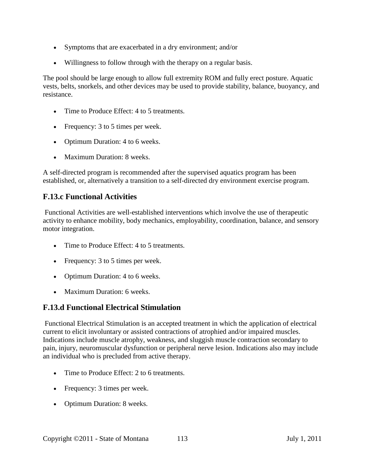- Symptoms that are exacerbated in a dry environment; and/or
- Willingness to follow through with the therapy on a regular basis.

The pool should be large enough to allow full extremity ROM and fully erect posture. Aquatic vests, belts, snorkels, and other devices may be used to provide stability, balance, buoyancy, and resistance.

- Time to Produce Effect: 4 to 5 treatments.
- Frequency: 3 to 5 times per week.
- Optimum Duration: 4 to 6 weeks.
- Maximum Duration: 8 weeks.

A self-directed program is recommended after the supervised aquatics program has been established, or, alternatively a transition to a self-directed dry environment exercise program.

## **F.13.c Functional Activities**

Functional Activities are well-established interventions which involve the use of therapeutic activity to enhance mobility, body mechanics, employability, coordination, balance, and sensory motor integration.

- Time to Produce Effect: 4 to 5 treatments.
- Frequency: 3 to 5 times per week.
- Optimum Duration: 4 to 6 weeks.
- Maximum Duration: 6 weeks.

# **F.13.d Functional Electrical Stimulation**

Functional Electrical Stimulation is an accepted treatment in which the application of electrical current to elicit involuntary or assisted contractions of atrophied and/or impaired muscles. Indications include muscle atrophy, weakness, and sluggish muscle contraction secondary to pain, injury, neuromuscular dysfunction or peripheral nerve lesion. Indications also may include an individual who is precluded from active therapy.

- Time to Produce Effect: 2 to 6 treatments.
- Frequency: 3 times per week.
- Optimum Duration: 8 weeks.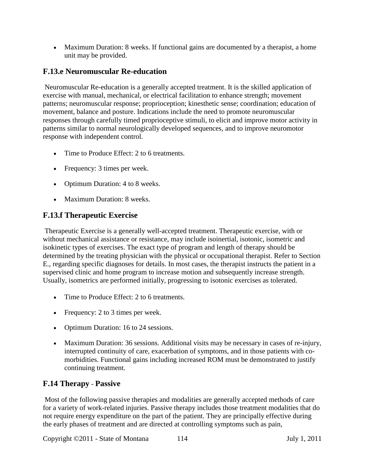• Maximum Duration: 8 weeks. If functional gains are documented by a therapist, a home unit may be provided.

## **F.13.e Neuromuscular Re-education**

Neuromuscular Re-education is a generally accepted treatment. It is the skilled application of exercise with manual, mechanical, or electrical facilitation to enhance strength; movement patterns; neuromuscular response; proprioception; kinesthetic sense; coordination; education of movement, balance and posture. Indications include the need to promote neuromuscular responses through carefully timed proprioceptive stimuli, to elicit and improve motor activity in patterns similar to normal neurologically developed sequences, and to improve neuromotor response with independent control.

- Time to Produce Effect: 2 to 6 treatments.
- Frequency: 3 times per week.
- Optimum Duration: 4 to 8 weeks.
- Maximum Duration: 8 weeks.

## **F.13.f Therapeutic Exercise**

Therapeutic Exercise is a generally well-accepted treatment. Therapeutic exercise, with or without mechanical assistance or resistance, may include isoinertial, isotonic, isometric and isokinetic types of exercises. The exact type of program and length of therapy should be determined by the treating physician with the physical or occupational therapist. Refer to Section E., regarding specific diagnoses for details. In most cases, the therapist instructs the patient in a supervised clinic and home program to increase motion and subsequently increase strength. Usually, isometrics are performed initially, progressing to isotonic exercises as tolerated.

- Time to Produce Effect: 2 to 6 treatments.
- Frequency: 2 to 3 times per week.
- Optimum Duration: 16 to 24 sessions.
- Maximum Duration: 36 sessions. Additional visits may be necessary in cases of re-injury, interrupted continuity of care, exacerbation of symptoms, and in those patients with comorbidities. Functional gains including increased ROM must be demonstrated to justify continuing treatment.

## **F.14 Therapy** - **Passive**

Most of the following passive therapies and modalities are generally accepted methods of care for a variety of work-related injuries. Passive therapy includes those treatment modalities that do not require energy expenditure on the part of the patient. They are principally effective during the early phases of treatment and are directed at controlling symptoms such as pain,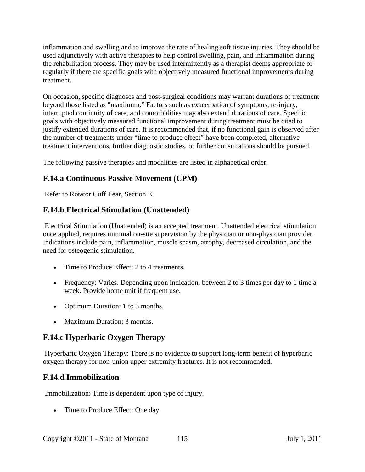inflammation and swelling and to improve the rate of healing soft tissue injuries. They should be used adjunctively with active therapies to help control swelling, pain, and inflammation during the rehabilitation process. They may be used intermittently as a therapist deems appropriate or regularly if there are specific goals with objectively measured functional improvements during treatment.

On occasion, specific diagnoses and post-surgical conditions may warrant durations of treatment beyond those listed as "maximum." Factors such as exacerbation of symptoms, re-injury, interrupted continuity of care, and comorbidities may also extend durations of care. Specific goals with objectively measured functional improvement during treatment must be cited to justify extended durations of care. It is recommended that, if no functional gain is observed after the number of treatments under "time to produce effect" have been completed, alternative treatment interventions, further diagnostic studies, or further consultations should be pursued.

The following passive therapies and modalities are listed in alphabetical order.

# **F.14.a Continuous Passive Movement (CPM)**

Refer to Rotator Cuff Tear, Section E.

# **F.14.b Electrical Stimulation (Unattended)**

Electrical Stimulation (Unattended) is an accepted treatment. Unattended electrical stimulation once applied, requires minimal on-site supervision by the physician or non-physician provider. Indications include pain, inflammation, muscle spasm, atrophy, decreased circulation, and the need for osteogenic stimulation.

- Time to Produce Effect: 2 to 4 treatments.
- Frequency: Varies. Depending upon indication, between 2 to 3 times per day to 1 time a week. Provide home unit if frequent use.
- Optimum Duration: 1 to 3 months.
- Maximum Duration: 3 months.

# **F.14.c Hyperbaric Oxygen Therapy**

Hyperbaric Oxygen Therapy: There is no evidence to support long-term benefit of hyperbaric oxygen therapy for non-union upper extremity fractures. It is not recommended.

## **F.14.d Immobilization**

Immobilization: Time is dependent upon type of injury.

• Time to Produce Effect: One day.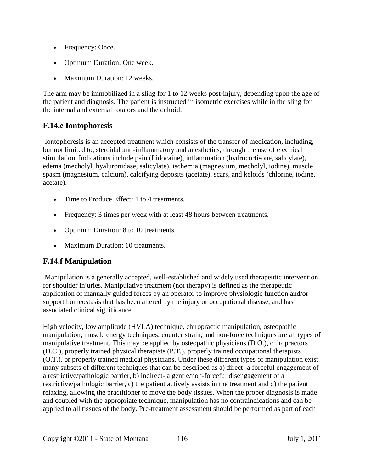- Frequency: Once.
- Optimum Duration: One week.
- Maximum Duration: 12 weeks.

The arm may be immobilized in a sling for 1 to 12 weeks post-injury, depending upon the age of the patient and diagnosis. The patient is instructed in isometric exercises while in the sling for the internal and external rotators and the deltoid.

# **F.14.e Iontophoresis**

Iontophoresis is an accepted treatment which consists of the transfer of medication, including, but not limited to, steroidal anti-inflammatory and anesthetics, through the use of electrical stimulation. Indications include pain (Lidocaine), inflammation (hydrocortisone, salicylate), edema (mecholyl, hyaluronidase, salicylate), ischemia (magnesium, mecholyl, iodine), muscle spasm (magnesium, calcium), calcifying deposits (acetate), scars, and keloids (chlorine, iodine, acetate).

- Time to Produce Effect: 1 to 4 treatments.
- Frequency: 3 times per week with at least 48 hours between treatments.
- Optimum Duration: 8 to 10 treatments.
- Maximum Duration: 10 treatments.

# **F.14.f Manipulation**

Manipulation is a generally accepted, well-established and widely used therapeutic intervention for shoulder injuries. Manipulative treatment (not therapy) is defined as the therapeutic application of manually guided forces by an operator to improve physiologic function and/or support homeostasis that has been altered by the injury or occupational disease, and has associated clinical significance.

High velocity, low amplitude (HVLA) technique, chiropractic manipulation, osteopathic manipulation, muscle energy techniques, counter strain, and non-force techniques are all types of manipulative treatment. This may be applied by osteopathic physicians (D.O.), chiropractors (D.C.), properly trained physical therapists (P.T.), properly trained occupational therapists (O.T.), or properly trained medical physicians. Under these different types of manipulation exist many subsets of different techniques that can be described as a) direct- a forceful engagement of a restrictive/pathologic barrier, b) indirect- a gentle/non-forceful disengagement of a restrictive/pathologic barrier, c) the patient actively assists in the treatment and d) the patient relaxing, allowing the practitioner to move the body tissues. When the proper diagnosis is made and coupled with the appropriate technique, manipulation has no contraindications and can be applied to all tissues of the body. Pre-treatment assessment should be performed as part of each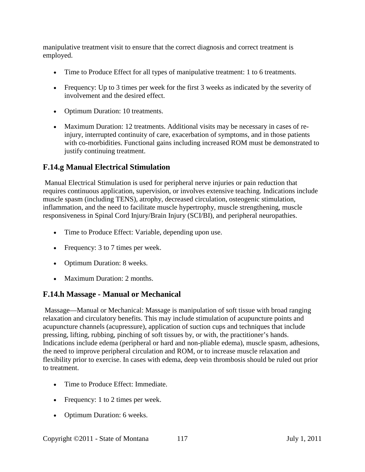manipulative treatment visit to ensure that the correct diagnosis and correct treatment is employed.

- Time to Produce Effect for all types of manipulative treatment: 1 to 6 treatments.
- Frequency: Up to 3 times per week for the first 3 weeks as indicated by the severity of involvement and the desired effect.
- Optimum Duration: 10 treatments.
- Maximum Duration: 12 treatments. Additional visits may be necessary in cases of reinjury, interrupted continuity of care, exacerbation of symptoms, and in those patients with co-morbidities. Functional gains including increased ROM must be demonstrated to justify continuing treatment.

## **F.14.g Manual Electrical Stimulation**

Manual Electrical Stimulation is used for peripheral nerve injuries or pain reduction that requires continuous application, supervision, or involves extensive teaching. Indications include muscle spasm (including TENS), atrophy, decreased circulation, osteogenic stimulation, inflammation, and the need to facilitate muscle hypertrophy, muscle strengthening, muscle responsiveness in Spinal Cord Injury/Brain Injury (SCI/BI), and peripheral neuropathies.

- Time to Produce Effect: Variable, depending upon use.
- Frequency: 3 to 7 times per week.
- Optimum Duration: 8 weeks.
- Maximum Duration: 2 months.

## **F.14.h Massage - Manual or Mechanical**

Massage—Manual or Mechanical: Massage is manipulation of soft tissue with broad ranging relaxation and circulatory benefits. This may include stimulation of acupuncture points and acupuncture channels (acupressure), application of suction cups and techniques that include pressing, lifting, rubbing, pinching of soft tissues by, or with, the practitioner's hands. Indications include edema (peripheral or hard and non-pliable edema), muscle spasm, adhesions, the need to improve peripheral circulation and ROM, or to increase muscle relaxation and flexibility prior to exercise. In cases with edema, deep vein thrombosis should be ruled out prior to treatment.

- Time to Produce Effect: Immediate.
- Frequency: 1 to 2 times per week.
- Optimum Duration: 6 weeks.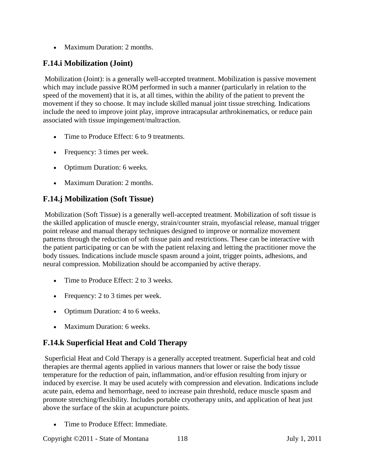• Maximum Duration: 2 months.

# **F.14.i Mobilization (Joint)**

Mobilization (Joint): is a generally well-accepted treatment. Mobilization is passive movement which may include passive ROM performed in such a manner (particularly in relation to the speed of the movement) that it is, at all times, within the ability of the patient to prevent the movement if they so choose. It may include skilled manual joint tissue stretching. Indications include the need to improve joint play, improve intracapsular arthrokinematics, or reduce pain associated with tissue impingement/maltraction.

- Time to Produce Effect: 6 to 9 treatments.
- Frequency: 3 times per week.
- Optimum Duration: 6 weeks.
- Maximum Duration: 2 months.

# **F.14.j Mobilization (Soft Tissue)**

Mobilization (Soft Tissue) is a generally well-accepted treatment. Mobilization of soft tissue is the skilled application of muscle energy, strain/counter strain, myofascial release, manual trigger point release and manual therapy techniques designed to improve or normalize movement patterns through the reduction of soft tissue pain and restrictions. These can be interactive with the patient participating or can be with the patient relaxing and letting the practitioner move the body tissues. Indications include muscle spasm around a joint, trigger points, adhesions, and neural compression. Mobilization should be accompanied by active therapy.

- Time to Produce Effect: 2 to 3 weeks.
- Frequency: 2 to 3 times per week.
- Optimum Duration: 4 to 6 weeks.
- Maximum Duration: 6 weeks.

# **F.14.k Superficial Heat and Cold Therapy**

Superficial Heat and Cold Therapy is a generally accepted treatment. Superficial heat and cold therapies are thermal agents applied in various manners that lower or raise the body tissue temperature for the reduction of pain, inflammation, and/or effusion resulting from injury or induced by exercise. It may be used acutely with compression and elevation. Indications include acute pain, edema and hemorrhage, need to increase pain threshold, reduce muscle spasm and promote stretching/flexibility. Includes portable cryotherapy units, and application of heat just above the surface of the skin at acupuncture points.

Time to Produce Effect: Immediate.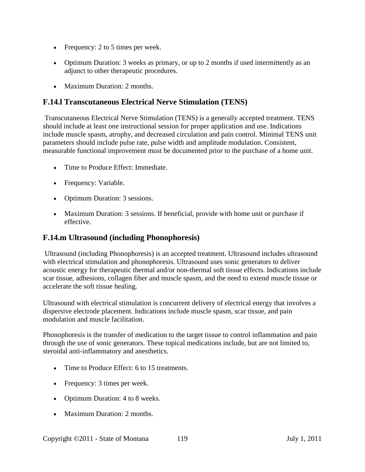- Frequency: 2 to 5 times per week.
- Optimum Duration: 3 weeks as primary, or up to 2 months if used intermittently as an adjunct to other therapeutic procedures.
- Maximum Duration: 2 months.

## **F.14.l Transcutaneous Electrical Nerve Stimulation (TENS)**

Transcutaneous Electrical Nerve Stimulation (TENS) is a generally accepted treatment. TENS should include at least one instructional session for proper application and use. Indications include muscle spasm, atrophy, and decreased circulation and pain control. Minimal TENS unit parameters should include pulse rate, pulse width and amplitude modulation. Consistent, measurable functional improvement must be documented prior to the purchase of a home unit.

- Time to Produce Effect: Immediate.
- Frequency: Variable.
- Optimum Duration: 3 sessions.
- Maximum Duration: 3 sessions. If beneficial, provide with home unit or purchase if effective.

## **F.14.m Ultrasound (including Phonophoresis)**

Ultrasound (including Phonophoresis) is an accepted treatment. Ultrasound includes ultrasound with electrical stimulation and phonophoresis. Ultrasound uses sonic generators to deliver acoustic energy for therapeutic thermal and/or non-thermal soft tissue effects. Indications include scar tissue, adhesions, collagen fiber and muscle spasm, and the need to extend muscle tissue or accelerate the soft tissue healing.

Ultrasound with electrical stimulation is concurrent delivery of electrical energy that involves a dispersive electrode placement. Indications include muscle spasm, scar tissue, and pain modulation and muscle facilitation.

Phonophoresis is the transfer of medication to the target tissue to control inflammation and pain through the use of sonic generators. These topical medications include, but are not limited to, steroidal anti-inflammatory and anesthetics.

- Time to Produce Effect: 6 to 15 treatments.
- Frequency: 3 times per week.
- Optimum Duration: 4 to 8 weeks.
- Maximum Duration: 2 months.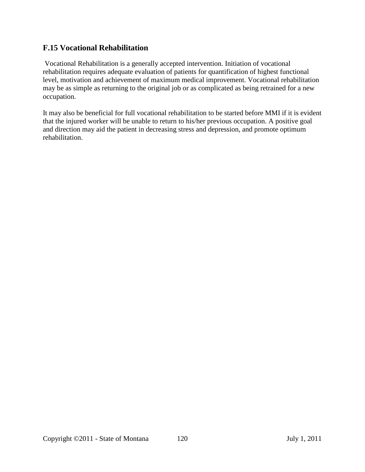## **F.15 Vocational Rehabilitation**

Vocational Rehabilitation is a generally accepted intervention. Initiation of vocational rehabilitation requires adequate evaluation of patients for quantification of highest functional level, motivation and achievement of maximum medical improvement. Vocational rehabilitation may be as simple as returning to the original job or as complicated as being retrained for a new occupation.

It may also be beneficial for full vocational rehabilitation to be started before MMI if it is evident that the injured worker will be unable to return to his/her previous occupation. A positive goal and direction may aid the patient in decreasing stress and depression, and promote optimum rehabilitation.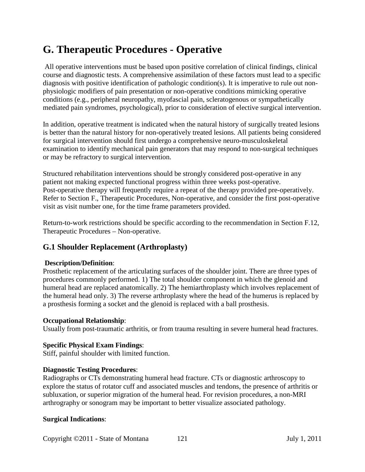# **G. Therapeutic Procedures - Operative**

All operative interventions must be based upon positive correlation of clinical findings, clinical course and diagnostic tests. A comprehensive assimilation of these factors must lead to a specific diagnosis with positive identification of pathologic condition(s). It is imperative to rule out nonphysiologic modifiers of pain presentation or non-operative conditions mimicking operative conditions (e.g., peripheral neuropathy, myofascial pain, scleratogenous or sympathetically mediated pain syndromes, psychological), prior to consideration of elective surgical intervention.

In addition, operative treatment is indicated when the natural history of surgically treated lesions is better than the natural history for non-operatively treated lesions. All patients being considered for surgical intervention should first undergo a comprehensive neuro-musculoskeletal examination to identify mechanical pain generators that may respond to non-surgical techniques or may be refractory to surgical intervention.

Structured rehabilitation interventions should be strongly considered post-operative in any patient not making expected functional progress within three weeks post-operative. Post-operative therapy will frequently require a repeat of the therapy provided pre-operatively. Refer to Section F., Therapeutic Procedures, Non-operative, and consider the first post-operative visit as visit number one, for the time frame parameters provided.

Return-to-work restrictions should be specific according to the recommendation in Section F.12, Therapeutic Procedures – Non-operative.

# **G.1 Shoulder Replacement (Arthroplasty)**

## **Description/Definition**:

Prosthetic replacement of the articulating surfaces of the shoulder joint. There are three types of procedures commonly performed. 1) The total shoulder component in which the glenoid and humeral head are replaced anatomically. 2) The hemiarthroplasty which involves replacement of the humeral head only. 3) The reverse arthroplasty where the head of the humerus is replaced by a prosthesis forming a socket and the glenoid is replaced with a ball prosthesis.

#### **Occupational Relationship**:

Usually from post-traumatic arthritis, or from trauma resulting in severe humeral head fractures.

#### **Specific Physical Exam Findings**:

Stiff, painful shoulder with limited function.

#### **Diagnostic Testing Procedures**:

Radiographs or CTs demonstrating humeral head fracture. CTs or diagnostic arthroscopy to explore the status of rotator cuff and associated muscles and tendons, the presence of arthritis or subluxation, or superior migration of the humeral head. For revision procedures, a non-MRI arthrography or sonogram may be important to better visualize associated pathology.

#### **Surgical Indications**: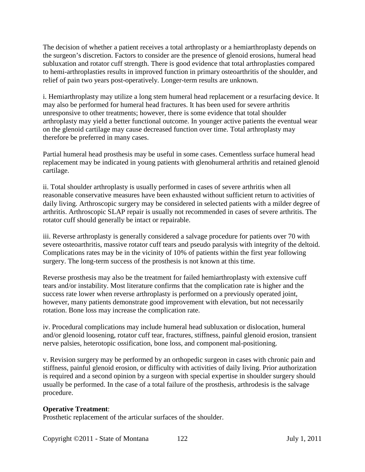The decision of whether a patient receives a total arthroplasty or a hemiarthroplasty depends on the surgeon's discretion. Factors to consider are the presence of glenoid erosions, humeral head subluxation and rotator cuff strength. There is good evidence that total arthroplasties compared to hemi-arthroplasties results in improved function in primary osteoarthritis of the shoulder, and relief of pain two years post-operatively. Longer-term results are unknown.

i. Hemiarthroplasty may utilize a long stem humeral head replacement or a resurfacing device. It may also be performed for humeral head fractures. It has been used for severe arthritis unresponsive to other treatments; however, there is some evidence that total shoulder arthroplasty may yield a better functional outcome. In younger active patients the eventual wear on the glenoid cartilage may cause decreased function over time. Total arthroplasty may therefore be preferred in many cases.

Partial humeral head prosthesis may be useful in some cases. Cementless surface humeral head replacement may be indicated in young patients with glenohumeral arthritis and retained glenoid cartilage.

ii. Total shoulder arthroplasty is usually performed in cases of severe arthritis when all reasonable conservative measures have been exhausted without sufficient return to activities of daily living. Arthroscopic surgery may be considered in selected patients with a milder degree of arthritis. Arthroscopic SLAP repair is usually not recommended in cases of severe arthritis. The rotator cuff should generally be intact or repairable.

iii. Reverse arthroplasty is generally considered a salvage procedure for patients over 70 with severe osteoarthritis, massive rotator cuff tears and pseudo paralysis with integrity of the deltoid. Complications rates may be in the vicinity of 10% of patients within the first year following surgery. The long-term success of the prosthesis is not known at this time.

Reverse prosthesis may also be the treatment for failed hemiarthroplasty with extensive cuff tears and/or instability. Most literature confirms that the complication rate is higher and the success rate lower when reverse arthroplasty is performed on a previously operated joint, however, many patients demonstrate good improvement with elevation, but not necessarily rotation. Bone loss may increase the complication rate.

iv. Procedural complications may include humeral head subluxation or dislocation, humeral and/or glenoid loosening, rotator cuff tear, fractures, stiffness, painful glenoid erosion, transient nerve palsies, heterotopic ossification, bone loss, and component mal-positioning.

v. Revision surgery may be performed by an orthopedic surgeon in cases with chronic pain and stiffness, painful glenoid erosion, or difficulty with activities of daily living. Prior authorization is required and a second opinion by a surgeon with special expertise in shoulder surgery should usually be performed. In the case of a total failure of the prosthesis, arthrodesis is the salvage procedure.

## **Operative Treatment**:

Prosthetic replacement of the articular surfaces of the shoulder.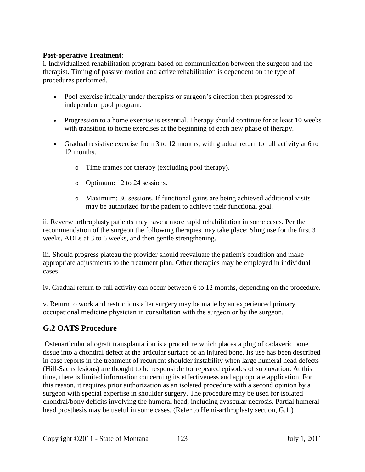## **Post-operative Treatment**:

i. Individualized rehabilitation program based on communication between the surgeon and the therapist. Timing of passive motion and active rehabilitation is dependent on the type of procedures performed.

- Pool exercise initially under therapists or surgeon's direction then progressed to independent pool program.
- Progression to a home exercise is essential. Therapy should continue for at least 10 weeks with transition to home exercises at the beginning of each new phase of therapy.
- Gradual resistive exercise from 3 to 12 months, with gradual return to full activity at 6 to 12 months.
	- o Time frames for therapy (excluding pool therapy).
	- o Optimum: 12 to 24 sessions.
	- o Maximum: 36 sessions. If functional gains are being achieved additional visits may be authorized for the patient to achieve their functional goal.

ii. Reverse arthroplasty patients may have a more rapid rehabilitation in some cases. Per the recommendation of the surgeon the following therapies may take place: Sling use for the first 3 weeks, ADLs at 3 to 6 weeks, and then gentle strengthening.

iii. Should progress plateau the provider should reevaluate the patient's condition and make appropriate adjustments to the treatment plan. Other therapies may be employed in individual cases.

iv. Gradual return to full activity can occur between 6 to 12 months, depending on the procedure.

v. Return to work and restrictions after surgery may be made by an experienced primary occupational medicine physician in consultation with the surgeon or by the surgeon.

# **G.2 OATS Procedure**

Osteoarticular allograft transplantation is a procedure which places a plug of cadaveric bone tissue into a chondral defect at the articular surface of an injured bone. Its use has been described in case reports in the treatment of recurrent shoulder instability when large humeral head defects (Hill-Sachs lesions) are thought to be responsible for repeated episodes of subluxation. At this time, there is limited information concerning its effectiveness and appropriate application. For this reason, it requires prior authorization as an isolated procedure with a second opinion by a surgeon with special expertise in shoulder surgery. The procedure may be used for isolated chondral/bony deficits involving the humeral head, including avascular necrosis. Partial humeral head prosthesis may be useful in some cases. (Refer to Hemi-arthroplasty section, G.1.)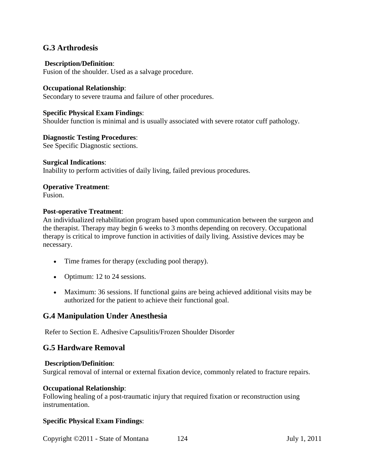## **G.3 Arthrodesis**

#### **Description/Definition**:

Fusion of the shoulder. Used as a salvage procedure.

#### **Occupational Relationship**:

Secondary to severe trauma and failure of other procedures.

#### **Specific Physical Exam Findings**:

Shoulder function is minimal and is usually associated with severe rotator cuff pathology.

#### **Diagnostic Testing Procedures**:

See Specific Diagnostic sections.

#### **Surgical Indications**:

Inability to perform activities of daily living, failed previous procedures.

## **Operative Treatment**:

Fusion.

#### **Post-operative Treatment**:

An individualized rehabilitation program based upon communication between the surgeon and the therapist. Therapy may begin 6 weeks to 3 months depending on recovery. Occupational therapy is critical to improve function in activities of daily living. Assistive devices may be necessary.

- Time frames for therapy (excluding pool therapy).
- Optimum: 12 to 24 sessions.
- Maximum: 36 sessions. If functional gains are being achieved additional visits may be authorized for the patient to achieve their functional goal.

## **G.4 Manipulation Under Anesthesia**

Refer to Section E. Adhesive Capsulitis/Frozen Shoulder Disorder

## **G.5 Hardware Removal**

#### **Description/Definition**:

Surgical removal of internal or external fixation device, commonly related to fracture repairs.

#### **Occupational Relationship**:

Following healing of a post-traumatic injury that required fixation or reconstruction using instrumentation.

#### **Specific Physical Exam Findings**:

Copyright ©2011 - State of Montana 124 July 1, 2011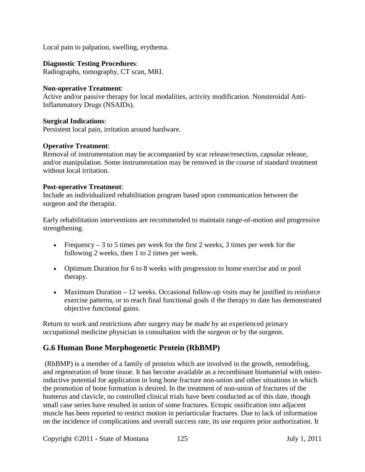Local pain to palpation, swelling, erythema.

## **Diagnostic Testing Procedures**:

Radiographs, tomography, CT scan, MRI.

## **Non-operative Treatment**:

Active and/or passive therapy for local modalities, activity modification. Nonsteroidal Anti-Inflammatory Drugs (NSAIDs).

#### **Surgical Indications**:

Persistent local pain, irritation around hardware.

#### **Operative Treatment**:

Removal of instrumentation may be accompanied by scar release/resection, capsular release, and/or manipulation. Some instrumentation may be removed in the course of standard treatment without local irritation.

#### **Post-operative Treatment**:

Include an individualized rehabilitation program based upon communication between the surgeon and the therapist.

Early rehabilitation interventions are recommended to maintain range-of-motion and progressive strengthening.

- Frequency  $-3$  to 5 times per week for the first 2 weeks, 3 times per week for the following 2 weeks, then 1 to 2 times per week.
- Optimum Duration for 6 to 8 weeks with progression to home exercise and or pool therapy.
- Maximum Duration 12 weeks. Occasional follow-up visits may be justified to reinforce exercise patterns, or to reach final functional goals if the therapy to date has demonstrated objective functional gains.

Return to work and restrictions after surgery may be made by an experienced primary occupational medicine physician in consultation with the surgeon or by the surgeon.

## **G.6 Human Bone Morphogenetic Protein (RhBMP)**

(RhBMP) is a member of a family of proteins which are involved in the growth, remodeling, and regeneration of bone tissue. It has become available as a recombinant biomaterial with osteoinductive potential for application in long bone fracture non-union and other situations in which the promotion of bone formation is desired. In the treatment of non-union of fractures of the humerus and clavicle, no controlled clinical trials have been conducted as of this date, though small case series have resulted in union of some fractures. Ectopic ossification into adjacent muscle has been reported to restrict motion in periarticular fractures. Due to lack of information on the incidence of complications and overall success rate, its use requires prior authorization. It